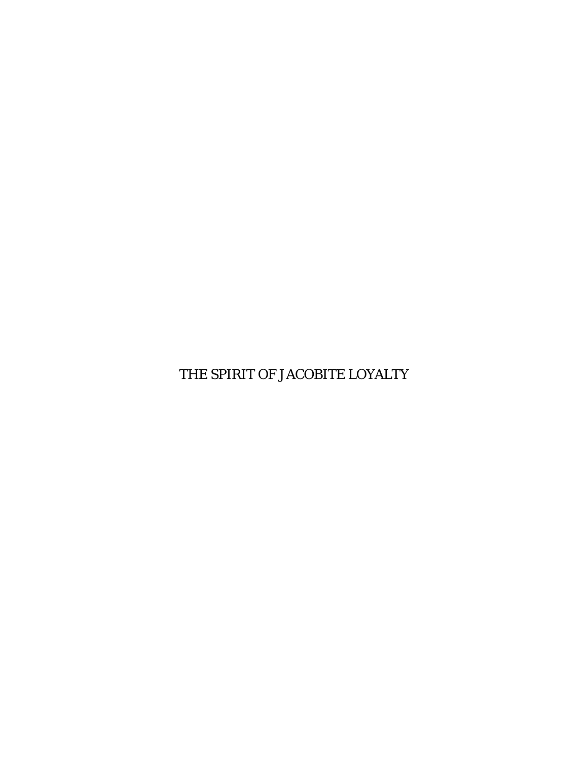THE SPIRIT OF JACOBITE LOYALTY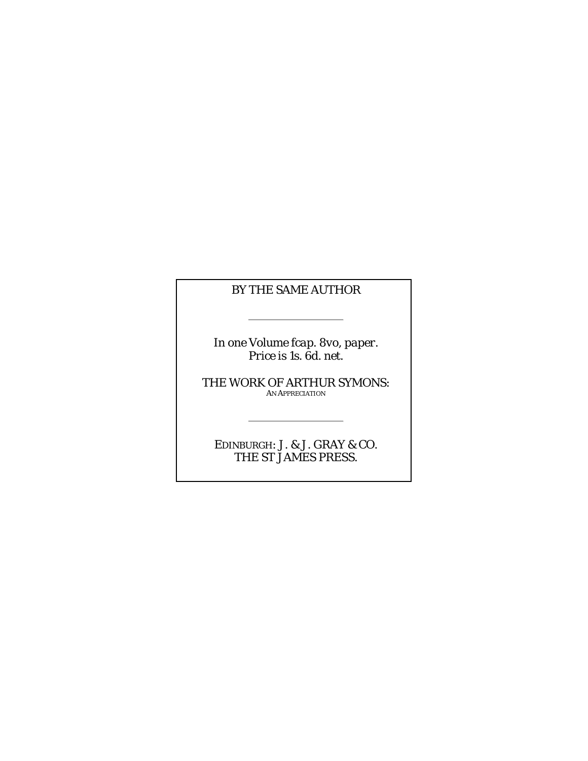#### *BY THE SAME AUTHOR*

*In one Volume fcap. 8vo, paper. Price is 1s. 6d. net.*

 $\sim$ 

THE WORK OF ARTHUR SYMONS: AN APPRECIATION

EDINBURGH: J. & J. GRAY & CO. THE ST JAMES PRESS.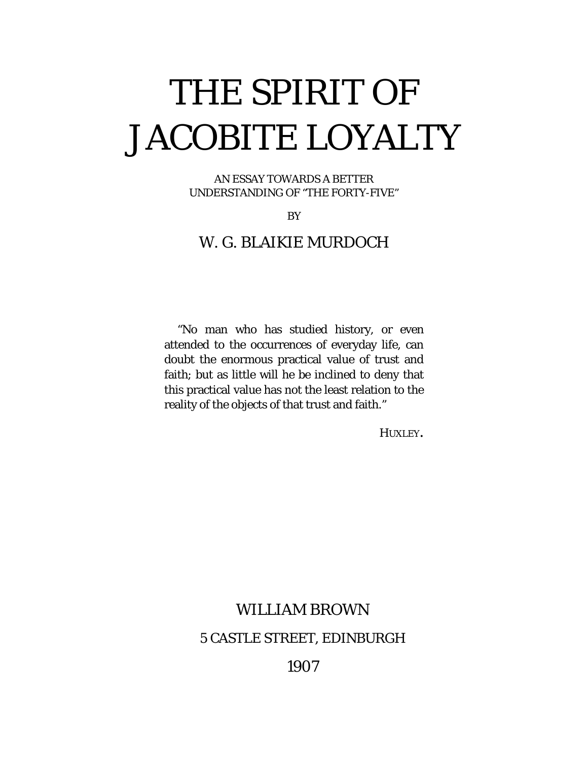# THE SPIRIT OF JACOBITE LOYALTY

AN ESSAY TOWARDS A BETTER UNDERSTANDING OF "THE FORTY-FIVE"

**BY** 

### W. G. BLAIKIE MURDOCH

"No man who has studied history, or even attended to the occurrences of everyday life, can doubt the enormous practical value of trust and faith; but as little will he be inclined to deny that this practical value has not the least relation to the reality of the objects of that trust and faith."

HUXLEY.

# WILLIAM BROWN 5 CASTLE STREET, EDINBURGH

1907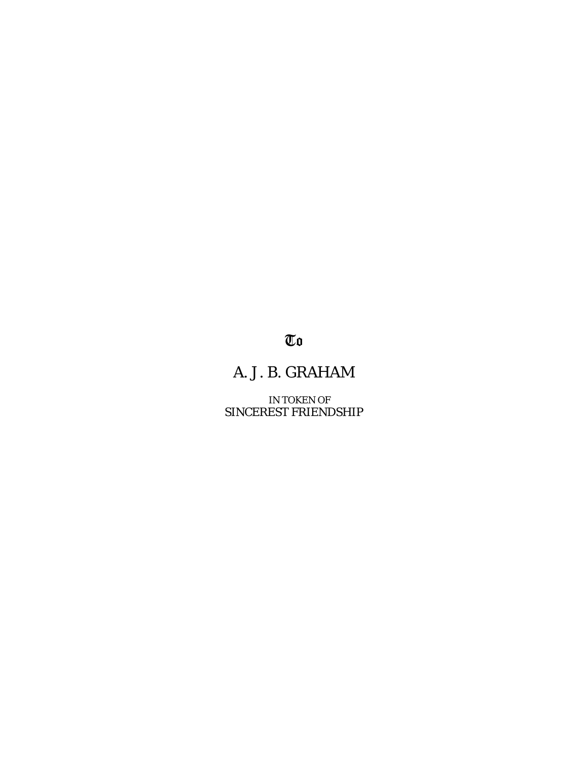# $\overline{\mathbb{C}}\mathfrak{0}$

# A. J. B. GRAHAM

IN TOKEN OF SINCEREST FRIENDSHIP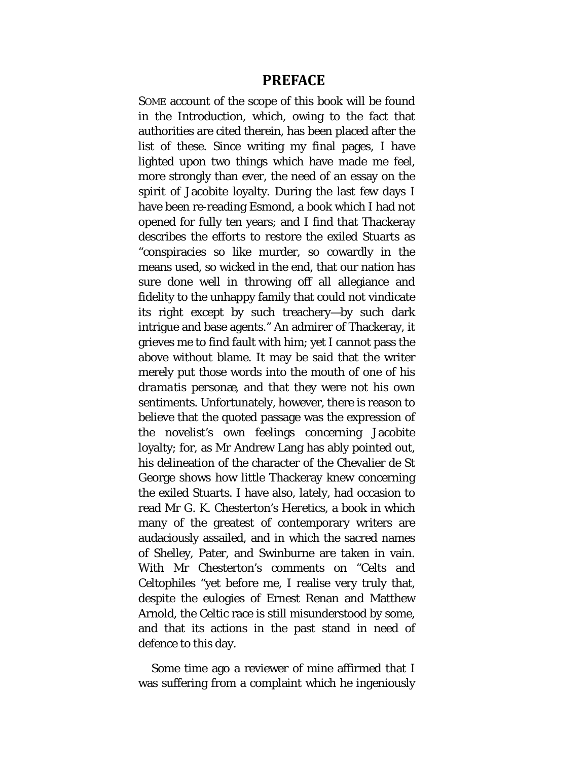#### **PREFACE**

<span id="page-4-0"></span>SOME account of the scope of this book will be found in the Introduction, which, owing to the fact that authorities are cited therein, has been placed after the list of these. Since writing my final pages, I have lighted upon two things which have made me feel, more strongly than ever, the need of an essay on the spirit of Jacobite loyalty. During the last few days I have been re-reading *Esmond,* a book which I had not opened for fully ten years; and I find that Thackeray describes the efforts to restore the exiled Stuarts as "conspiracies so like murder, so cowardly in the means used, so wicked in the end, that our nation has sure done well in throwing off all allegiance and fidelity to the unhappy family that could not vindicate its right except by such treachery—by such dark intrigue and base agents." An admirer of Thackeray, it grieves me to find fault with him; yet I cannot pass the above without blame. It may be said that the writer merely put those words into the mouth of one of his *dramatis personæ,* and that they were not his own sentiments. Unfortunately, however, there is reason to believe that the quoted passage was the expression of the novelist's own feelings concerning Jacobite loyalty; for, as Mr Andrew Lang has ably pointed out, his delineation of the character of the Chevalier de St George shows how little Thackeray knew concerning the exiled Stuarts. I have also, lately, had occasion to read Mr G. K. Chesterton's *Heretics,* a book in which many of the greatest of contemporary writers are audaciously assailed, and in which the sacred names of Shelley, Pater, and Swinburne are taken in vain. With Mr Chesterton's comments on "Celts and Celtophiles "yet before me, I realise very truly that, despite the eulogies of Ernest Renan and Matthew Arnold, the Celtic race is still misunderstood by some, and that its actions in the past stand in need of defence to this day.

Some time ago a reviewer of mine affirmed that I was suffering from a complaint which he ingeniously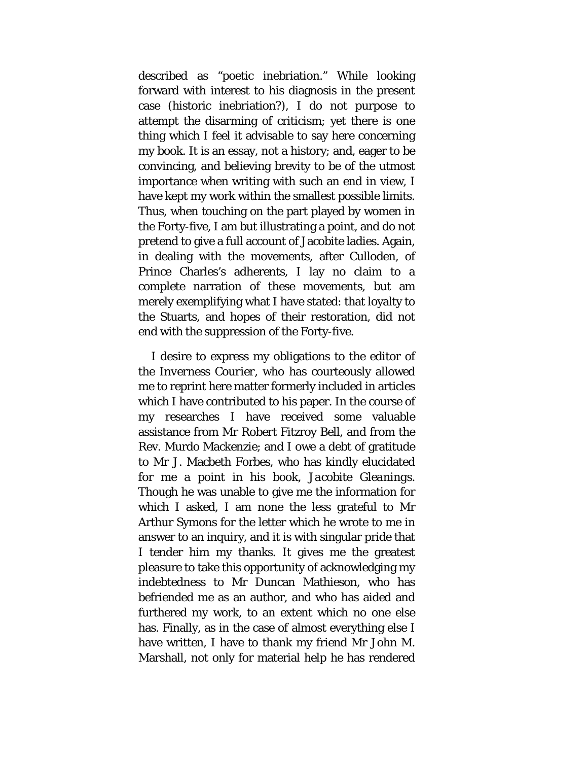described as "poetic inebriation." While looking forward with interest to his diagnosis in the present case (historic inebriation?), I do not purpose to attempt the disarming of criticism; yet there is one thing which I feel it advisable to say here concerning my book. It is an essay, not a history; and, eager to be convincing, and believing brevity to be of the utmost importance when writing with such an end in view, I have kept my work within the smallest possible limits. Thus, when touching on the part played by women in the Forty-five, I am but illustrating a point, and do not pretend to give a full account of Jacobite ladies. Again, in dealing with the movements, after Culloden, of Prince Charles's adherents, I lay no claim to a complete narration of these movements, but am merely exemplifying what I have stated: that loyalty to the Stuarts, and hopes of their restoration, did not end with the suppression of the Forty-five.

I desire to express my obligations to the editor of the *Inverness Courier,* who has courteously allowed me to reprint here matter formerly included in articles which I have contributed to his paper. In the course of my researches I have received some valuable assistance from Mr Robert Fitzroy Bell, and from the Rev. Murdo Mackenzie; and I owe a debt of gratitude to Mr J. Macbeth Forbes, who has kindly elucidated for me a point in his book, *Jacobite Gleanings.*  Though he was unable to give me the information for which I asked, I am none the less grateful to Mr Arthur Symons for the letter which he wrote to me in answer to an inquiry, and it is with singular pride that I tender him my thanks. It gives me the greatest pleasure to take this opportunity of acknowledging my indebtedness to Mr Duncan Mathieson, who has befriended me as an author, and who has aided and furthered my work, to an extent which no one else has. Finally, as in the case of almost everything else I have written, I have to thank my friend Mr John M. Marshall, not only for material help he has rendered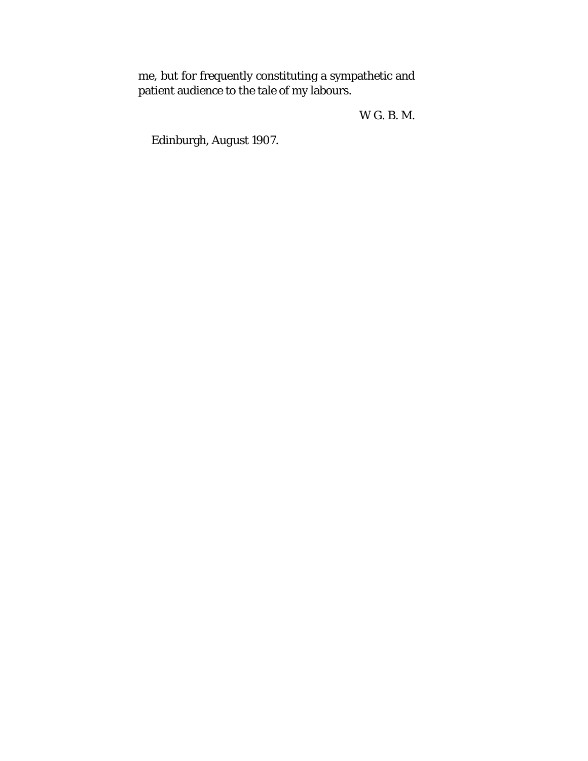me, but for frequently constituting a sympathetic and patient audience to the tale of my labours.

W G. B. M.

Edinburgh, *August* 1907.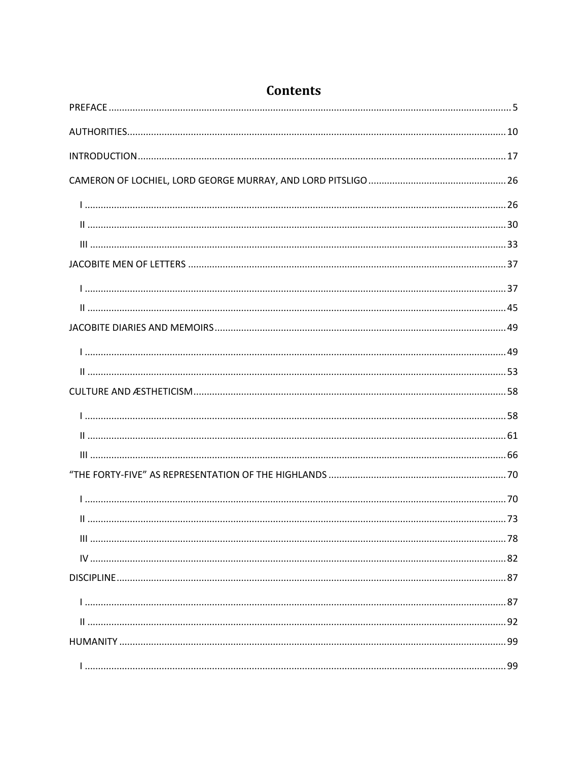| <b>Contents</b> |  |
|-----------------|--|
|                 |  |
|                 |  |
|                 |  |
|                 |  |
|                 |  |
|                 |  |
|                 |  |
|                 |  |
|                 |  |
|                 |  |
|                 |  |
|                 |  |
|                 |  |
|                 |  |
|                 |  |
|                 |  |
|                 |  |
|                 |  |
|                 |  |
|                 |  |
|                 |  |
|                 |  |
|                 |  |
|                 |  |
|                 |  |
|                 |  |
|                 |  |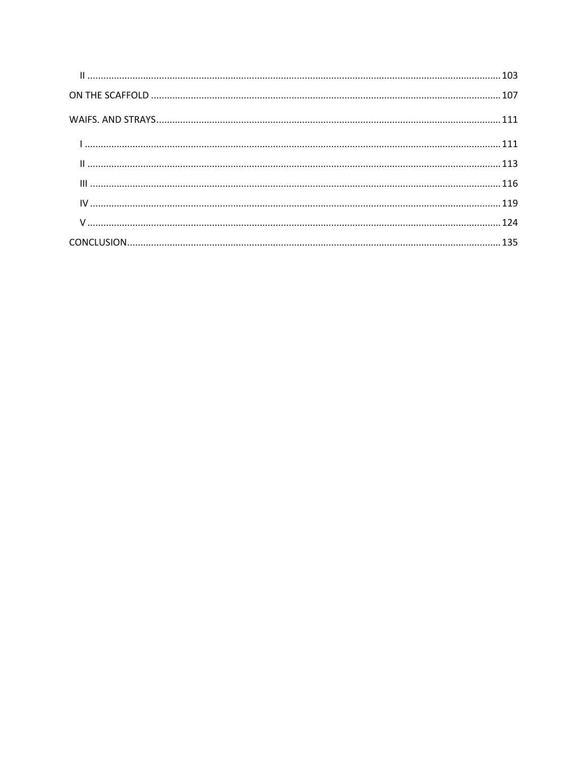| 103 |  |
|-----|--|
|     |  |
|     |  |
|     |  |
|     |  |
|     |  |
|     |  |
|     |  |
|     |  |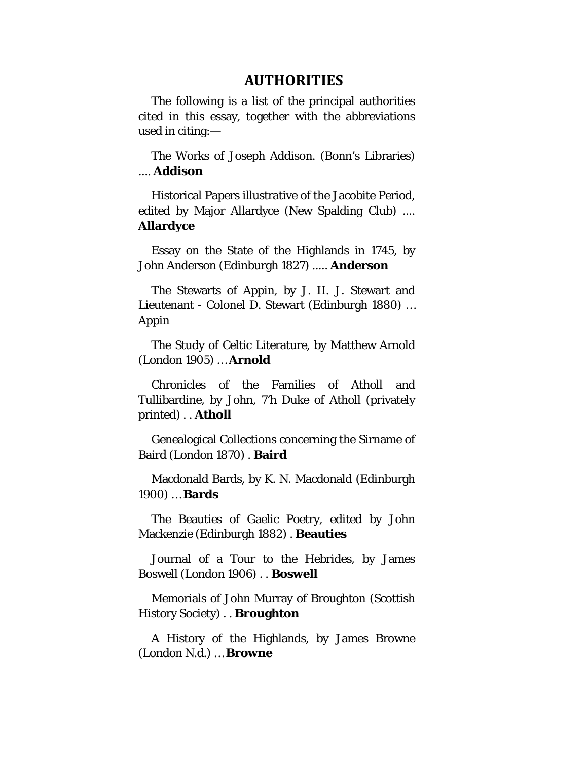#### **AUTHORITIES**

<span id="page-9-0"></span>The following is a list of the principal authorities cited in this essay, together with the abbreviations used in citing:—

The Works of Joseph Addison. (Bonn's Libraries) .... **Addison**

Historical Papers illustrative of the Jacobite Period, edited by Major Allardyce (New Spalding Club) .... **Allardyce**

Essay on the State of the Highlands in 1745, by John Anderson (Edinburgh 1827) ..... **Anderson**

The Stewarts of Appin, by J. II. J. Stewart and Lieutenant - Colonel D. Stewart (Edinburgh 1880) … Appin

The Study of Celtic Literature, by Matthew Arnold (London 1905) … **Arnold**

Chronicles of the Families of Atholl and Tullibardine, by John, 7'h Duke of Atholl (privately printed) . . **Atholl**

Genealogical Collections concerning the Sirname of Baird (London 1870) . **Baird**

Macdonald Bards, by K. N. Macdonald (Edinburgh 1900) … **Bards**

The Beauties of Gaelic Poetry, edited by John Mackenzie (Edinburgh 1882) . **Beauties**

Journal of a Tour to the Hebrides, by James Boswell (London 1906) . . **Boswell**

Memorials of John Murray of Broughton (Scottish History Society) . . **Broughton**

A History of the Highlands, by James Browne (London N.d.) … **Browne**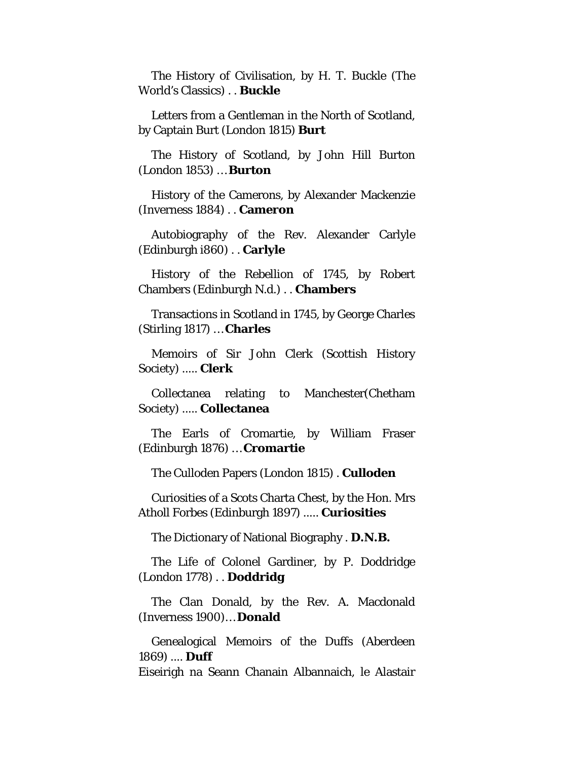The History of Civilisation, by H. T. Buckle (The World's Classics) . . **Buckle**

Letters from a Gentleman in the North of Scotland, by Captain Burt (London 1815) **Burt**

The History of Scotland, by John Hill Burton (London 1853) … **Burton**

History of the Camerons, by Alexander Mackenzie (Inverness 1884) . . **Cameron**

Autobiography of the Rev. Alexander Carlyle (Edinburgh i860) . . **Carlyle**

History of the Rebellion of 1745, by Robert Chambers (Edinburgh N.d.) . . **Chambers**

Transactions in Scotland in 1745, by George Charles (Stirling 1817) … **Charles**

Memoirs of Sir John Clerk (Scottish History Society) ..... **Clerk**

Collectanea relating to Manchester(Chetham Society) ..... **Collectanea**

The Earls of Cromartie, by William Fraser (Edinburgh 1876) … **Cromartie**

The Culloden Papers (London 1815) . **Culloden**

Curiosities of a Scots Charta Chest, by the Hon. Mrs Atholl Forbes (Edinburgh 1897) ..... **Curiosities**

The Dictionary of National Biography . **D.N.B.**

The Life of Colonel Gardiner, by P. Doddridge (London 1778) . . **Doddridg**

The Clan Donald, by the Rev. A. Macdonald (Inverness 1900)… **Donald**

Genealogical Memoirs of the Duffs (Aberdeen 1869) .... **Duff**

Eiseirigh na Seann Chanain Albannaich, le Alastair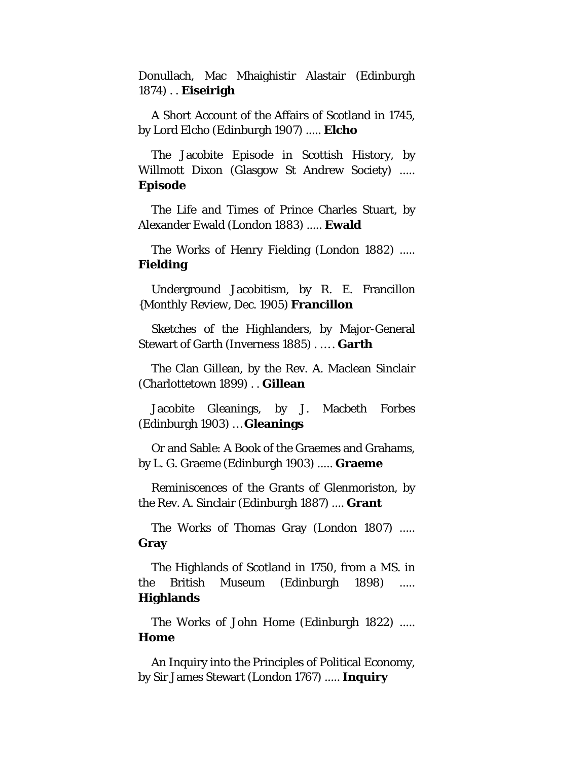Donullach, Mac Mhaighistir Alastair (Edinburgh 1874) . . **Eiseirigh**

A Short Account of the Affairs of Scotland in 1745, by Lord Elcho (Edinburgh 1907) ..... **Elcho**

The Jacobite Episode in Scottish History, by Willmott Dixon (Glasgow St Andrew Society) ..... **Episode**

The Life and Times of Prince Charles Stuart, by Alexander Ewald (London 1883) ..... **Ewald**

The Works of Henry Fielding (London 1882) ..... **Fielding**

Underground Jacobitism, by R. E. Francillon *{Monthly Review,* Dec. 1905) **Francillon**

Sketches of the Highlanders, by Major-General Stewart of Garth (Inverness 1885) . … . **Garth**

The Clan Gillean, by the Rev. A. Maclean Sinclair (Charlottetown 1899) . . **Gillean**

Jacobite Gleanings, by J. Macbeth Forbes (Edinburgh 1903) … **Gleanings**

Or and Sable: A Book of the Graemes and Grahams, by L. G. Graeme (Edinburgh 1903) ..... **Graeme**

Reminiscences of the Grants of Glenmoriston, by the Rev. A. Sinclair (Edinburgh 1887) .... **Grant**

The Works of Thomas Gray (London 1807) ..... **Gray**

The Highlands of Scotland in 1750, from a MS. in the British Museum (Edinburgh 1898) ..... **Highlands**

The Works of John Home (Edinburgh 1822) ..... **Home**

An Inquiry into the Principles of Political Economy, by Sir James Stewart (London 1767) ..... **Inquiry**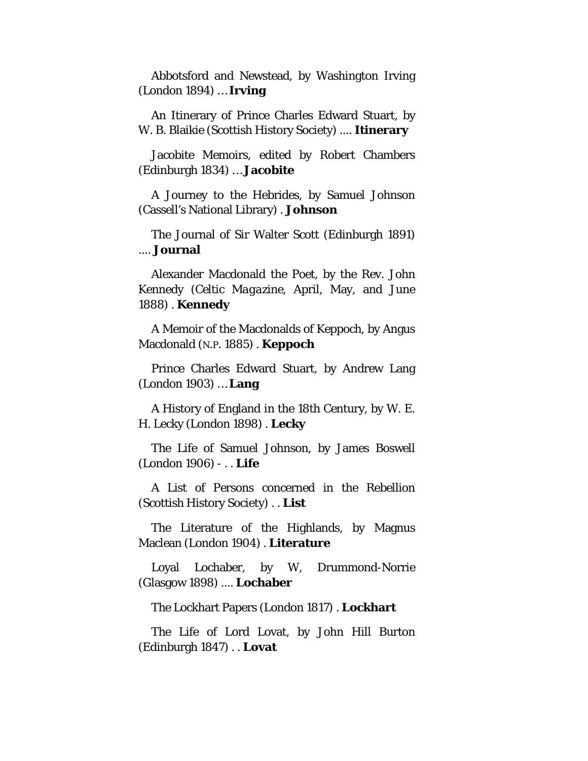Abbotsford and Newstead, by Washington Irving (London 1894) … **Irving**

An Itinerary of Prince Charles Edward Stuart, by W. B. Blaikie (Scottish History Society) .... **Itinerary**

Jacobite Memoirs, edited by Robert Chambers (Edinburgh 1834) … **Jacobite**

A Journey to the Hebrides, by Samuel Johnson (Cassell's National Library) . **Johnson**

The Journal of Sir Walter Scott (Edinburgh 1891) .... **Journal**

Alexander Macdonald the Poet, by the Rev. John Kennedy *(Celtic Magazine,* April, May, and June 1888) . **Kennedy**

A Memoir of the Macdonalds of Keppoch, by Angus Macdonald (N.P. 1885) . **Keppoch**

Prince Charles Edward Stuart, by Andrew Lang (London 1903) … **Lang**

A History of England in the 18th Century, by W. E. H. Lecky (London 1898) . **Lecky**

The Life of Samuel Johnson, by James Boswell (London 1906) - . . **Life**

A List of Persons concerned in the Rebellion (Scottish History Society) . . **List**

The Literature of the Highlands, by Magnus Maclean (London 1904) . **Literature**

Loyal Lochaber, by W, Drummond-Norrie (Glasgow 1898) .... **Lochaber**

The Lockhart Papers (London 1817) . **Lockhart**

The Life of Lord Lovat, by John Hill Burton (Edinburgh 1847) . . **Lovat**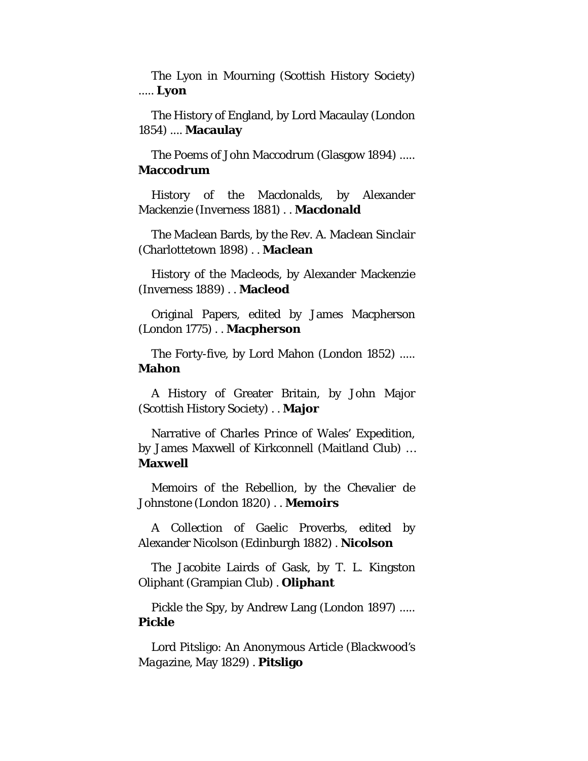The Lyon in Mourning (Scottish History Society) ..... **Lyon**

The History of England, by Lord Macaulay (London 1854) .... **Macaulay**

The Poems of John Maccodrum (Glasgow 1894) ..... **Maccodrum**

History of the Macdonalds, by Alexander Mackenzie (Inverness 1881) . . **Macdonald**

The Maclean Bards, by the Rev. A. Maclean Sinclair (Charlottetown 1898) . . **Maclean**

History of the Macleods, by Alexander Mackenzie (Inverness 1889) . . **Macleod**

Original Papers, edited by James Macpherson (London 1775) . . **Macpherson**

The Forty-five, by Lord Mahon (London 1852) ..... **Mahon**

A History of Greater Britain, by John Major (Scottish History Society) . . **Major**

Narrative of Charles Prince of Wales' Expedition, by James Maxwell of Kirkconnell (Maitland Club) … **Maxwell**

Memoirs of the Rebellion, by the Chevalier de Johnstone (London 1820) . . **Memoirs**

A Collection of Gaelic Proverbs, edited by Alexander Nicolson (Edinburgh 1882) . **Nicolson**

The Jacobite Lairds of Gask, by T. L. Kingston Oliphant (Grampian Club) . **Oliphant**

Pickle the Spy, by Andrew Lang (London 1897) ..... **Pickle**

Lord Pitsligo: An Anonymous Article (*Blackwood's Magazine,* May 1829) . **Pitsligo**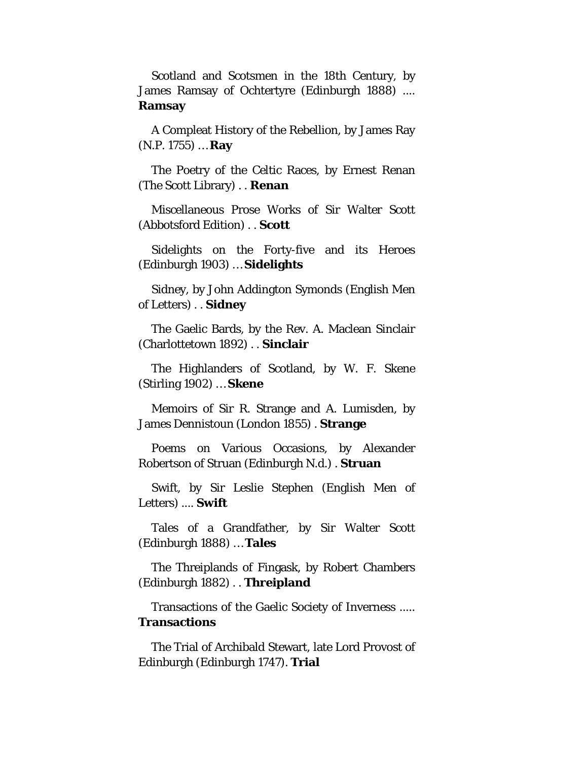Scotland and Scotsmen in the 18th Century, by James Ramsay of Ochtertyre (Edinburgh 1888) .... **Ramsay**

A Compleat History of the Rebellion, by James Ray (N.P. 1755) … **Ray**

The Poetry of the Celtic Races, by Ernest Renan (The Scott Library) . . **Renan**

Miscellaneous Prose Works of Sir Walter Scott (Abbotsford Edition) . . **Scott**

Sidelights on the Forty-five and its Heroes (Edinburgh 1903) … **Sidelights**

Sidney, by John Addington Symonds (English Men of Letters) . . **Sidney**

The Gaelic Bards, by the Rev. A. Maclean Sinclair (Charlottetown 1892) . . **Sinclair**

The Highlanders of Scotland, by W. F. Skene (Stirling 1902) … **Skene**

Memoirs of Sir R. Strange and A. Lumisden, by James Dennistoun (London 1855) . **Strange**

Poems on Various Occasions, by Alexander Robertson of Struan (Edinburgh N.d.) . **Struan**

Swift, by Sir Leslie Stephen (English Men of Letters) .... **Swift**

Tales of a Grandfather, by Sir Walter Scott (Edinburgh 1888) … **Tales**

The Threiplands of Fingask, by Robert Chambers (Edinburgh 1882) . . **Threipland**

Transactions of the Gaelic Society of Inverness ..... **Transactions**

The Trial of Archibald Stewart, late Lord Provost of Edinburgh (Edinburgh 1747). **Trial**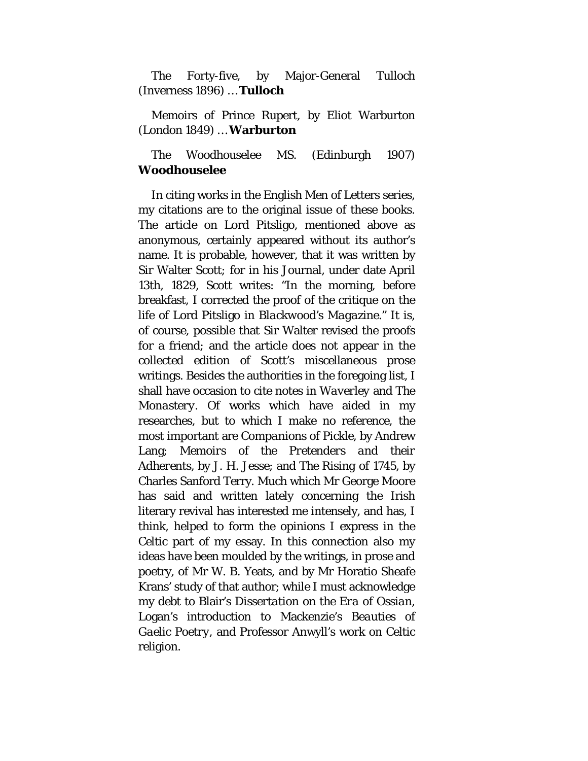The Forty-five, by Major-General Tulloch (Inverness 1896) … **Tulloch**

Memoirs of Prince Rupert, by Eliot Warburton (London 1849) … **Warburton**

#### The Woodhouselee MS. (Edinburgh 1907) **Woodhouselee**

In citing works in the English Men of Letters series, my citations are to the original issue of these books. The article on Lord Pitsligo, mentioned above as anonymous, certainly appeared without its author's name. It is probable, however, that it was written by Sir Walter Scott*;* for in his Journal, under date April 13th, 1829, Scott writes: "In the morning, before breakfast, I corrected the proof of the critique on the life of Lord Pitsligo in *Blackwood's Magazine."* It is, of course, possible that Sir Walter revised the proofs for a friend; and the article does not appear in the collected edition of Scott's miscellaneous prose writings. Besides the authorities in the foregoing list, I shall have occasion to cite notes in *Waverley* and *The Monastery.* Of works which have aided in my researches, but to which I make no reference, the most important are *Companions of Pickle,* by Andrew Lang; *Memoirs of the Pretenders and their Adherents,* by J. H. Jesse; and *The Rising of 1745,* by Charles Sanford Terry. Much which Mr George Moore has said and written lately concerning the Irish literary revival has interested me intensely, and has, I think, helped to form the opinions I express in the Celtic part of my essay. In this connection also my ideas have been moulded by the writings, in prose and poetry, of Mr W. B. Yeats, and by Mr Horatio Sheafe Krans' study of that author; while I must acknowledge my debt to Blair's *Dissertation on the Era of Ossian,*  Logan's introduction to Mackenzie's *Beauties of Gaelic Poetry,* and Professor Anwyll's work on Celtic religion.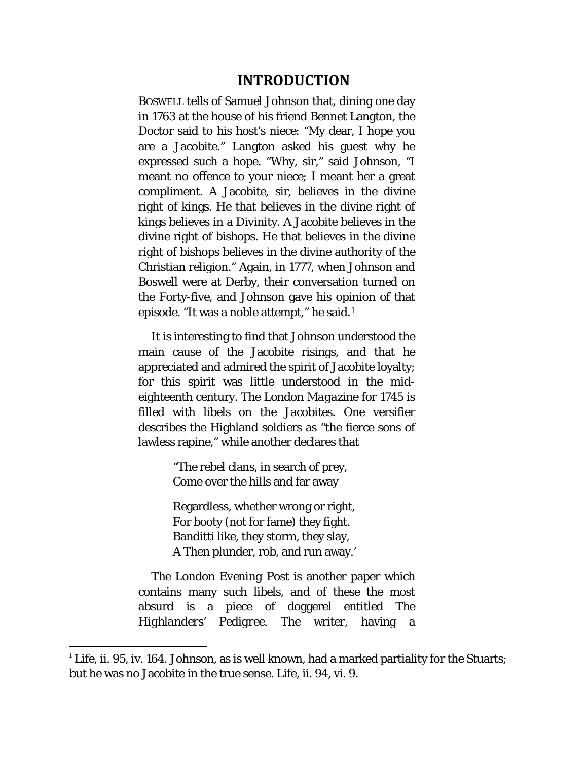#### **INTRODUCTION**

<span id="page-16-0"></span>BOSWELL tells of Samuel Johnson that, dining one day in 1763 at the house of his friend Bennet Langton, the Doctor said to his host's niece: "My dear, I hope you are a Jacobite." Langton asked his guest why he expressed such a hope. "Why, sir," said Johnson, "I meant no offence to your niece; I meant her a great compliment. A Jacobite, sir, believes in the divine right of kings. He that believes in the divine right of kings believes in a Divinity. A Jacobite believes in the divine right of bishops. He that believes in the divine right of bishops believes in the divine authority of the Christian religion." Again, in 1777, when Johnson and Boswell were at Derby, their conversation turned on the Forty-five, and Johnson gave his opinion of that episode. "It was a noble attempt," he said.[1](#page-16-1)

It is interesting to find that Johnson understood the main cause of the Jacobite risings, and that he appreciated and admired the spirit of Jacobite loyalty; for this spirit was little understood in the mideighteenth century. The *London Magazine* for 1745 is filled with libels on the Jacobites. One versifier describes the Highland soldiers as "the fierce sons of lawless rapine," while another declares that

> "The rebel clans, in search of prey, Come over the hills and far away

Regardless, whether wrong or right, For booty (not for fame) they fight. Banditti like, they storm, they slay, A Then plunder, rob, and run away.'

The *London Evening Post* is another paper which contains many such libels, and of these the most absurd is a piece of doggerel entitled *The Highlanders' Pedigree.* The writer, having a

<span id="page-16-1"></span><sup>&</sup>lt;sup>1</sup> Life, ii. 95, iv. 164. Johnson, as is well known, had a marked partiality for the Stuarts; but he was no Jacobite in the true sense. Life, ii. 94, vi. 9.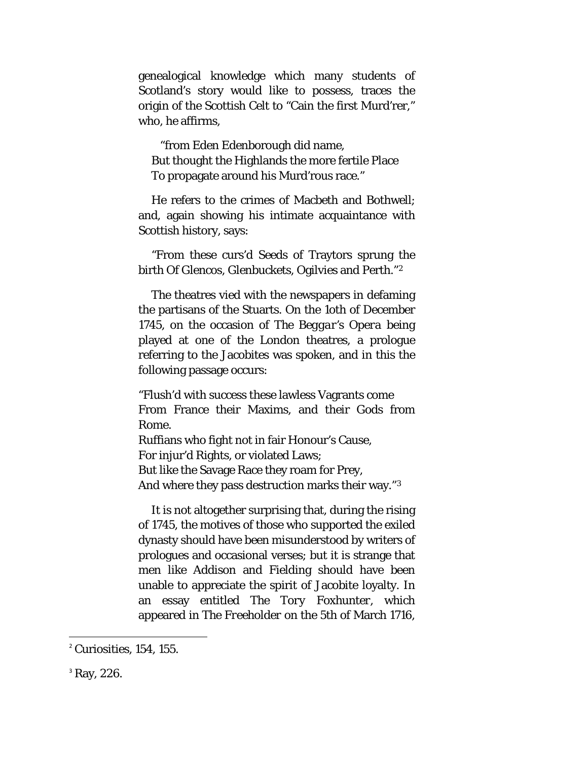genealogical knowledge which many students of Scotland's story would like to possess, traces the origin of the Scottish Celt to "Cain the first Murd'rer," who, he affirms,

"from Eden Edenborough did name, But thought the Highlands the more fertile Place To propagate around his Murd'rous race."

He refers to the crimes of Macbeth and Bothwell; and, again showing his intimate acquaintance with Scottish history, says:

"From these curs'd Seeds of Traytors sprung the birth Of Glencos, Glenbuckets, Ogilvies and Perth."[2](#page-17-0)

The theatres vied with the newspapers in defaming the partisans of the Stuarts. On the 1oth of December 1745, on the occasion of *The Beggar's Opera* being played at one of the London theatres, a prologue referring to the Jacobites was spoken, and in this the following passage occurs:

"Flush'd with success these lawless Vagrants come From France their Maxims, and their Gods from Rome. Ruffians who fight not in fair Honour's Cause, For injur'd Rights, or violated Laws; But like the Savage Race they roam for Prey, And where they pass destruction marks their way."[3](#page-17-1)

It is not altogether surprising that, during the rising of 1745, the motives of those who supported the exiled dynasty should have been misunderstood by writers of prologues and occasional verses; but it is strange that men like Addison and Fielding should have been unable to appreciate the spirit of Jacobite loyalty. In an essay entitled *The Tory Foxhunter,* which appeared in *The Freeholder* on the 5th of March 1716,

<span id="page-17-0"></span> $<sup>2</sup>$  Curiosities, 154, 155.</sup>

<span id="page-17-1"></span><sup>&</sup>lt;sup>3</sup> Ray, 226.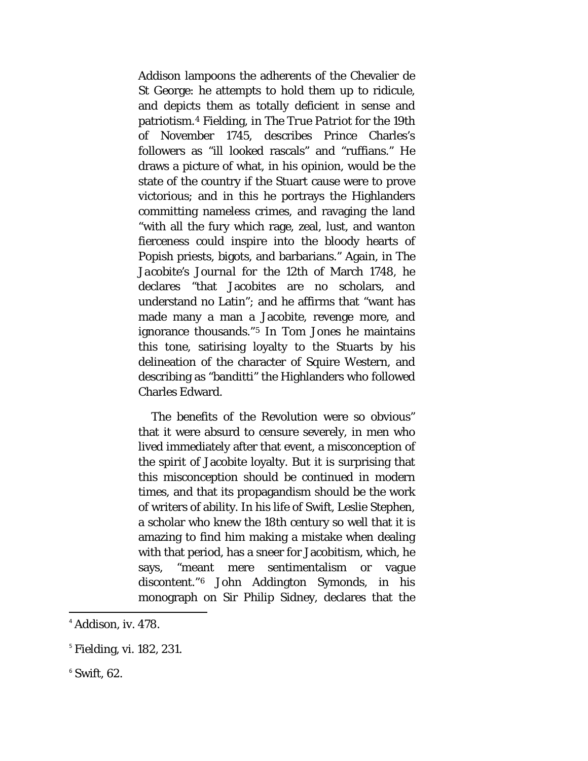Addison lampoons the adherents of the Chevalier de St George: he attempts to hold them up to ridicule, and depicts them as totally deficient in sense and patriotism.[4](#page-18-0) Fielding, in *The True Patriot* for the 19th of November 1745, describes Prince Charles's followers as "ill looked rascals" and "ruffians." He draws a picture of what, in his opinion, would be the state of the country if the Stuart cause were to prove victorious; and in this he portrays the Highlanders committing nameless crimes, and ravaging the land "with all the fury which rage, zeal, lust, and wanton fierceness could inspire into the bloody hearts of Popish priests, bigots, and barbarians." Again, in *The Jacobite's Journal for* the 12th of March 1748, he declares "that Jacobites are no scholars, and understand no Latin"; and he affirms that "want has made many a man a Jacobite, revenge more, and ignorance thousands."[5](#page-18-1) In *Tom Jones* he maintains this tone, satirising loyalty to the Stuarts by his delineation of the character of Squire Western, and describing as "banditti" the Highlanders who followed Charles Edward.

The benefits of the Revolution were so obvious" that it were absurd to censure severely, in men who lived immediately after that event, a misconception of the spirit of Jacobite loyalty. But it is surprising that this misconception should be continued in modern times, and that its propagandism should be the work of writers of ability. In his life of Swift, Leslie Stephen, a scholar who knew the 18th century so well that it is amazing to find him making a mistake when dealing with that period, has a sneer for Jacobitism, which, he says, "meant mere sentimentalism or vague discontent."[6](#page-18-2) John Addington Symonds, in his monograph on Sir Philip Sidney, declares that the

<span id="page-18-2"></span> $6$  Swift, 62.

<span id="page-18-0"></span> $<sup>4</sup>$  Addison, iv. 478.</sup>

<span id="page-18-1"></span><sup>5</sup> Fielding, vi. 182, 231.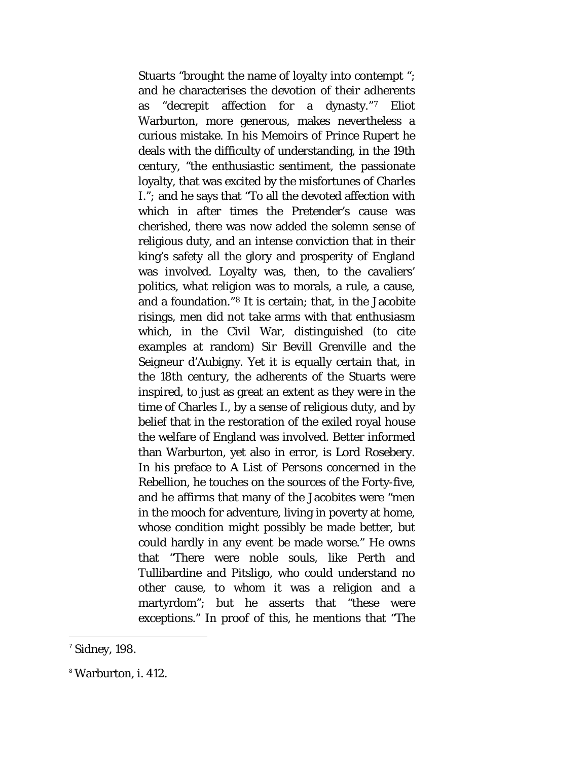Stuarts "brought the name of loyalty into contempt "; and he characterises the devotion of their adherents as "decrepit affection for a dynasty."[7](#page-19-0) Eliot Warburton, more generous, makes nevertheless a curious mistake. In his *Memoirs of Prince Rupert* he deals with the difficulty of understanding, in the 19th century, "the enthusiastic sentiment, the passionate loyalty, that was excited by the misfortunes of Charles I."*;* and he says that "To all the devoted affection with which in after times the Pretender's cause was cherished, there was now added the solemn sense of religious duty, and an intense conviction that in their king's safety all the glory and prosperity of England was involved. Loyalty was, then, to the cavaliers' politics, what religion was to morals, a rule, a cause, and a foundation."[8](#page-19-1) It is certain; that, in the Jacobite risings, men did not take arms with that enthusiasm which, in the Civil War, distinguished (to cite examples at random) Sir Bevill Grenville and the Seigneur d'Aubigny. Yet it is equally certain that, in the 18th century, the adherents of the Stuarts were inspired, to just as great an extent as they were in the time of Charles I., by a sense of religious duty, and by belief that in the restoration of the exiled royal house the welfare of England was involved. Better informed than Warburton, yet also in error, is Lord Rosebery. In his preface to *A List of Persons concerned in the Rebellion,* he touches on the sources of the Forty-five, and he affirms that many of the Jacobites were "men in the mooch for adventure, living in poverty at home, whose condition might possibly be made better, but could hardly in any event be made worse." He owns that "There were noble souls, like Perth and Tullibardine and Pitsligo, who could understand no other cause, to whom it was a religion and a martyrdom"; but he asserts that "these were exceptions." In proof of this, he mentions that "The

<span id="page-19-0"></span> $<sup>7</sup>$  Sidney, 198.</sup>

<span id="page-19-1"></span><sup>8</sup> Warburton, i. 412.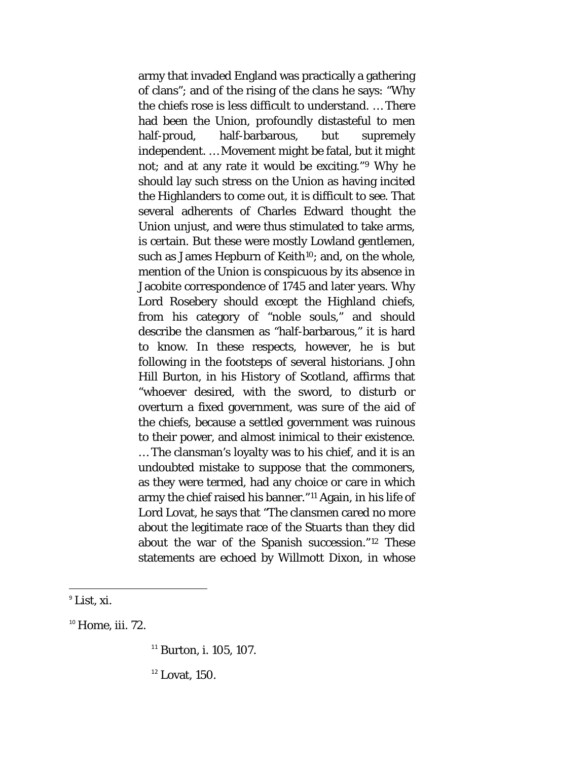army that invaded England was practically a gathering of clans"; and of the rising of the clans he says: "Why the chiefs rose is less difficult to understand. … There had been the Union, profoundly distasteful to men half-proud, half-barbarous, but supremely independent. … Movement might be fatal, but it might not; and at any rate it would be exciting."[9](#page-20-0) Why he should lay such stress on the Union as having incited the Highlanders to come out, it is difficult to see. That several adherents of Charles Edward thought the Union unjust, and were thus stimulated to take arms, is certain. But these were mostly Lowland gentlemen, such as James Hepburn of Keith<sup>[10](#page-20-1)</sup>; and, on the whole, mention of the Union is conspicuous by its absence in Jacobite correspondence of 1745 and later years. Why Lord Rosebery should except the Highland chiefs, from his category of "noble souls," and should describe the clansmen as "half-barbarous," it is hard to know. In these respects, however, he is but following in the footsteps of several historians. John Hill Burton, in his *History of Scotland,* affirms that "whoever desired, with the sword, to disturb or overturn a fixed government, was sure of the aid of the chiefs, because a settled government was ruinous to their power, and almost inimical to their existence. … The clansman's loyalty was to his chief, and it is an undoubted mistake to suppose that the commoners, as they were termed, had any choice or care in which army the chief raised his banner."[11](#page-20-2) Again, in his life of Lord Lovat, he says that "The clansmen cared no more about the legitimate race of the Stuarts than they did about the war of the Spanish succession."[12](#page-20-3) These statements are echoed by Willmott Dixon, in whose

<span id="page-20-3"></span><span id="page-20-2"></span><span id="page-20-1"></span> $10$  Home, iii, 72.

<sup>11</sup> Burton, i. 105, 107.

 $12$  Lovat, 150.

<span id="page-20-0"></span> $\mathrm{P}$  List, xi.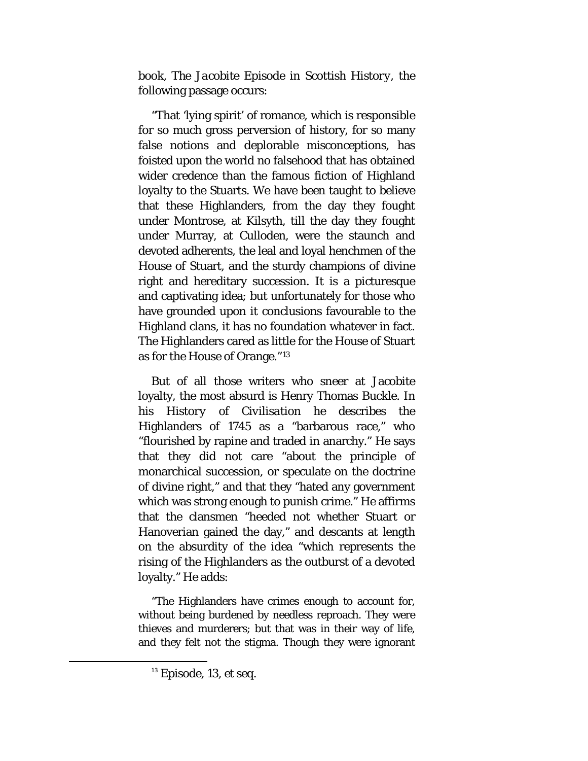book, *The Jacobite Episode in Scottish History,* the following passage occurs:

"That 'lying spirit' of romance, which is responsible for so much gross perversion of history, for so many false notions and deplorable misconceptions, has foisted upon the world no falsehood that has obtained wider credence than the famous fiction of Highland loyalty to the Stuarts. We have been taught to believe that these Highlanders, from the day they fought under Montrose, at Kilsyth, till the day they fought under Murray, at Culloden, were the staunch and devoted adherents, the leal and loyal henchmen of the House of Stuart, and the sturdy champions of divine right and hereditary succession. It is a picturesque and captivating idea; but unfortunately for those who have grounded upon it conclusions favourable to the Highland clans, it has no foundation whatever in fact. The Highlanders cared as little for the House of Stuart as for the House of Orange."[13](#page-21-0)

But of all those writers who sneer at Jacobite loyalty, the most absurd is Henry Thomas Buckle. In his *History of Civilisation* he describes the Highlanders of 1745 as a "barbarous race," who "flourished by rapine and traded in anarchy." He says that they did not care "about the principle of monarchical succession, or speculate on the doctrine of divine right," and that they "hated any government which was strong enough to punish crime." He affirms that the clansmen "heeded not whether Stuart or Hanoverian gained the day," and descants at length on the absurdity of the idea "which represents the rising of the Highlanders as the outburst of a devoted loyalty." He adds:

"The Highlanders have crimes enough to account for, without being burdened by needless reproach. They were thieves and murderers; but that was in their way of life, and they felt not the stigma. Though they were ignorant

<span id="page-21-0"></span> <sup>13</sup> Episode, 13, *et seq.*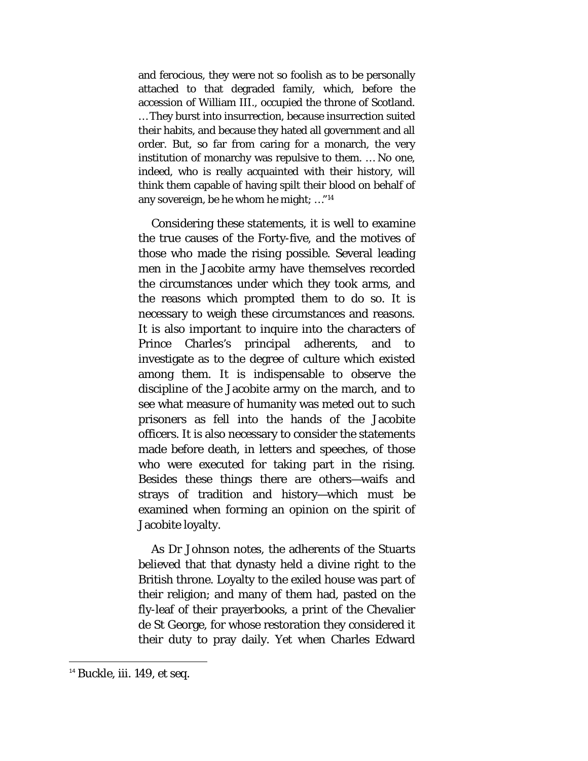and ferocious, they were not so foolish as to be personally attached to that degraded family, which, before the accession of William III., occupied the throne of Scotland. … They burst into insurrection, because insurrection suited their habits, and because they hated all government and all order. But, so far from caring for a monarch, the very institution of monarchy was repulsive to them. … No one, indeed, who is really acquainted with their history, will think them capable of having spilt their blood on behalf of any sovereign, be he whom he might; …"[14](#page-22-0)

Considering these statements, it is well to examine the true causes of the Forty-five, and the motives of those who made the rising possible. Several leading men in the Jacobite army have themselves recorded the circumstances under which they took arms, and the reasons which prompted them to do so. It is necessary to weigh these circumstances and reasons. It is also important to inquire into the characters of Prince Charles's principal adherents, and to investigate as to the degree of culture which existed among them. It is indispensable to observe the discipline of the Jacobite army on the march, and to see what measure of humanity was meted out to such prisoners as fell into the hands of the Jacobite officers. It is also necessary to consider the statements made before death, in letters and speeches, of those who were executed for taking part in the rising. Besides these things there are others—waifs and strays of tradition and history—which must be examined when forming an opinion on the spirit of Jacobite loyalty.

As Dr Johnson notes, the adherents of the Stuarts believed that that dynasty held a divine right to the British throne. Loyalty to the exiled house was part of their religion; and many of them had, pasted on the fly-leaf of their prayerbooks, a print of the Chevalier de St George, for whose restoration they considered it their duty to pray daily. Yet when Charles Edward

<span id="page-22-0"></span> <sup>14</sup> Buckle, iii. 149, *et seq.*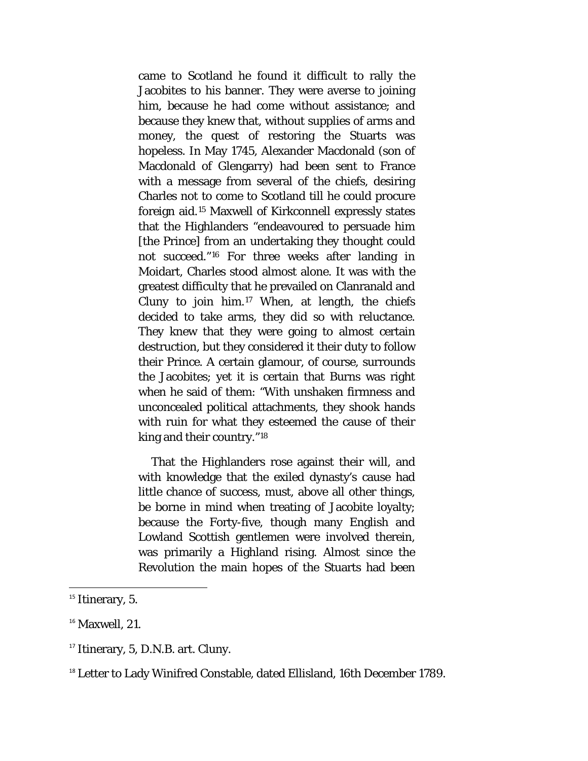came to Scotland he found it difficult to rally the Jacobites to his banner. They were averse to joining him, because he had come without assistance; and because they knew that, without supplies of arms and money, the quest of restoring the Stuarts was hopeless. In May 1745, Alexander Macdonald (son of Macdonald of Glengarry) had been sent to France with a message from several of the chiefs, desiring Charles not to come to Scotland till he could procure foreign aid.[15](#page-23-0) Maxwell of Kirkconnell expressly states that the Highlanders "endeavoured to persuade him [the Prince] from an undertaking they thought could not succeed."[16](#page-23-1) For three weeks after landing in Moidart, Charles stood almost alone. It was with the greatest difficulty that he prevailed on Clanranald and Cluny to join him.[17](#page-23-2) When, at length, the chiefs decided to take arms, they did so with reluctance. They knew that they were going to almost certain destruction, but they considered it their duty to follow their Prince. A certain glamour, of course, surrounds the Jacobites; yet it is certain that Burns was right when he said of them: "With unshaken firmness and unconcealed political attachments, they shook hands with ruin for what they esteemed the cause of their king and their country."[18](#page-23-3)

That the Highlanders rose against their will, and with knowledge that the exiled dynasty's cause had little chance of success, must, above all other things, be borne in mind when treating of Jacobite loyalty; because the Forty-five, though many English and Lowland Scottish gentlemen were involved therein, was primarily a Highland rising. Almost since the Revolution the main hopes of the Stuarts had been

<span id="page-23-0"></span> $15$  Itinerary, 5.

<span id="page-23-1"></span> $16$  Maxwell, 21.

<span id="page-23-2"></span><sup>&</sup>lt;sup>17</sup> Itinerary, 5, D.N.B. art. Cluny.

<span id="page-23-3"></span><sup>&</sup>lt;sup>18</sup> Letter to Lady Winifred Constable, dated Ellisland, 16th December 1789.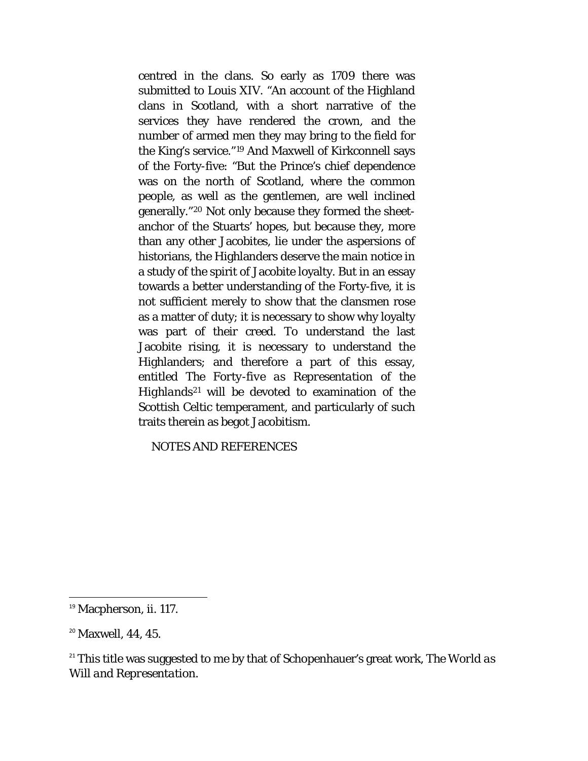centred in the clans. So early as 1709 there was submitted to Louis XIV. "An account of the Highland clans in Scotland, with a short narrative of the services they have rendered the crown, and the number of armed men they may bring to the field for the King's service."[19](#page-24-0) And Maxwell of Kirkconnell says of the Forty-five: "But the Prince's chief dependence was on the north of Scotland, where the common people, as well as the gentlemen, are well inclined generally."[20](#page-24-1) Not only because they formed the sheetanchor of the Stuarts' hopes, but because they, more than any other Jacobites, lie under the aspersions of historians, the Highlanders deserve the main notice in a study of the spirit of Jacobite loyalty. But in an essay towards a better understanding of the Forty-five, it is not sufficient merely to show that the clansmen rose as a matter of duty; it is necessary to show why loyalty was part of their creed. To understand the last Jacobite rising, it is necessary to understand the Highlanders; and therefore a part of this essay, entitled *The Forty-five as Representation of the Highlands[21](#page-24-2)* will be devoted to examination of the Scottish Celtic temperament, and particularly of such traits therein as begot Jacobitism.

NOTES AND REFERENCES

<span id="page-24-0"></span><sup>&</sup>lt;sup>19</sup> Macpherson, ii. 117.

<span id="page-24-1"></span><sup>&</sup>lt;sup>20</sup> Maxwell, 44, 45.

<span id="page-24-2"></span><sup>21</sup> This title was suggested to me by that of Schopenhauer's great work, *The World as Will and Representation.*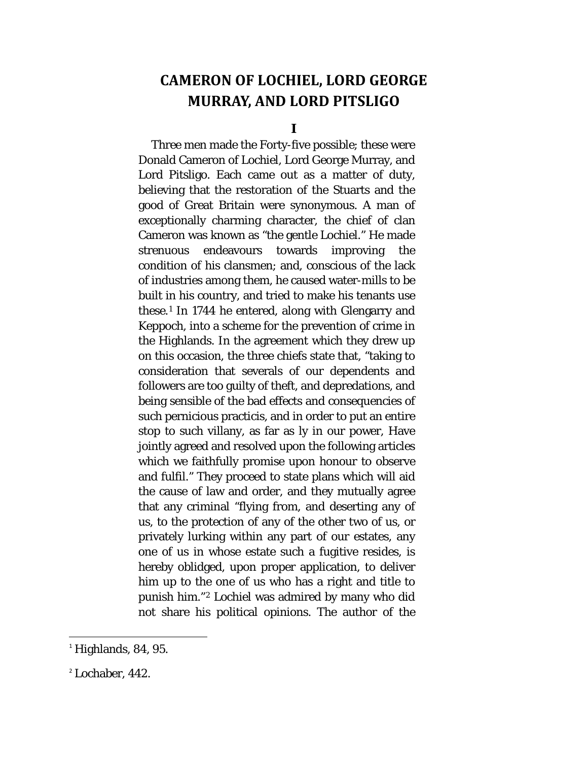## <span id="page-25-0"></span>**CAMERON OF LOCHIEL, LORD GEORGE MURRAY, AND LORD PITSLIGO**

**I**

<span id="page-25-1"></span>Three men made the Forty-five possible; these were Donald Cameron of Lochiel, Lord George Murray, and Lord Pitsligo. Each came out as a matter of duty, believing that the restoration of the Stuarts and the good of Great Britain were synonymous. A man of exceptionally charming character, the chief of clan Cameron was known as "the gentle Lochiel." He made strenuous endeavours towards improving the condition of his clansmen; and, conscious of the lack of industries among them, he caused water-mills to be built in his country, and tried to make his tenants use these.[1](#page-25-2) In 1744 he entered, along with Glengarry and Keppoch, into a scheme for the prevention of crime in the Highlands. In the agreement which they drew up on this occasion, the three chiefs state that, "taking to consideration that severals of our dependents and followers are too guilty of theft, and depredations, and being sensible of the bad effects and consequencies of such pernicious practicis, and in order to put an entire stop to such villany, as far as ly in our power, Have jointly agreed and resolved upon the following articles which we faithfully promise upon honour to observe and fulfil." They proceed to state plans which will aid the cause of law and order, and they mutually agree that any criminal "flying from, and deserting any of us, to the protection of any of the other two of us, or privately lurking within any part of our estates, any one of us in whose estate such a fugitive resides, is hereby oblidged, upon proper application, to deliver him up to the one of us who has a right and title to punish him."[2](#page-25-3) Lochiel was admired by many who did not share his political opinions. The author of the

<span id="page-25-2"></span> $<sup>1</sup>$  Highlands, 84, 95.</sup>

<span id="page-25-3"></span><sup>2</sup> Lochaber, 442.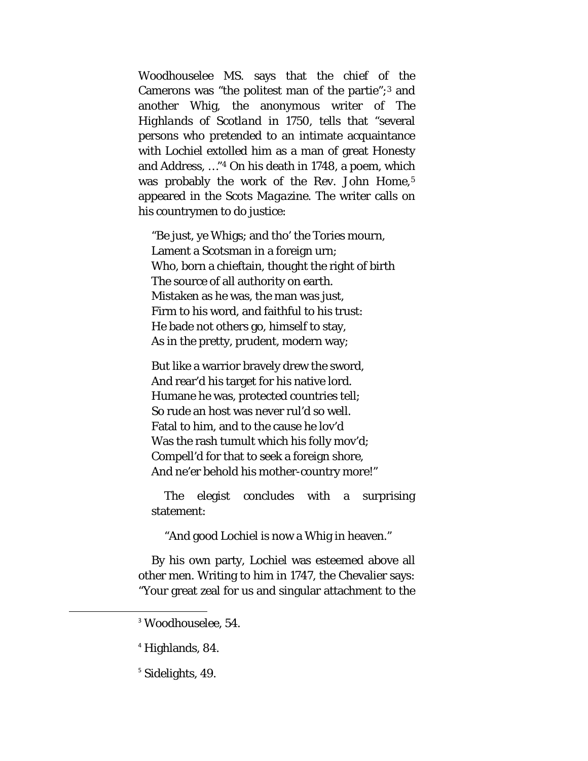Woodhouselee MS. says that the chief of the Camerons was "the politest man of the partie";[3](#page-26-0) and another Whig, the anonymous writer of *The Highlands of Scotland in 1750,* tells that "several persons who pretended to an intimate acquaintance with Lochiel extolled him as a man of great Honesty and Address, …*"[4](#page-26-1)* On his death in 1748, a poem, which was probably the work of the Rev. John Home,<sup>[5](#page-26-2)</sup> appeared in the *Scots Magazine.* The writer calls on his countrymen to do justice:

"Be just, ye Whigs; and tho' the Tories mourn, Lament a Scotsman in a foreign urn; Who, born a chieftain, thought the right of birth The source of all authority on earth. Mistaken as he was, the man was just, Firm to his word, and faithful to his trust: He bade not others go, himself to stay, As in the pretty, prudent, modern way;

But like a warrior bravely drew the sword, And rear'd his target for his native lord. Humane he was, protected countries tell; So rude an host was never rul'd so well. Fatal to him, and to the cause he lov'd Was the rash tumult which his folly mov'd; Compell'd for that to seek a foreign shore, And ne'er behold his mother-country more!"

The elegist concludes with a surprising statement:

"And good Lochiel is now a Whig in heaven."

By his own party, Lochiel was esteemed above all other men. Writing to him in 1747, the Chevalier says: "Your great zeal for us and singular attachment to the

<span id="page-26-0"></span> <sup>3</sup> Woodhouselee, 54.

<span id="page-26-1"></span><sup>4</sup> Highlands, 84.

<span id="page-26-2"></span><sup>&</sup>lt;sup>5</sup> Sidelights, 49.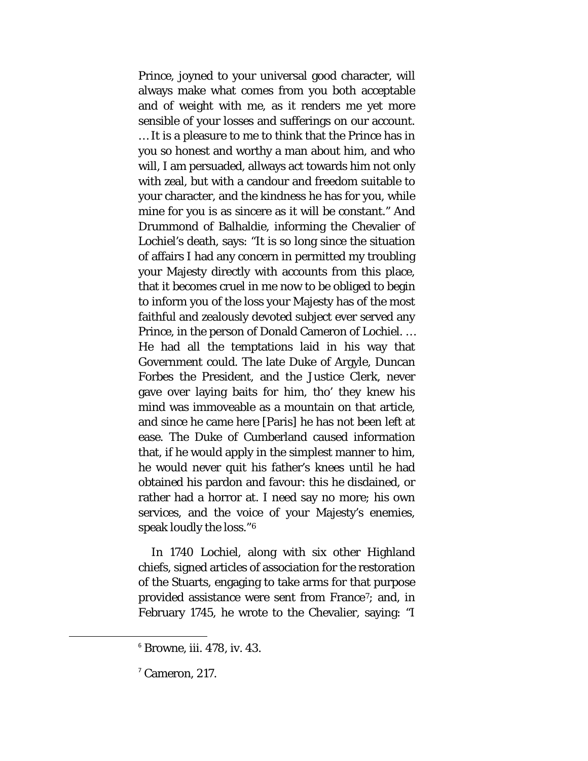Prince, joyned to your universal good character, will always make what comes from you both acceptable and of weight with me, as it renders me yet more sensible of your losses and sufferings on our account. … It is a pleasure to me to think that the Prince has in you so honest and worthy a man about him, and who will, I am persuaded, allways act towards him not only with zeal, but with a candour and freedom suitable to your character, and the kindness he has for you, while mine for you is as sincere as it will be constant." And Drummond of Balhaldie, informing the Chevalier of Lochiel's death, says: "It is so long since the situation of affairs I had any concern in permitted my troubling your Majesty directly with accounts from this place, that it becomes cruel in me now to be obliged to begin to inform you of the loss your Majesty has of the most faithful and zealously devoted subject ever served any Prince, in the person of Donald Cameron of Lochiel. … He had all the temptations laid in his way that Government could. The late Duke of Argyle, Duncan Forbes the President, and the Justice Clerk, never gave over laying baits for him, tho' they knew his mind was immoveable as a mountain on that article, and since he came here [Paris] he has not been left at ease. The Duke of Cumberland caused information that, if he would apply in the simplest manner to him, he would never quit his father's knees until he had obtained his pardon and favour: this he disdained, or rather had a horror at. I need say no more; his own services, and the voice of your Majesty's enemies, speak loudly the loss."[6](#page-27-0)

In 1740 Lochiel, along with six other Highland chiefs, signed articles of association for the restoration of the Stuarts, engaging to take arms for that purpose provided assistance were sent from France[7](#page-27-1); and, in February 1745, he wrote to the Chevalier, saying: "I

<span id="page-27-0"></span> $6$  Browne, iii. 478, iv. 43.

<span id="page-27-1"></span> $<sup>7</sup>$  Cameron, 217.</sup>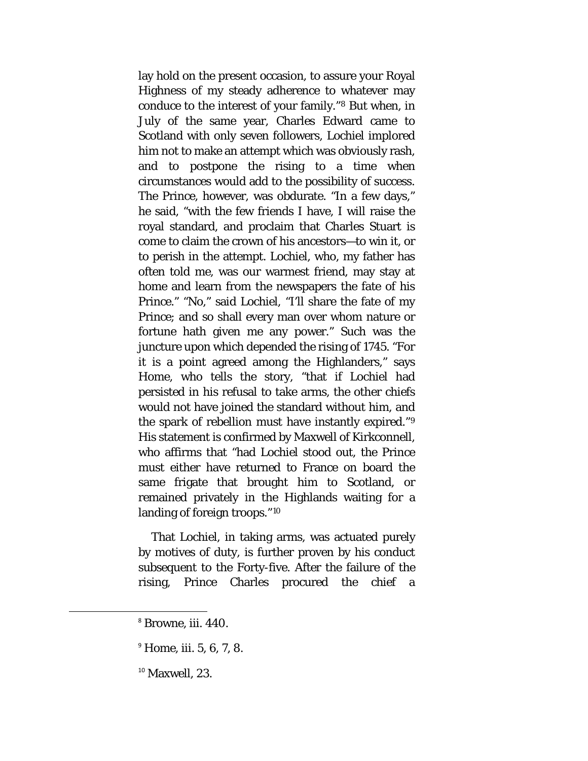lay hold on the present occasion, to assure your Royal Highness of my steady adherence to whatever may conduce to the interest of your family."[8](#page-28-0) But when, in July of the same year, Charles Edward came to Scotland with only seven followers, Lochiel implored him not to make an attempt which was obviously rash, and to postpone the rising to a time when circumstances would add to the possibility of success. The Prince, however, was obdurate. "In a few days," he said, "with the few friends I have, I will raise the royal standard, and proclaim that Charles Stuart is come to claim the crown of his ancestors—to win it, or to perish in the attempt. Lochiel, who, my father has often told me, was our warmest friend, may stay at home and learn from the newspapers the fate of his Prince." "No," said Lochiel, "I'll share the fate of my Prince; and so shall every man over whom nature or fortune hath given me any power." Such was the juncture upon which depended the rising of 1745. "For it is a point agreed among the Highlanders," says Home, who tells the story, "that if Lochiel had persisted in his refusal to take arms, the other chiefs would not have joined the standard without him, and the spark of rebellion must have instantly expired."[9](#page-28-1) His statement is confirmed by Maxwell of Kirkconnell, who affirms that "had Lochiel stood out, the Prince must either have returned to France on board the same frigate that brought him to Scotland, or remained privately in the Highlands waiting for a landing of foreign troops."[10](#page-28-2)

That Lochiel, in taking arms, was actuated purely by motives of duty, is further proven by his conduct subsequent to the Forty-five. After the failure of the rising, Prince Charles procured the chief a

<span id="page-28-0"></span> <sup>8</sup> Browne, iii. 440.

<span id="page-28-1"></span> $^{9}$  Home, iii. 5, 6, 7, 8.

<span id="page-28-2"></span> $10$  Maxwell, 23.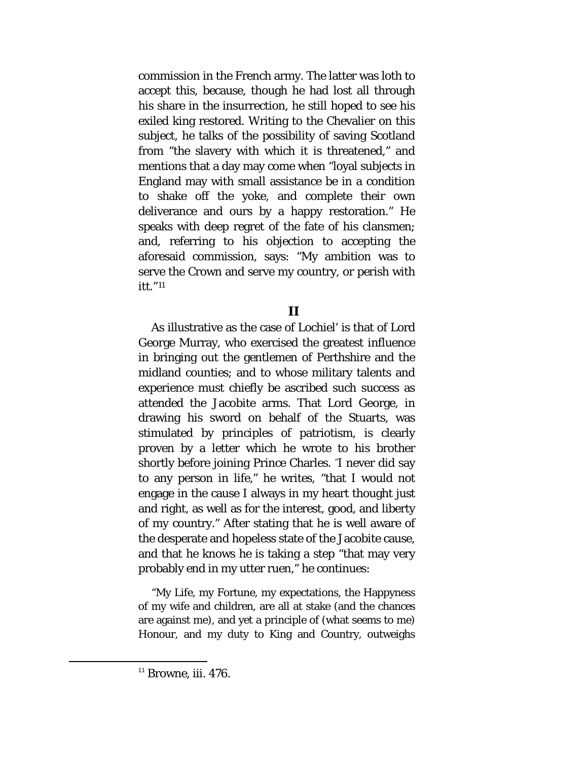commission in the French army. The latter was loth to accept this, because, though he had lost all through his share in the insurrection, he still hoped to see his exiled king restored. Writing to the Chevalier on this subject, he talks of the possibility of saving Scotland from "the slavery with which it is threatened," and mentions that a day may come when "loyal subjects in England may with small assistance be in a condition to shake off the yoke, and complete their own deliverance and ours by a happy restoration." He speaks with deep regret of the fate of his clansmen; and, referring to his objection to accepting the aforesaid commission, says: "My ambition was to serve the Crown and serve my country, or perish with itt."[11](#page-29-1)

#### **II**

<span id="page-29-0"></span>As illustrative as the case of Lochiel' is that of Lord George Murray, who exercised the greatest influence in bringing out the gentlemen of Perthshire and the midland counties; and to whose military talents and experience must chiefly be ascribed such success as attended the Jacobite arms. That Lord George, in drawing his sword on behalf of the Stuarts, was stimulated by principles of patriotism, is clearly proven by a letter which he wrote to his brother shortly before joining Prince Charles. "I never did say to any person in life," he writes, "that I would not engage in the cause I always in my heart thought just and right, as well as for the interest, good, and liberty of my country." After stating that he is well aware of the desperate and hopeless state of the Jacobite cause, and that he knows he is taking a step "that may very probably end in my utter ruen," he continues:

"My Life, my Fortune, my expectations, the Happyness of my wife and children, are all at stake (and the chances are against me), and yet a principle of (what seems to me) Honour, and my duty to King and Country, outweighs

<span id="page-29-1"></span> $11$  Browne, iii. 476.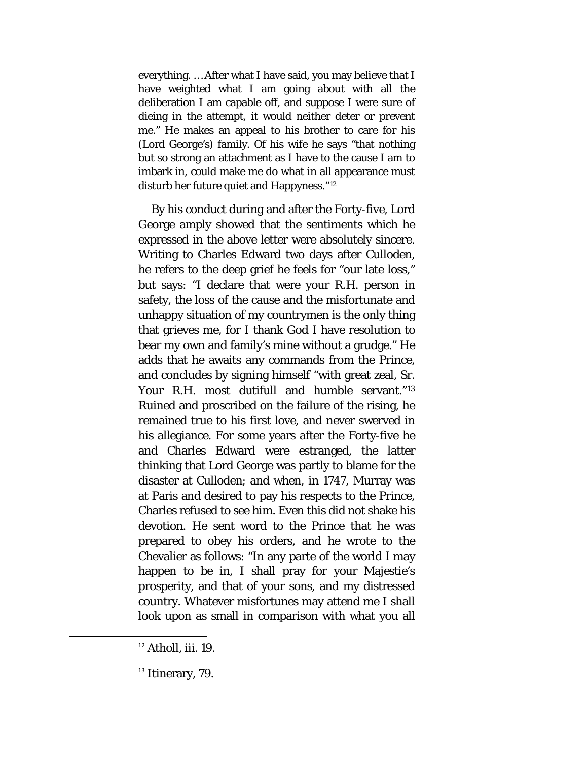everything. … After what I have said, you may believe that I have weighted what I am going about with all the deliberation I am capable off, and suppose I were sure of dieing in the attempt, it would neither deter or prevent me." He makes an appeal to his brother to care for his (Lord George's) family. Of his wife he says "that nothing but so strong an attachment as I have to the cause I am to imbark in, could make me do what in all appearance must disturb her future quiet and Happyness.["12](#page-30-0)

By his conduct during and after the Forty-five, Lord George amply showed that the sentiments which he expressed in the above letter were absolutely sincere. Writing to Charles Edward two days after Culloden, he refers to the deep grief he feels for "our late loss," but says: "I declare that were your R.H. person in safety, the loss of the cause and the misfortunate and unhappy situation of my countrymen is the only thing that grieves me, for I thank God I have resolution to bear my own and family's mine without a grudge." He adds that he awaits any commands from the Prince, and concludes by signing himself "with great zeal, Sr. Your R.H. most dutifull and humble servant."<sup>[13](#page-30-1)</sup> Ruined and proscribed on the failure of the rising, he remained true to his first love, and never swerved in his allegiance. For some years after the Forty-five he and Charles Edward were estranged, the latter thinking that Lord George was partly to blame for the disaster at Culloden; and when, in 1747, Murray was at Paris and desired to pay his respects to the Prince, Charles refused to see him. Even this did not shake his devotion. He sent word to the Prince that he was prepared to obey his orders, and he wrote to the Chevalier as follows: "In any parte of the world I may happen to be in, I shall pray for your Majestie's prosperity, and that of your sons, and my distressed country. Whatever misfortunes may attend me I shall look upon as small in comparison with what you all

<span id="page-30-0"></span> $12$  Atholl, iii. 19.

<span id="page-30-1"></span><sup>&</sup>lt;sup>13</sup> Itinerary, 79.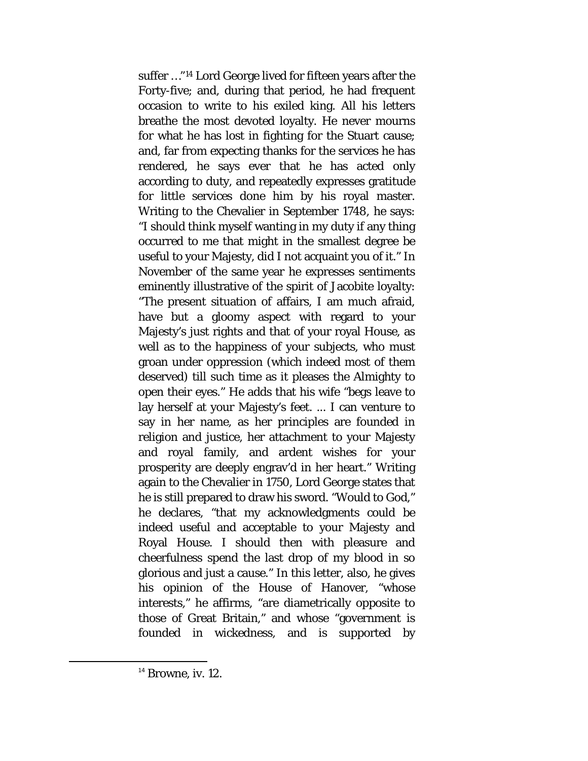suffer …"[14](#page-31-0) Lord George lived for fifteen years after the Forty-five; and, during that period, he had frequent occasion to write to his exiled king. All his letters breathe the most devoted loyalty. He never mourns for what he has lost in fighting for the Stuart cause; and, far from expecting thanks for the services he has rendered, he says ever that he has acted only according to duty, and repeatedly expresses gratitude for little services done him by his royal master. Writing to the Chevalier in September 1748, he says: "I should think myself wanting in my duty if any thing occurred to me that might in the smallest degree be useful to your Majesty, did I not acquaint you of it." In November of the same year he expresses sentiments eminently illustrative of the spirit of Jacobite loyalty: "The present situation of affairs, I am much afraid, have but a gloomy aspect with regard to your Majesty's just rights and that of your royal House, as well as to the happiness of your subjects, who must groan under oppression (which indeed most of them deserved) till such time as it pleases the Almighty to open their eyes." He adds that his wife "begs leave to lay herself at your Majesty's feet. ... I can venture to say in her name, as her principles are founded in religion and justice, her attachment to your Majesty and royal family, and ardent wishes for your prosperity are deeply engrav'd in her heart." Writing again to the Chevalier in 1750, Lord George states that he is still prepared to draw his sword. "Would to God," he declares, "that my acknowledgments could be indeed useful and acceptable to your Majesty and Royal House. I should then with pleasure and cheerfulness spend the last drop of my blood in so glorious and just a cause." In this letter, also, he gives his opinion of the House of Hanover, "whose interests," he affirms, "are diametrically opposite to those of Great Britain," and whose "government is founded in wickedness, and is supported by

<span id="page-31-0"></span> $14$  Browne, iv. 12.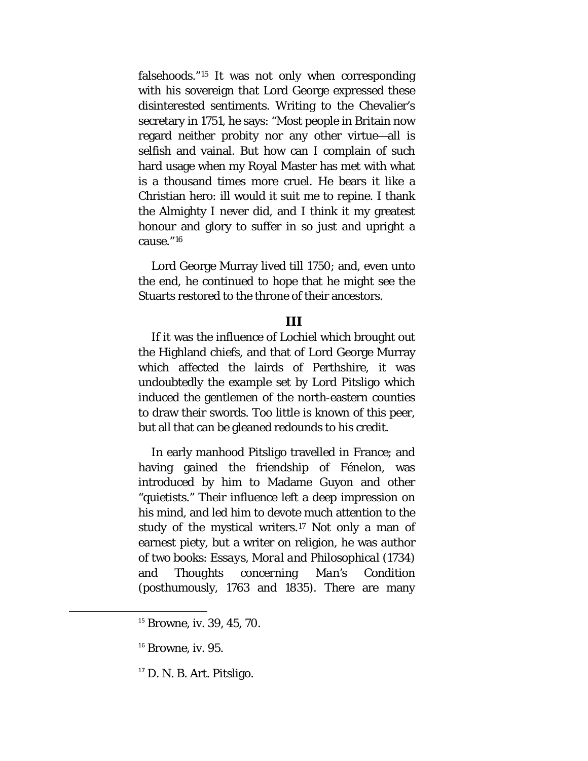falsehoods."[15](#page-32-1) It was not only when corresponding with his sovereign that Lord George expressed these disinterested sentiments. Writing to the Chevalier's secretary in 1751, he says: "Most people in Britain now regard neither probity nor any other virtue—all is selfish and vainal. But how can I complain of such hard usage when my Royal Master has met with what is a thousand times more cruel. He bears it like a Christian hero: ill would it suit me to repine. I thank the Almighty I never did, and I think it my greatest honour and glory to suffer in so just and upright a cause."[16](#page-32-2)

Lord George Murray lived till 1750; and, even unto the end, he continued to hope that he might see the Stuarts restored to the throne of their ancestors.

#### **III**

<span id="page-32-0"></span>If it was the influence of Lochiel which brought out the Highland chiefs, and that of Lord George Murray which affected the lairds of Perthshire, it was undoubtedly the example set by Lord Pitsligo which induced the gentlemen of the north-eastern counties to draw their swords. Too little is known of this peer, but all that can be gleaned redounds to his credit.

In early manhood Pitsligo travelled in France; and having gained the friendship of Fénelon, was introduced by him to Madame Guyon and other "quietists." Their influence left a deep impression on his mind, and led him to devote much attention to the study of the mystical writers.<sup>[17](#page-32-3)</sup> Not only a man of earnest piety, but a writer on religion, he was author of two books: *Essays, Moral and Philosophical* (1734) and *Thoughts concerning Man's Condition*  (posthumously, 1763 and 1835). There are many

<span id="page-32-1"></span><sup>&</sup>lt;sup>15</sup> Browne, iv. 39, 45, 70.

<span id="page-32-2"></span> $16$  Browne, iv. 95.

<span id="page-32-3"></span> $17$  D. N. B. Art. Pitsligo.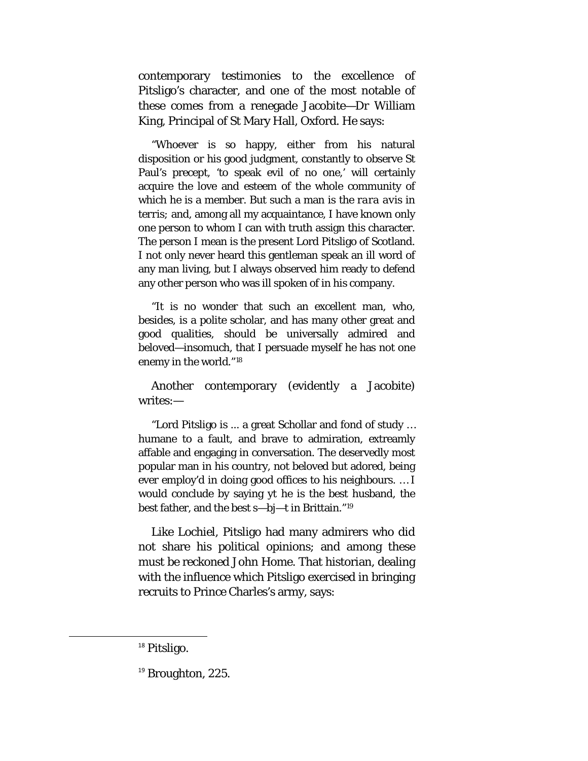contemporary testimonies to the excellence of Pitsligo's character, and one of the most notable of these comes from a renegade Jacobite—Dr William King, Principal of St Mary Hall, Oxford. He says:

"Whoever is so happy, either from his natural disposition or his good judgment, constantly to observe St Paul's precept, 'to speak evil of no one,' will certainly acquire the love and esteem of the whole community of which he is a member. But such a man is the *rara avis in terris;* and, among all my acquaintance, I have known only one person to whom I can with truth assign this character. The person I mean is the present Lord Pitsligo of Scotland. I not only never heard this gentleman speak an ill word of any man living, but I always observed him ready to defend any other person who was ill spoken of in his company.

"It is no wonder that such an excellent man, who, besides, is a polite scholar, and has many other great and good qualities, should be universally admired and beloved—insomuch, that I persuade myself he has not one enemy in the world."[18](#page-33-0)

Another contemporary (evidently a Jacobite) writes:—

"Lord Pitsligo is ... a great Schollar and fond of study … humane to a fault, and brave to admiration, extreamly affable and engaging in conversation. The deservedly most popular man in his country, not beloved but adored, being ever employ'd in doing good offices to his neighbours. … I would conclude by saying yt he is the best husband, the best father, and the best s—bj—t in Brittain."[19](#page-33-1)

Like Lochiel, Pitsligo had many admirers who did not share his political opinions; and among these must be reckoned John Home. That historian, dealing with the influence which Pitsligo exercised in bringing recruits to Prince Charles's army, says:

<span id="page-33-0"></span><sup>&</sup>lt;sup>18</sup> Pitsligo.

<span id="page-33-1"></span> $19$  Broughton, 225.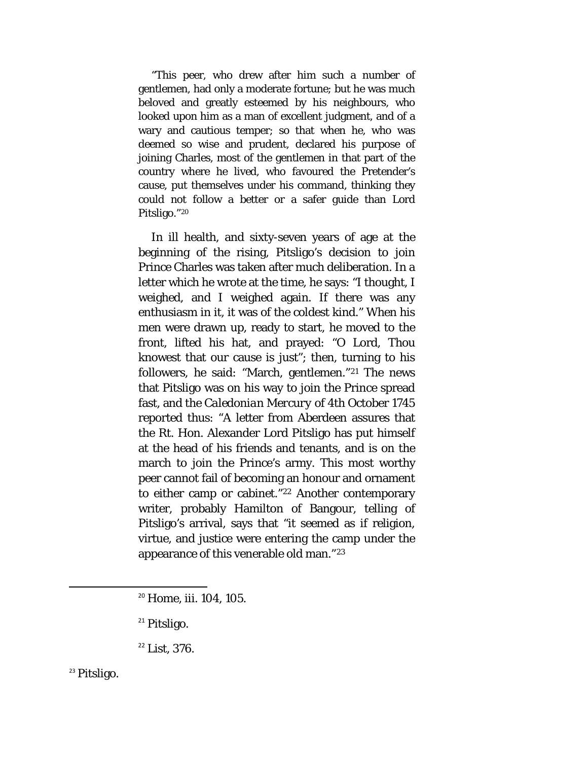"This peer, who drew after him such a number of gentlemen, had only a moderate fortune; but he was much beloved and greatly esteemed by his neighbours, who looked upon him as a man of excellent judgment, and of a wary and cautious temper; so that when he, who was deemed so wise and prudent, declared his purpose of joining Charles, most of the gentlemen in that part of the country where he lived, who favoured the Pretender's cause, put themselves under his command, thinking they could not follow a better or a safer guide than Lord Pitsligo."[20](#page-34-0)

In ill health, and sixty-seven years of age at the beginning of the rising, Pitsligo's decision to join Prince Charles was taken after much deliberation. In a letter which he wrote at the time, he says: "I thought, I weighed, and I weighed again. If there was any enthusiasm in it, it was of the coldest kind." When his men were drawn up, ready to start, he moved to the front, lifted his hat, and prayed: "O Lord, Thou knowest that our cause is just"; then, turning to his followers, he said: "March, gentlemen."[21](#page-34-1) The news that Pitsligo was on his way to join the Prince spread fast, and the *Caledonian Mercury* of 4th October 1745 reported thus: "A letter from Aberdeen assures that the Rt. Hon. Alexander Lord Pitsligo has put himself at the head of his friends and tenants, and is on the march to join the Prince's army. This most worthy peer cannot fail of becoming an honour and ornament to either camp or cabinet."[22](#page-34-2) Another contemporary writer, probably Hamilton of Bangour, telling of Pitsligo's arrival, says that "it seemed as if religion, virtue, and justice were entering the camp under the appearance of this venerable old man."[23](#page-34-3)

<span id="page-34-3"></span><span id="page-34-2"></span><span id="page-34-1"></span><span id="page-34-0"></span><sup>23</sup> Pitsligo.

<sup>&</sup>lt;sup>20</sup> Home, iii. 104, 105.

<sup>&</sup>lt;sup>21</sup> Pitsligo.

<sup>22</sup> List, 376.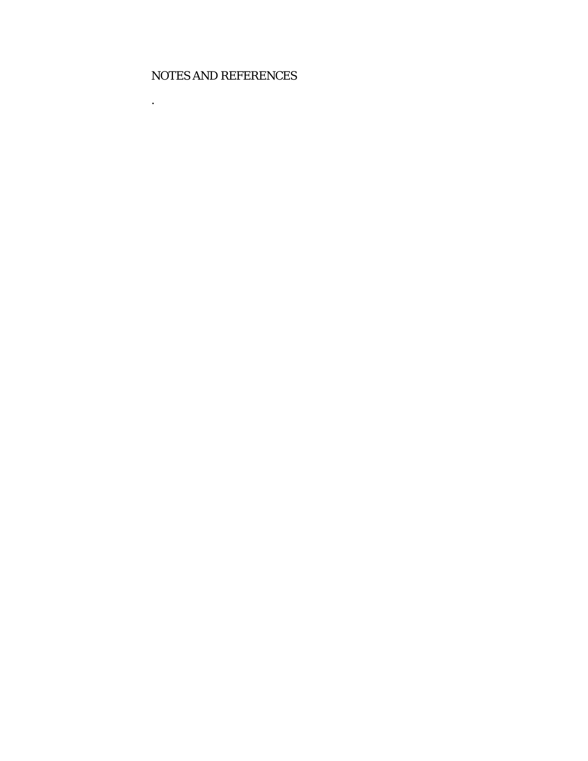#### NOTES AND REFERENCES

.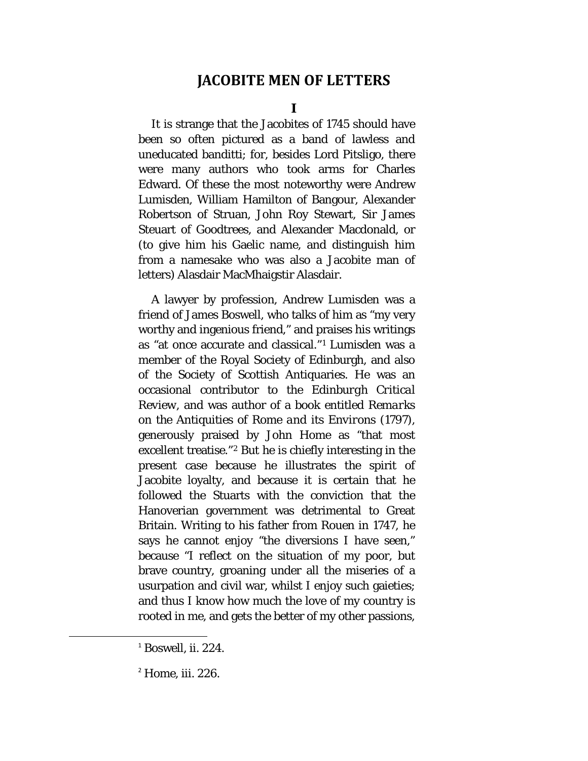# **JACOBITE MEN OF LETTERS**

**I**

It is strange that the Jacobites of 1745 should have been so often pictured as a band of lawless and uneducated banditti; for, besides Lord Pitsligo, there were many authors who took arms for Charles Edward. Of these the most noteworthy were Andrew Lumisden, William Hamilton of Bangour, Alexander Robertson of Struan, John Roy Stewart, Sir James Steuart of Goodtrees, and Alexander Macdonald, or (to give him his Gaelic name, and distinguish him from a namesake who was also a Jacobite man of letters) Alasdair MacMhaigstir Alasdair.

A lawyer by profession, Andrew Lumisden was a friend of James Boswell, who talks of him as "my very worthy and ingenious friend," and praises his writings as "at once accurate and classical."[1](#page-36-0) Lumisden was a member of the Royal Society of Edinburgh, and also of the Society of Scottish Antiquaries. He was an occasional contributor to the *Edinburgh Critical Review,* and was author of a book entitled *Remarks on the Antiquities of Rome and its Environs* (1797), generously praised by John Home as "that most excellent treatise."[2](#page-36-1) But he is chiefly interesting in the present case because he illustrates the spirit of Jacobite loyalty, and because it is certain that he followed the Stuarts with the conviction that the Hanoverian government was detrimental to Great Britain. Writing to his father from Rouen in 1747, he says he cannot enjoy "the diversions I have seen," because "I reflect on the situation of my poor, but brave country, groaning under all the miseries of a usurpation and civil war, whilst I enjoy such gaieties; and thus I know how much the love of my country is rooted in me, and gets the better of my other passions,

<span id="page-36-0"></span> $1$  Boswell, ii. 224.

<span id="page-36-1"></span><sup>&</sup>lt;sup>2</sup> Home, iii. 226.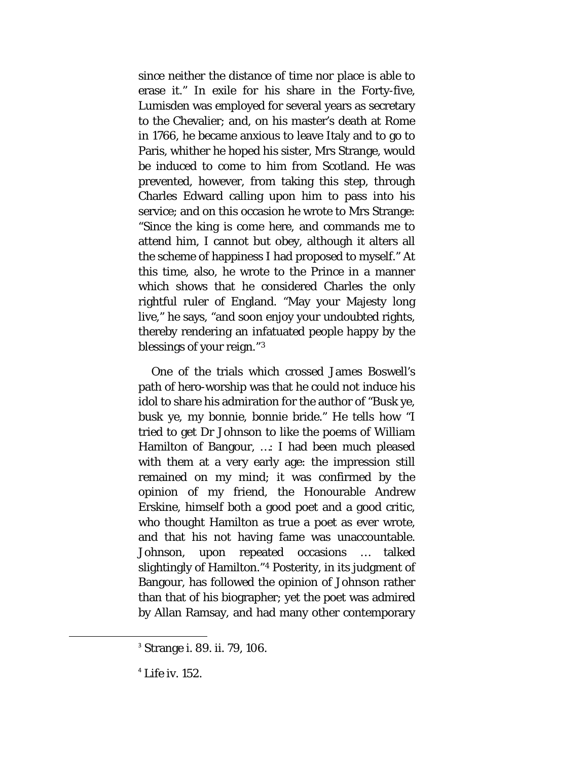since neither the distance of time nor place is able to erase it." In exile for his share in the Forty-five, Lumisden was employed for several years as secretary to the Chevalier; and, on his master's death at Rome in 1766, he became anxious to leave Italy and to go to Paris, whither he hoped his sister, Mrs Strange, would be induced to come to him from Scotland. He was prevented, however, from taking this step, through Charles Edward calling upon him to pass into his service; and on this occasion he wrote to Mrs Strange: "Since the king is come here, and commands me to attend him, I cannot but obey, although it alters all the scheme of happiness I had proposed to myself." At this time, also, he wrote to the Prince in a manner which shows that he considered Charles the only rightful ruler of England. "May your Majesty long live," he says, "and soon enjoy your undoubted rights, thereby rendering an infatuated people happy by the blessings of your reign."[3](#page-37-0)

One of the trials which crossed James Boswell's path of hero-worship was that he could not induce his idol to share his admiration for the author of "Busk ye, busk ye, my bonnie, bonnie bride." He tells how "I tried to get Dr Johnson to like the poems of William Hamilton of Bangour, …: I had been much pleased with them at a very early age: the impression still remained on my mind; it was confirmed by the opinion of my friend, the Honourable Andrew Erskine, himself both a good poet and a good critic, who thought Hamilton as true a poet as ever wrote, and that his not having fame was unaccountable. Johnson, upon repeated occasions … talked slightingly of Hamilton."[4](#page-37-1) Posterity, in its judgment of Bangour, has followed the opinion of Johnson rather than that of his biographer; yet the poet was admired by Allan Ramsay, and had many other contemporary

<span id="page-37-0"></span><sup>&</sup>lt;sup>3</sup> Strange i. 89. ii. 79, 106.

<span id="page-37-1"></span> $<sup>4</sup>$  Life iv. 152.</sup>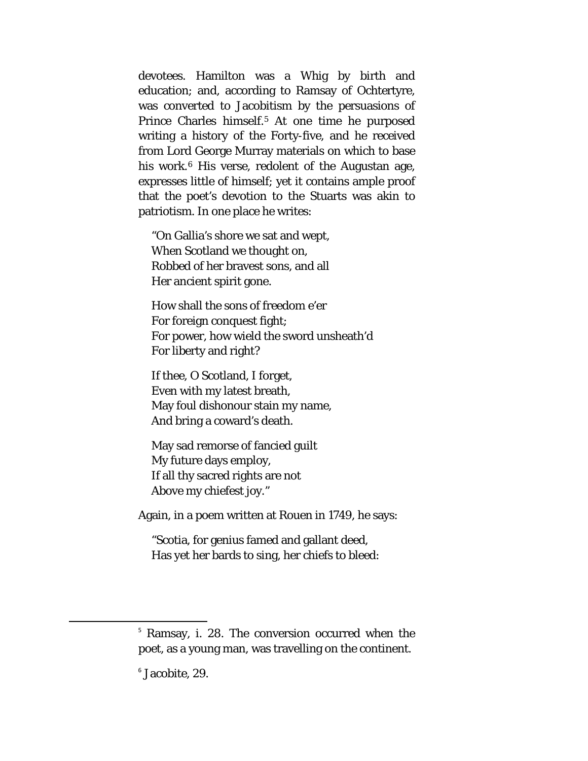devotees. Hamilton was a Whig by birth and education; and, according to Ramsay of Ochtertyre, was converted to Jacobitism by the persuasions of Prince Charles himself.[5](#page-38-0) At one time he purposed writing a history of the Forty-five, and he received from Lord George Murray materials on which to base his work.<sup>[6](#page-38-1)</sup> His verse, redolent of the Augustan age, expresses little of himself; yet it contains ample proof that the poet's devotion to the Stuarts was akin to patriotism. In one place he writes:

"On Gallia's shore we sat and wept, When Scotland we thought on, Robbed of her bravest sons, and all Her ancient spirit gone.

How shall the sons of freedom e'er For foreign conquest fight; For power, how wield the sword unsheath'd For liberty and right?

If thee, O Scotland, I forget, Even with my latest breath, May foul dishonour stain my name, And bring a coward's death.

May sad remorse of fancied guilt My future days employ, If all thy sacred rights are not Above my chiefest joy."

Again, in a poem written at Rouen in 1749, he says:

"Scotia, for genius famed and gallant deed, Has yet her bards to sing, her chiefs to bleed:

<span id="page-38-0"></span> <sup>5</sup> Ramsay, i. 28. The conversion occurred when the poet, as a young man, was travelling on the continent.

<span id="page-38-1"></span><sup>6</sup> Jacobite, 29.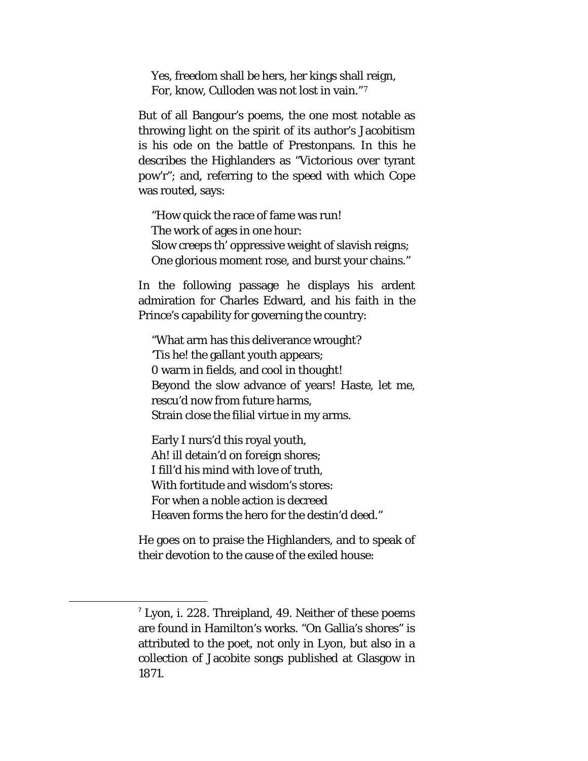Yes, freedom shall be hers, her kings shall reign, For, know, Culloden was not lost in vain."[7](#page-39-0)

But of all Bangour's poems, the one most notable as throwing light on the spirit of its author's Jacobitism is his ode on the battle of Prestonpans. In this he describes the Highlanders as "Victorious over tyrant pow'r"; and, referring to the speed with which Cope was routed, says:

"How quick the race of fame was run! The work of ages in one hour: Slow creeps th' oppressive weight of slavish reigns; One glorious moment rose, and burst your chains."

In the following passage he displays his ardent admiration for Charles Edward, and his faith in the Prince's capability for governing the country:

"What arm has this deliverance wrought? 'Tis he! the gallant youth appears; 0 warm in fields, and cool in thought! Beyond the slow advance of years! Haste, let me, rescu'd now from future harms, Strain close the filial virtue in my arms.

Early I nurs'd this royal youth, Ah! ill detain'd on foreign shores; I fill'd his mind with love of truth, With fortitude and wisdom's stores: For when a noble action is decreed Heaven forms the hero for the destin'd deed."

He goes on to praise the Highlanders, and to speak of their devotion to the cause of the exiled house:

<span id="page-39-0"></span> $<sup>7</sup>$  Lyon, i. 228. Threipland, 49. Neither of these poems</sup> are found in Hamilton's works. "On Gallia's shores" is attributed to the poet, not only in Lyon, but also in a collection of Jacobite songs published at Glasgow in 1871.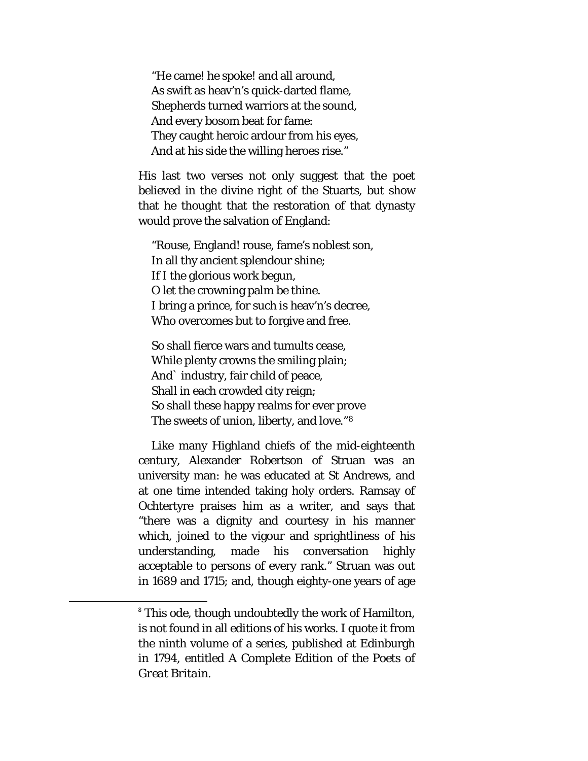"He came! he spoke! and all around, As swift as heav'n's quick-darted flame, Shepherds turned warriors at the sound, And every bosom beat for fame: They caught heroic ardour from his eyes, And at his side the willing heroes rise."

His last two verses not only suggest that the poet believed in the divine right of the Stuarts, but show that he thought that the restoration of that dynasty would prove the salvation of England:

"Rouse, England! rouse, fame's noblest son, In all thy ancient splendour shine; If I the glorious work begun, O let the crowning palm be thine. I bring a prince, for such is heav'n's decree, Who overcomes but to forgive and free.

So shall fierce wars and tumults cease, While plenty crowns the smiling plain; And` industry, fair child of peace, Shall in each crowded city reign; So shall these happy realms for ever prove The sweets of union, liberty, and love."[8](#page-40-0)

Like many Highland chiefs of the mid-eighteenth century, Alexander Robertson of Struan was an university man: he was educated at St Andrews, and at one time intended taking holy orders. Ramsay of Ochtertyre praises him as a writer, and says that "there was a dignity and courtesy in his manner which, joined to the vigour and sprightliness of his understanding, made his conversation highly acceptable to persons of every rank." Struan was out in 1689 and 1715; and, though eighty-one years of age

<span id="page-40-0"></span><sup>&</sup>lt;sup>8</sup> This ode, though undoubtedly the work of Hamilton, is not found in all editions of his works. I quote it from the ninth volume of a series, published at Edinburgh in 1794, entitled *A Complete Edition of the Poets of Great Britain.*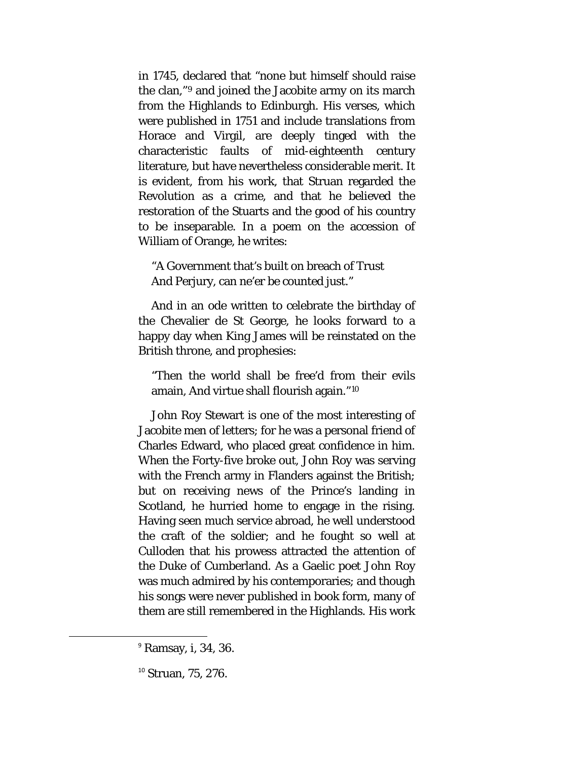in 1745, declared that "none but himself should raise the clan,"[9](#page-41-0) and joined the Jacobite army on its march from the Highlands to Edinburgh. His verses, which were published in 1751 and include translations from Horace and Virgil, are deeply tinged with the characteristic faults of mid-eighteenth century literature, but have nevertheless considerable merit. It is evident, from his work, that Struan regarded the Revolution as a crime, and that he believed the restoration of the Stuarts and the good of his country to be inseparable. In a poem on the accession of William of Orange, he writes:

"A Government that's built on breach of Trust And Perjury, can ne'er be counted just."

And in an ode written to celebrate the birthday of the Chevalier de St George, he looks forward to a happy day when King James will be reinstated on the British throne, and prophesies:

"Then the world shall be free'd from their evils amain, And virtue shall flourish again."[10](#page-41-1)

John Roy Stewart is one of the most interesting of Jacobite men of letters; for he was a personal friend of Charles Edward, who placed great confidence in him. When the Forty-five broke out, John Roy was serving with the French army in Flanders against the British; but on receiving news of the Prince's landing in Scotland, he hurried home to engage in the rising. Having seen much service abroad, he well understood the craft of the soldier; and he fought so well at Culloden that his prowess attracted the attention of the Duke of Cumberland. As a Gaelic poet John Roy was much admired by his contemporaries; and though his songs were never published in book form, many of them are still remembered in the Highlands. His work

<span id="page-41-0"></span> <sup>9</sup> Ramsay, i, 34, 36.

<span id="page-41-1"></span><sup>&</sup>lt;sup>10</sup> Struan, 75, 276.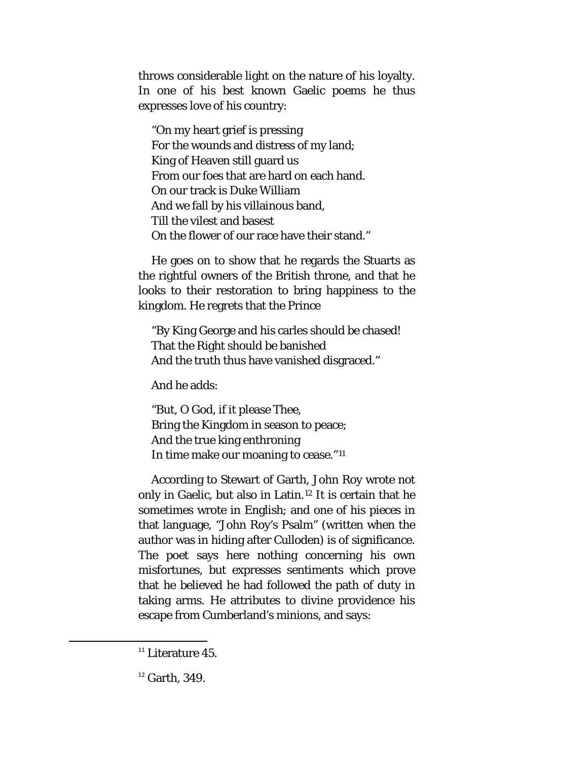throws considerable light on the nature of his loyalty. In one of his best known Gaelic poems he thus expresses love of his country:

"On my heart grief is pressing For the wounds and distress of my land; King of Heaven still guard us From our foes that are hard on each hand. On our track is Duke William And we fall by his villainous band, Till the vilest and basest On the flower of our race have their stand."

He goes on to show that he regards the Stuarts as the rightful owners of the British throne, and that he looks to their restoration to bring happiness to the kingdom. He regrets that the Prince

"By King George and his carles should be chased! That the Right should be banished And the truth thus have vanished disgraced."

And he adds:

"But, O God, if it please Thee, Bring the Kingdom in season to peace; And the true king enthroning In time make our moaning to cease."[11](#page-42-0)

According to Stewart of Garth, John Roy wrote not only in Gaelic, but also in Latin.[12](#page-42-1) It is certain that he sometimes wrote in English; and one of his pieces in that language, "John Roy's Psalm" (written when the author was in hiding after Culloden) is of significance. The poet says here nothing concerning his own misfortunes, but expresses sentiments which prove that he believed he had followed the path of duty in taking arms. He attributes to divine providence his escape from Cumberland's minions, and says:

<span id="page-42-0"></span> $11$  Literature 45.

<span id="page-42-1"></span> $12$  Garth, 349.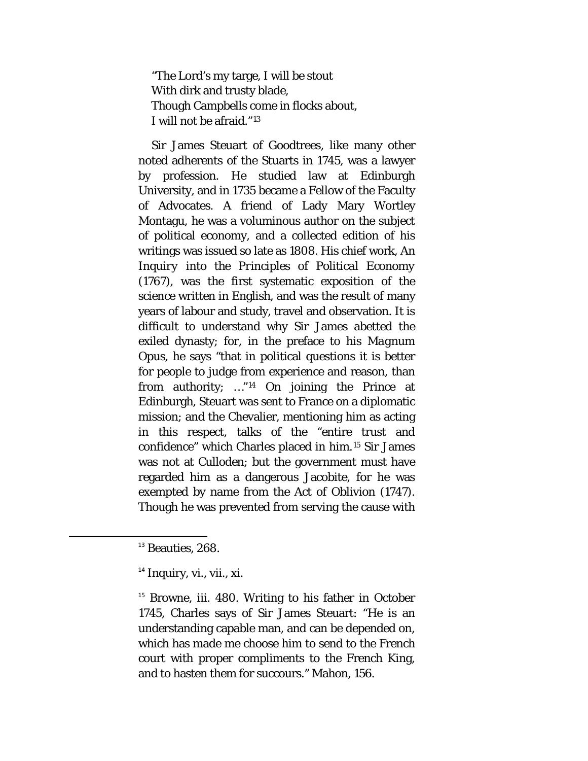"The Lord's my targe, I will be stout With dirk and trusty blade, Though Campbells come in flocks about, I will not be afraid."[13](#page-43-0)

Sir James Steuart of Goodtrees, like many other noted adherents of the Stuarts in 1745, was a lawyer by profession. He studied law at Edinburgh University, and in 1735 became a Fellow of the Faculty of Advocates. A friend of Lady Mary Wortley Montagu, he was a voluminous author on the subject of political economy, and a collected edition of his writings was issued so late as 1808. His chief work, *An Inquiry into the Principles of Political Economy*  (1767), was the first systematic exposition of the science written in English, and was the result of many years of labour and study, travel and observation. It is difficult to understand why Sir James abetted the exiled dynasty; for, in the preface to his *Magnum Opus,* he says "that in political questions it is better for people to judge from experience and reason, than from authority; …"[14](#page-43-1) On joining the Prince at Edinburgh, Steuart was sent to France on a diplomatic mission; and the Chevalier, mentioning him as acting in this respect, talks of the "entire trust and confidence" which Charles placed in him.[15](#page-43-2) Sir James was not at Culloden; but the government must have regarded him as a dangerous Jacobite, for he was exempted by name from the Act of Oblivion (1747). Though he was prevented from serving the cause with

<span id="page-43-2"></span><sup>15</sup> Browne, iii. 480. Writing to his father in October 1745, Charles says of Sir James Steuart: "He is an understanding capable man, and can be depended on, which has made me choose him to send to the French court with proper compliments to the French King, and to hasten them for succours." Mahon, 156.

<span id="page-43-0"></span><sup>&</sup>lt;sup>13</sup> Beauties, 268.

<span id="page-43-1"></span> $14$  Inquiry, vi., vii., xi.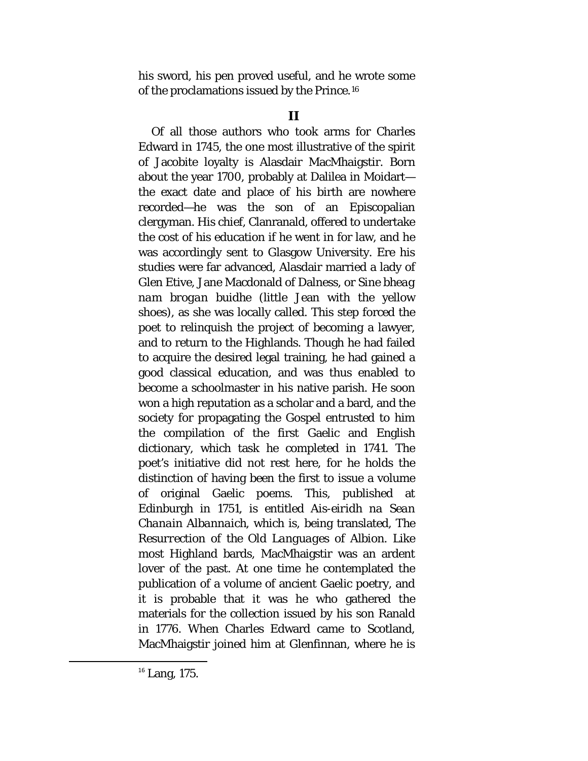his sword, his pen proved useful, and he wrote some of the proclamations issued by the Prince.[16](#page-44-0)

Of all those authors who took arms for Charles Edward in 1745, the one most illustrative of the spirit of Jacobite loyalty is Alasdair MacMhaigstir. Born about the year 1700, probably at Dalilea in Moidart the exact date and place of his birth are nowhere recorded—he was the son of an Episcopalian clergyman. His chief, Clanranald, offered to undertake the cost of his education if he went in for law, and he was accordingly sent to Glasgow University. Ere his studies were far advanced, Alasdair married a lady of Glen Etive, Jane Macdonald of Dalness, or *Sine bheag nam brogan buidhe* (little Jean with the yellow shoes), as she was locally called. This step forced the poet to relinquish the project of becoming a lawyer, and to return to the Highlands. Though he had failed to acquire the desired legal training, he had gained a good classical education, and was thus enabled to become a schoolmaster in his native parish. He soon won a high reputation as a scholar and a bard, and the society for propagating the Gospel entrusted to him the compilation of the first Gaelic and English dictionary, which task he completed in 1741. The poet's initiative did not rest here, for he holds the distinction of having been the first to issue a volume of original Gaelic poems. This, published at Edinburgh in 1751, is entitled *Ais-eiridh na Sean Chanain Albannaich,* which is, being translated, *The Resurrection of the Old Languages of Albion.* Like most Highland bards, MacMhaigstir was an ardent lover of the past. At one time he contemplated the publication of a volume of ancient Gaelic poetry, and it is probable that it was he who gathered the materials for the collection issued by his son Ranald in 1776. When Charles Edward came to Scotland, MacMhaigstir joined him at Glenfinnan, where he is

<span id="page-44-0"></span> $16$  Lang, 175.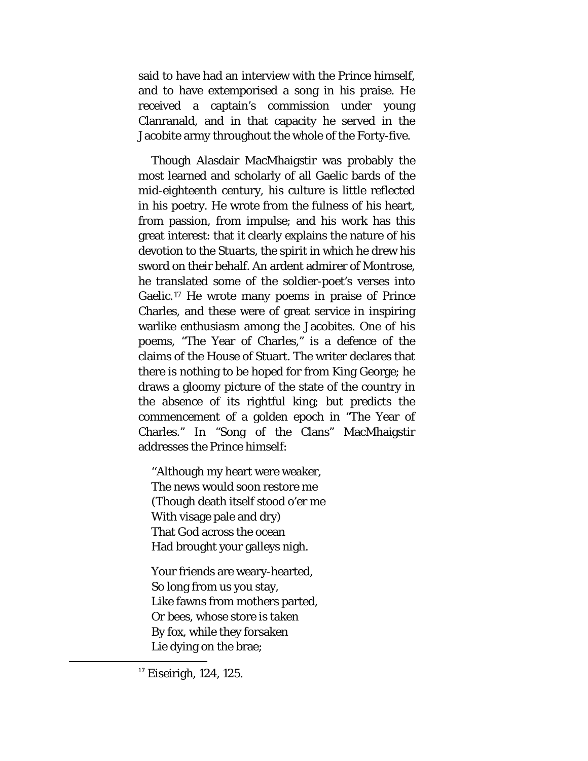said to have had an interview with the Prince himself, and to have extemporised a song in his praise. He received a captain's commission under young Clanranald, and in that capacity he served in the Jacobite army throughout the whole of the Forty-five.

Though Alasdair MacMhaigstir was probably the most learned and scholarly of all Gaelic bards of the mid-eighteenth century, his culture is little reflected in his poetry. He wrote from the fulness of his heart, from passion, from impulse; and his work has this great interest: that it clearly explains the nature of his devotion to the Stuarts, the spirit in which he drew his sword on their behalf. An ardent admirer of Montrose, he translated some of the soldier-poet's verses into Gaelic.[17](#page-45-0) He wrote many poems in praise of Prince Charles, and these were of great service in inspiring warlike enthusiasm among the Jacobites. One of his poems, "The Year of Charles," is a defence of the claims of the House of Stuart. The writer declares that there is nothing to be hoped for from King George; he draws a gloomy picture of the state of the country in the absence of its rightful king; but predicts the commencement of a golden epoch in "The Year of Charles." In "Song of the Clans" MacMhaigstir addresses the Prince himself:

''Although my heart were weaker, The news would soon restore me (Though death itself stood o'er me With visage pale and dry) That God across the ocean Had brought your galleys nigh.

Your friends are weary-hearted, So long from us you stay, Like fawns from mothers parted, Or bees, whose store is taken By fox, while they forsaken Lie dying on the brae;

<span id="page-45-0"></span> $17$  Eiseirigh, 124, 125.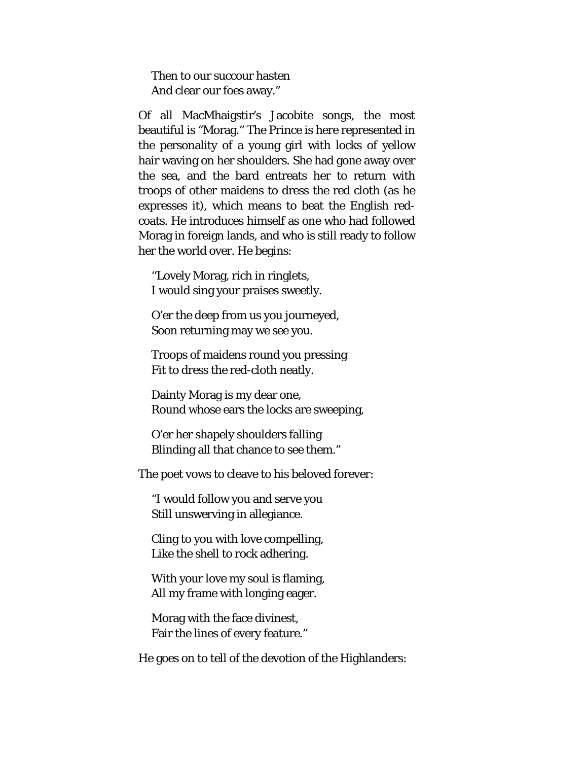Then to our succour hasten And clear our foes away."

Of all MacMhaigstir's Jacobite songs, the most beautiful is "Morag." The Prince is here represented in the personality of a young girl with locks of yellow hair waving on her shoulders. She had gone away over the sea, and the bard entreats her to return with troops of other maidens to dress the red cloth (as he expresses it), which means to beat the English redcoats. He introduces himself as one who had followed Morag in foreign lands, and who is still ready to follow her the world over. He begins:

''Lovely Morag, rich in ringlets, I would sing your praises sweetly.

O'er the deep from us you journeyed, Soon returning may we see you.

Troops of maidens round you pressing Fit to dress the red-cloth neatly.

Dainty Morag is my dear one, Round whose ears the locks are sweeping,

O'er her shapely shoulders falling Blinding all that chance to see them."

The poet vows to cleave to his beloved forever:

"I would follow you and serve you Still unswerving in allegiance.

Cling to you with love compelling, Like the shell to rock adhering.

With your love my soul is flaming, All my frame with longing eager.

Morag with the face divinest, Fair the lines of every feature."

He goes on to tell of the devotion of the Highlanders: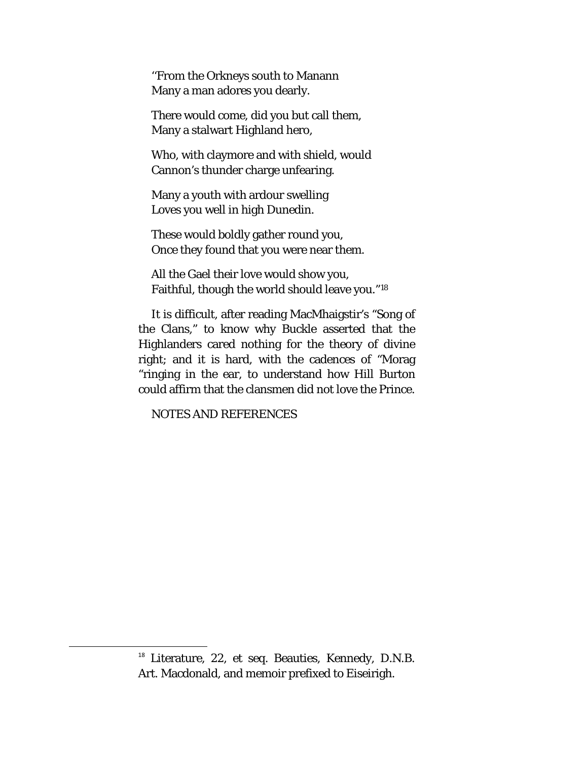''From the Orkneys south to Manann Many a man adores you dearly.

There would come, did you but call them, Many a stalwart Highland hero,

Who, with claymore and with shield, would Cannon's thunder charge unfearing.

Many a youth with ardour swelling Loves you well in high Dunedin.

These would boldly gather round you, Once they found that you were near them.

All the Gael their love would show you, Faithful, though the world should leave you."[18](#page-47-0)

It is difficult, after reading MacMhaigstir's "Song of the Clans," to know why Buckle asserted that the Highlanders cared nothing for the theory of divine right; and it is hard, with the cadences of "Morag "ringing in the ear, to understand how Hill Burton could affirm that the clansmen did not love the Prince.

NOTES AND REFERENCES

<span id="page-47-0"></span> <sup>18</sup> Literature, 22, *et seq.* Beauties, Kennedy, D.N.B. Art. Macdonald, and memoir prefixed to Eiseirigh.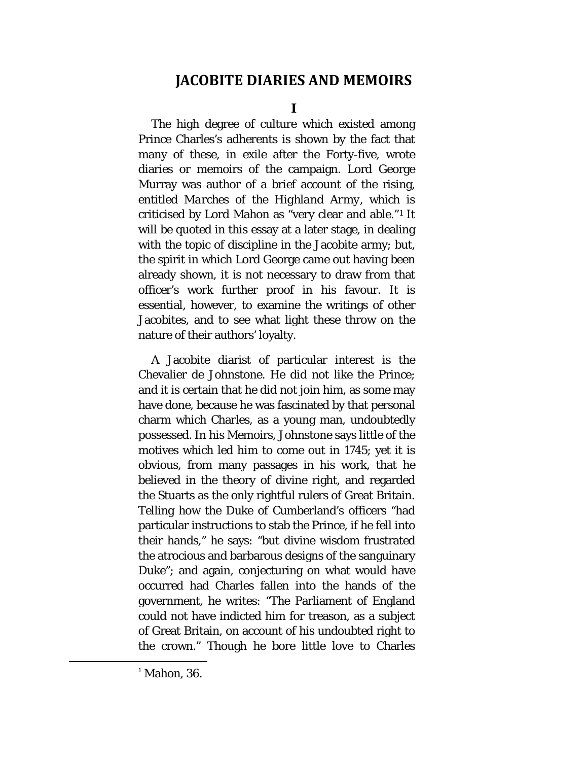## **JACOBITE DIARIES AND MEMOIRS**

**I**

The high degree of culture which existed among Prince Charles's adherents is shown by the fact that many of these, in exile after the Forty-five, wrote diaries or memoirs of the campaign. Lord George Murray was author of a brief account of the rising, entitled *Marches of the Highland Army,* which is criticised by Lord Mahon as "very clear and able."[1](#page-48-0) It will be quoted in this essay at a later stage, in dealing with the topic of discipline in the Jacobite army; but, the spirit in which Lord George came out having been already shown, it is not necessary to draw from that officer's work further proof in his favour. It is essential, however, to examine the writings of other Jacobites, and to see what light these throw on the nature of their authors' loyalty.

A Jacobite diarist of particular interest is the Chevalier de Johnstone. He did not like the Prince; and it is certain that he did not join him, as some may have done, because he was fascinated by that personal charm which Charles, as a young man, undoubtedly possessed. In his Memoirs, Johnstone says little of the motives which led him to come out in 1745; yet it is obvious, from many passages in his work, that he believed in the theory of divine right, and regarded the Stuarts as the only rightful rulers of Great Britain. Telling how the Duke of Cumberland's officers "had particular instructions to stab the Prince, if he fell into their hands," he says: "but divine wisdom frustrated the atrocious and barbarous designs of the sanguinary Duke"; and again, conjecturing on what would have occurred had Charles fallen into the hands of the government, he writes: "The Parliament of England could not have indicted him for treason, as a subject of Great Britain, on account of his undoubted right to the crown." Though he bore little love to Charles

<span id="page-48-0"></span> $<sup>1</sup>$  Mahon, 36.</sup>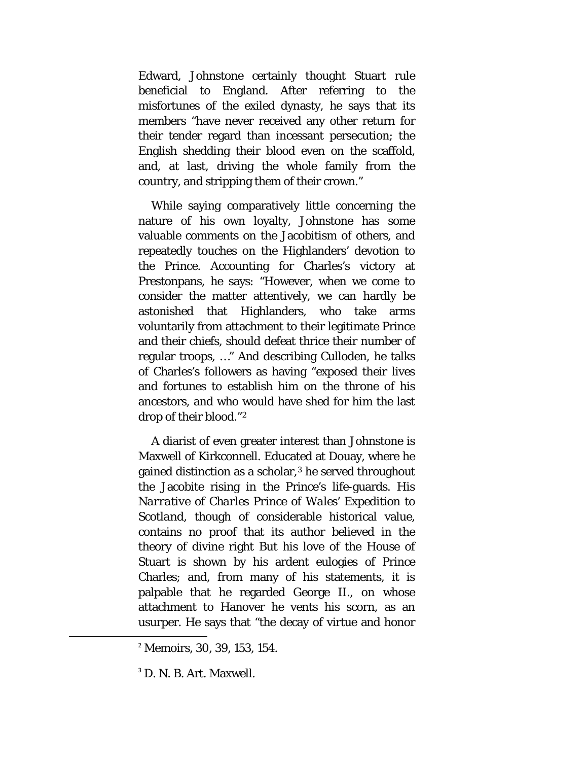Edward, Johnstone certainly thought Stuart rule beneficial to England. After referring to the misfortunes of the exiled dynasty, he says that its members "have never received any other return for their tender regard than incessant persecution; the English shedding their blood even on the scaffold, and, at last, driving the whole family from the country, and stripping them of their crown."

While saying comparatively little concerning the nature of his own loyalty, Johnstone has some valuable comments on the Jacobitism of others, and repeatedly touches on the Highlanders' devotion to the Prince. Accounting for Charles's victory at Prestonpans, he says: "However, when we come to consider the matter attentively, we can hardly be astonished that Highlanders, who take arms voluntarily from attachment to their legitimate Prince and their chiefs, should defeat thrice their number of regular troops, …" And describing Culloden, he talks of Charles's followers as having "exposed their lives and fortunes to establish him on the throne of his ancestors, and who would have shed for him the last drop of their blood."[2](#page-49-0)

A diarist of even greater interest than Johnstone is Maxwell of Kirkconnell. Educated at Douay, where he gained distinction as a scholar,<sup>[3](#page-49-1)</sup> he served throughout the Jacobite rising in the Prince's life-guards. His *Narrative of Charles Prince of Wales' Expedition to Scotland,* though of considerable historical value, contains no proof that its author believed in the theory of divine right But his love of the House of Stuart is shown by his ardent eulogies of Prince Charles; and, from many of his statements, it is palpable that he regarded George II., on whose attachment to Hanover he vents his scorn, as an usurper. He says that "the decay of virtue and honor

<span id="page-49-0"></span> <sup>2</sup> Memoirs, 30, 39, 153, 154.

<span id="page-49-1"></span><sup>&</sup>lt;sup>3</sup> D. N. B. Art. Maxwell.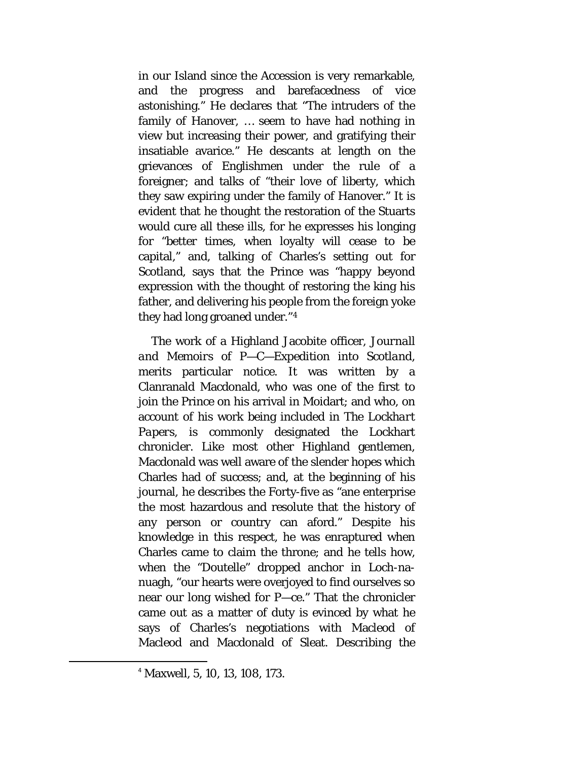in our Island since the Accession is very remarkable, and the progress and barefacedness of vice astonishing." He declares that "The intruders of the family of Hanover, … seem to have had nothing in view but increasing their power, and gratifying their insatiable avarice." He descants at length on the grievances of Englishmen under the rule of a foreigner; and talks of "their love of liberty, which they saw expiring under the family of Hanover." It is evident that he thought the restoration of the Stuarts would cure all these ills, for he expresses his longing for "better times, when loyalty will cease to be capital," and, talking of Charles's setting out for Scotland, says that the Prince was "happy beyond expression with the thought of restoring the king his father, and delivering his people from the foreign yoke they had long groaned under."[4](#page-50-0)

The work of a Highland Jacobite officer, *Journall and Memoirs of P—C—Expedition into Scotland,*  merits particular notice. It was written by a Clanranald Macdonald, who was one of the first to join the Prince on his arrival in Moidart; and who, on account of his work being included in *The Lockhart Papers,* is commonly designated the Lockhart chronicler. Like most other Highland gentlemen, Macdonald was well aware of the slender hopes which Charles had of success; and, at the beginning of his journal, he describes the Forty-five as "ane enterprise the most hazardous and resolute that the history of any person or country can aford." Despite his knowledge in this respect, he was enraptured when Charles came to claim the throne; and he tells how, when the "Doutelle" dropped anchor in Loch-nanuagh, "our hearts were overjoyed to find ourselves so near our long wished for P—ce." That the chronicler came out as a matter of duty is evinced by what he says of Charles's negotiations with Macleod of Macleod and Macdonald of Sleat. Describing the

<span id="page-50-0"></span> <sup>4</sup> Maxwell, 5, 10, 13, 108, 173.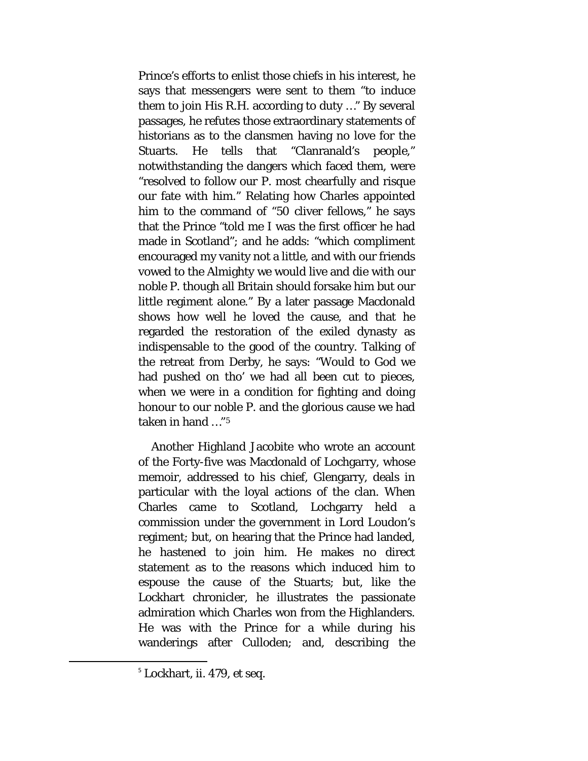Prince's efforts to enlist those chiefs in his interest, he says that messengers were sent to them "to induce them to join His R.H. according to duty …" By several passages, he refutes those extraordinary statements of historians as to the clansmen having no love for the Stuarts. He tells that "Clanranald's people," notwithstanding the dangers which faced them, were "resolved to follow our P. most chearfully and risque our fate with him." Relating how Charles appointed him to the command of "50 cliver fellows," he says that the Prince "told me I was the first officer he had made in Scotland"; and he adds: "which compliment encouraged my vanity not a little, and with our friends vowed to the Almighty we would live and die with our noble P. though all Britain should forsake him but our little regiment alone." By a later passage Macdonald shows how well he loved the cause, and that he regarded the restoration of the exiled dynasty as indispensable to the good of the country. Talking of the retreat from Derby, he says: "Would to God we had pushed on tho' we had all been cut to pieces, when we were in a condition for fighting and doing honour to our noble P. and the glorious cause we had taken in hand …"[5](#page-51-0)

Another Highland Jacobite who wrote an account of the Forty-five was Macdonald of Lochgarry, whose memoir, addressed to his chief, Glengarry, deals in particular with the loyal actions of the clan. When Charles came to Scotland, Lochgarry held a commission under the government in Lord Loudon's regiment; but, on hearing that the Prince had landed, he hastened to join him. He makes no direct statement as to the reasons which induced him to espouse the cause of the Stuarts; but, like the Lockhart chronicler, he illustrates the passionate admiration which Charles won from the Highlanders. He was with the Prince for a while during his wanderings after Culloden; and, describing the

<span id="page-51-0"></span> <sup>5</sup> Lockhart, ii. 479, *et seq.*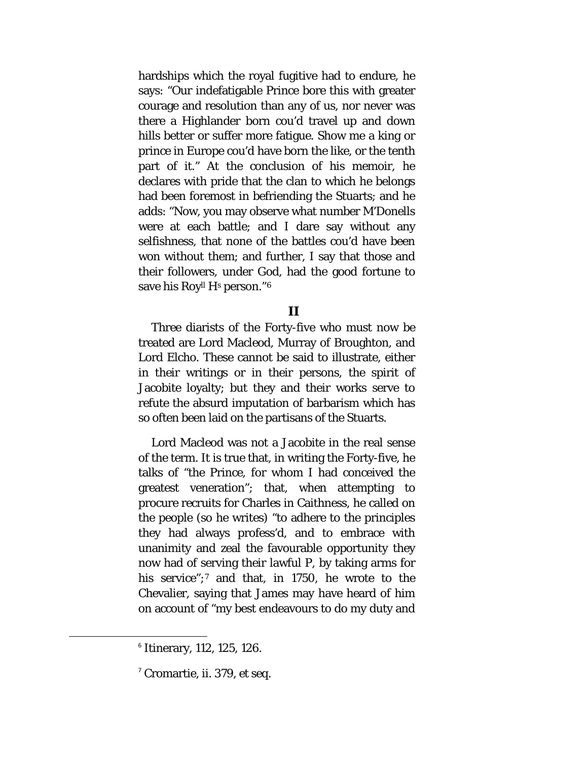hardships which the royal fugitive had to endure, he says: "Our indefatigable Prince bore this with greater courage and resolution than any of us, nor never was there a Highlander born cou'd travel up and down hills better or suffer more fatigue. Show me a king or prince in Europe cou'd have born the like, or the tenth part of it." At the conclusion of his memoir, he declares with pride that the clan to which he belongs had been foremost in befriending the Stuarts; and he adds: "Now, you may observe what number M'Donells were at each battle; and I dare say without any selfishness, that none of the battles cou'd have been won without them; and further, I say that those and their followers, under God, had the good fortune to save his Roy<sup>ll</sup> H<sup>s</sup> person."<sup>[6](#page-52-0)</sup>

### **II**

Three diarists of the Forty-five who must now be treated are Lord Macleod, Murray of Broughton, and Lord Elcho. These cannot be said to illustrate, either in their writings or in their persons, the spirit of Jacobite loyalty; but they and their works serve to refute the absurd imputation of barbarism which has so often been laid on the partisans of the Stuarts.

Lord Macleod was not a Jacobite in the real sense of the term. It is true that, in writing the Forty-five, he talks of "the Prince, for whom I had conceived the greatest veneration"; that, when attempting to procure recruits for Charles in Caithness, he called on the people (so he writes) "to adhere to the principles they had always profess'd, and to embrace with unanimity and zeal the favourable opportunity they now had of serving their lawful P, by taking arms for his service";<sup>[7](#page-52-1)</sup> and that, in 1750, he wrote to the Chevalier, saying that James may have heard of him on account of "my best endeavours to do my duty and

<span id="page-52-0"></span> <sup>6</sup> Itinerary, 112, 125, 126.

<span id="page-52-1"></span><sup>7</sup> Cromartie, ii. 379, *et seq.*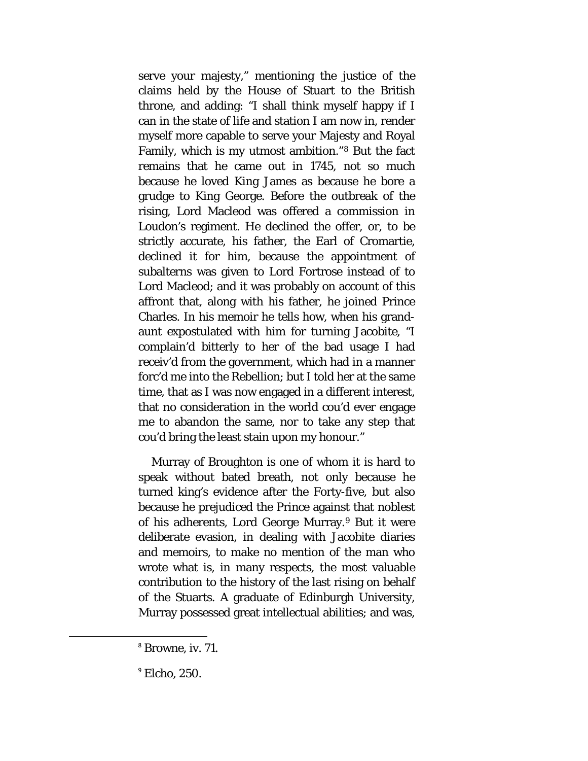serve your majesty," mentioning the justice of the claims held by the House of Stuart to the British throne, and adding: "I shall think myself happy if I can in the state of life and station I am now in, render myself more capable to serve your Majesty and Royal Family, which is my utmost ambition."[8](#page-53-0) But the fact remains that he came out in 1745, not so much because he loved King James as because he bore a grudge to King George. Before the outbreak of the rising, Lord Macleod was offered a commission in Loudon's regiment. He declined the offer, or, to be strictly accurate, his father, the Earl of Cromartie, declined it for him, because the appointment of subalterns was given to Lord Fortrose instead of to Lord Macleod; and it was probably on account of this affront that, along with his father, he joined Prince Charles. In his memoir he tells how, when his grandaunt expostulated with him for turning Jacobite, "I complain'd bitterly to her of the bad usage I had receiv'd from the government, which had in a manner forc'd me into the Rebellion; but I told her at the same time, that as I was now engaged in a different interest, that no consideration in the world cou'd ever engage me to abandon the same, nor to take any step that cou'd bring the least stain upon my honour."

Murray of Broughton is one of whom it is hard to speak without bated breath, not only because he turned king's evidence after the Forty-five, but also because he prejudiced the Prince against that noblest of his adherents, Lord George Murray.[9](#page-53-1) But it were deliberate evasion, in dealing with Jacobite diaries and memoirs, to make no mention of the man who wrote what is, in many respects, the most valuable contribution to the history of the last rising on behalf of the Stuarts. A graduate of Edinburgh University, Murray possessed great intellectual abilities; and was,

<span id="page-53-0"></span> <sup>8</sup> Browne, iv. 71.

<span id="page-53-1"></span> $^9$  Elcho, 250.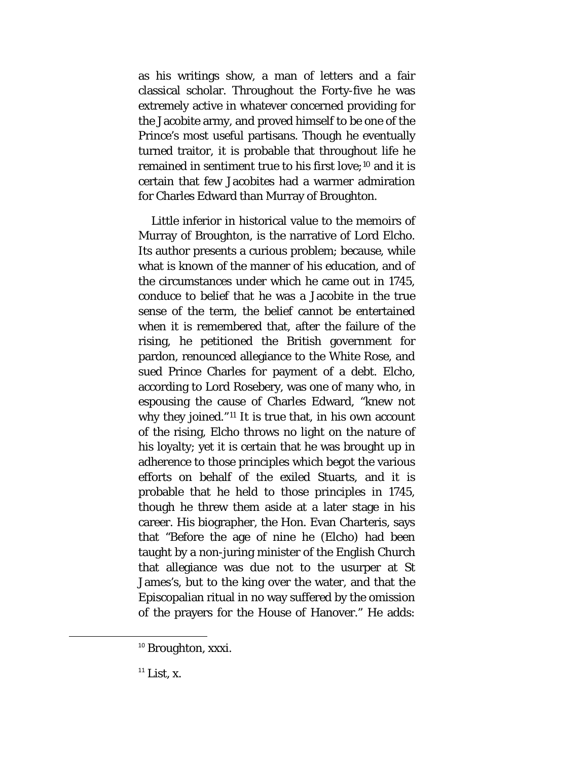as his writings show, a man of letters and a fair classical scholar. Throughout the Forty-five he was extremely active in whatever concerned providing for the Jacobite army, and proved himself to be one of the Prince's most useful partisans. Though he eventually turned traitor, it is probable that throughout life he remained in sentiment true to his first love;<sup>[10](#page-54-0)</sup> and it is certain that few Jacobites had a warmer admiration for Charles Edward than Murray of Broughton.

Little inferior in historical value to the memoirs of Murray of Broughton, is the narrative of Lord Elcho. Its author presents a curious problem; because, while what is known of the manner of his education, and of the circumstances under which he came out in 1745, conduce to belief that he was a Jacobite in the true sense of the term, the belief cannot be entertained when it is remembered that, after the failure of the rising, he petitioned the British government for pardon, renounced allegiance to the White Rose, and sued Prince Charles for payment of a debt. Elcho, according to Lord Rosebery, was one of many who, in espousing the cause of Charles Edward, "knew not why they joined."[11](#page-54-1) It is true that, in his own account of the rising, Elcho throws no light on the nature of his loyalty; yet it is certain that he was brought up in adherence to those principles which begot the various efforts on behalf of the exiled Stuarts, and it is probable that he held to those principles in 1745, though he threw them aside at a later stage in his career. His biographer, the Hon. Evan Charteris, says that "Before the age of nine he (Elcho) had been taught by a non-juring minister of the English Church that allegiance was due not to the usurper at St James's, but to the king over the water, and that the Episcopalian ritual in no way suffered by the omission of the prayers for the House of Hanover." He adds:

<span id="page-54-0"></span><sup>&</sup>lt;sup>10</sup> Broughton, xxxi.

<span id="page-54-1"></span> $11$  List, x.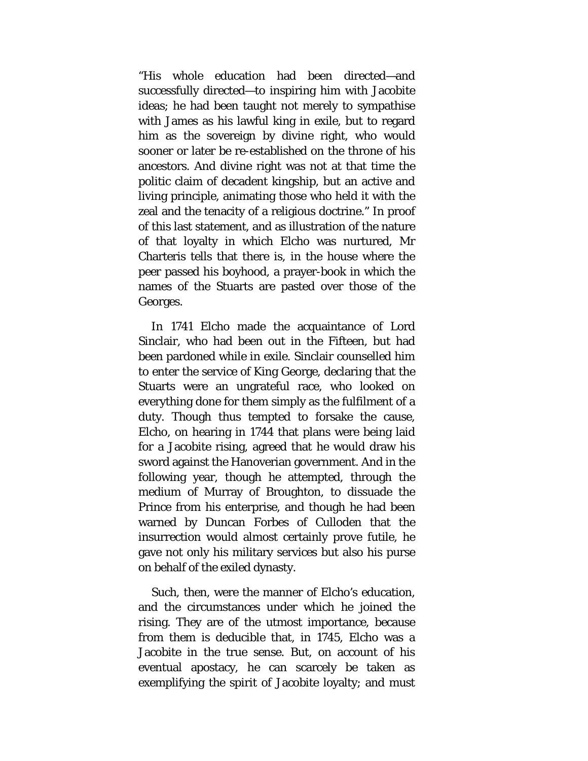"His whole education had been directed—and successfully directed—to inspiring him with Jacobite ideas; he had been taught not merely to sympathise with James as his lawful king in exile, but to regard him as the sovereign by divine right, who would sooner or later be re-established on the throne of his ancestors. And divine right was not at that time the politic claim of decadent kingship, but an active and living principle, animating those who held it with the zeal and the tenacity of a religious doctrine." In proof of this last statement, and as illustration of the nature of that loyalty in which Elcho was nurtured, Mr Charteris tells that there is, in the house where the peer passed his boyhood, a prayer-book in which the names of the Stuarts are pasted over those of the Georges.

In 1741 Elcho made the acquaintance of Lord Sinclair, who had been out in the Fifteen, but had been pardoned while in exile. Sinclair counselled him to enter the service of King George, declaring that the Stuarts were an ungrateful race, who looked on everything done for them simply as the fulfilment of a duty. Though thus tempted to forsake the cause, Elcho, on hearing in 1744 that plans were being laid for a Jacobite rising, agreed that he would draw his sword against the Hanoverian government. And in the following year, though he attempted, through the medium of Murray of Broughton, to dissuade the Prince from his enterprise, and though he had been warned by Duncan Forbes of Culloden that the insurrection would almost certainly prove futile, he gave not only his military services but also his purse on behalf of the exiled dynasty.

Such, then, were the manner of Elcho's education, and the circumstances under which he joined the rising. They are of the utmost importance, because from them is deducible that, in 1745, Elcho was a Jacobite in the true sense. But, on account of his eventual apostacy, he can scarcely be taken as exemplifying the spirit of Jacobite loyalty; and must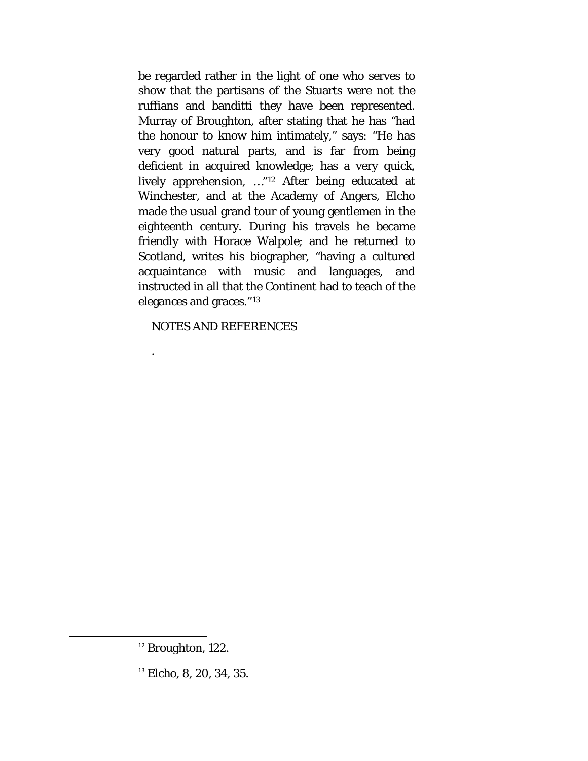be regarded rather in the light of one who serves to show that the partisans of the Stuarts were not the ruffians and banditti they have been represented. Murray of Broughton, after stating that he has "had the honour to know him intimately," says: "He has very good natural parts, and is far from being deficient in acquired knowledge; has a very quick, lively apprehension, …"[12](#page-56-0) After being educated at Winchester, and at the Academy of Angers, Elcho made the usual grand tour of young gentlemen in the eighteenth century. During his travels he became friendly with Horace Walpole; and he returned to Scotland, writes his biographer, "having a cultured acquaintance with music and languages, and instructed in all that the Continent had to teach of the elegances and graces."[13](#page-56-1)

NOTES AND REFERENCES

.

<span id="page-56-0"></span> $12$  Broughton, 122.

<span id="page-56-1"></span> $13$  Elcho, 8, 20, 34, 35.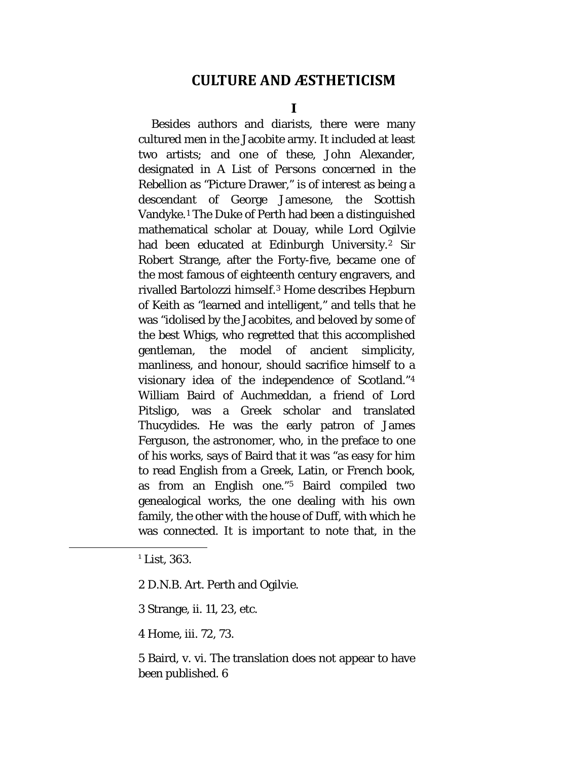### **CULTURE AND ÆSTHETICISM**

**I**

Besides authors and diarists, there were many cultured men in the Jacobite army. It included at least two artists; and one of these, John Alexander, designated in *A List of Persons concerned in the Rebellion* as "Picture Drawer," is of interest as being a descendant of George Jamesone, the Scottish Vandyke.[1](#page-57-0) The Duke of Perth had been a distinguished mathematical scholar at Douay, while Lord Ogilvie had been educated at Edinburgh University.<sup>[2](#page-57-1)</sup> Sir Robert Strange, after the Forty-five, became one of the most famous of eighteenth century engravers, and rivalled Bartolozzi himself.[3](#page-57-2) Home describes Hepburn of Keith as "learned and intelligent," and tells that he was "idolised by the Jacobites, and beloved by some of the best Whigs, who regretted that this accomplished gentleman, the model of ancient simplicity, manliness, and honour, should sacrifice himself to a visionary idea of the independence of Scotland.["4](#page-57-3) William Baird of Auchmeddan, a friend of Lord Pitsligo, was a Greek scholar and translated Thucydides. He was the early patron of James Ferguson, the astronomer, who, in the preface to one of his works, says of Baird that it was "as easy for him to read English from a Greek, Latin, or French book, as from an English one."[5](#page-57-4) Baird compiled two genealogical works, the one dealing with his own family, the other with the house of Duff, with which he was connected. It is important to note that, in the

<span id="page-57-4"></span>5 Baird, v. vi. The translation does not appear to have been published. 6

<span id="page-57-0"></span> $1$  List, 363.

<span id="page-57-1"></span><sup>2</sup> D.N.B. Art. Perth and Ogilvie.

<span id="page-57-2"></span><sup>3</sup> Strange, ii. 11, 23, etc.

<span id="page-57-3"></span><sup>4</sup> Home, iii. 72, 73.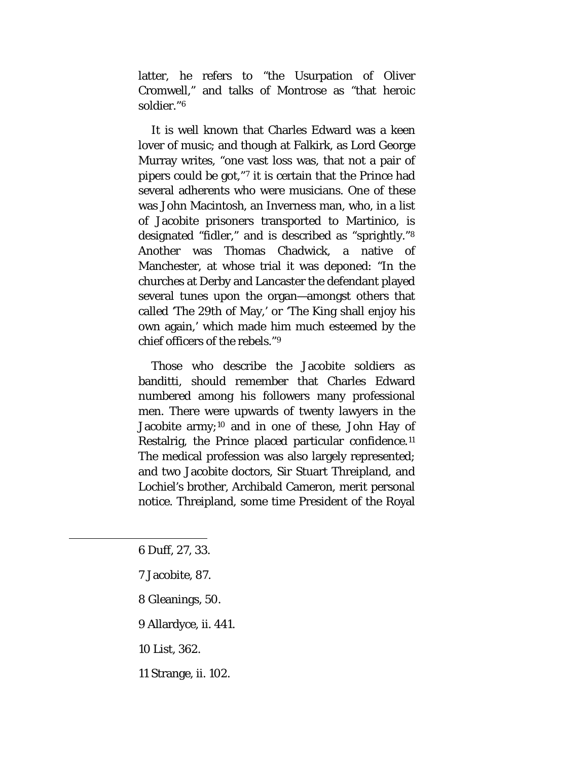latter, he refers to "the Usurpation of Oliver Cromwell," and talks of Montrose as "that heroic soldier."[6](#page-58-0)

It is well known that Charles Edward was a keen lover of music; and though at Falkirk, as Lord George Murray writes, "one vast loss was, that not a pair of pipers could be got,"[7](#page-58-1) it is certain that the Prince had several adherents who were musicians. One of these was John Macintosh, an Inverness man, who, in a list of Jacobite prisoners transported to Martinico, is designated "fidler," and is described as "sprightly."[8](#page-58-2) Another was Thomas Chadwick, a native of Manchester, at whose trial it was deponed: "In the churches at Derby and Lancaster the defendant played several tunes upon the organ—amongst others that called 'The 29th of May,' or 'The King shall enjoy his own again,' which made him much esteemed by the chief officers of the rebels."[9](#page-58-3)

Those who describe the Jacobite soldiers as banditti, should remember that Charles Edward numbered among his followers many professional men. There were upwards of twenty lawyers in the Jacobite army;<sup>[10](#page-58-4)</sup> and in one of these, John Hay of Restalrig, the Prince placed particular confidence.<sup>[11](#page-58-5)</sup> The medical profession was also largely represented; and two Jacobite doctors, Sir Stuart Threipland, and Lochiel's brother, Archibald Cameron, merit personal notice. Threipland, some time President of the Royal

<span id="page-58-4"></span><span id="page-58-3"></span><span id="page-58-2"></span><span id="page-58-1"></span><span id="page-58-0"></span> $\overline{\phantom{a}}$ 

- 7 Jacobite, 87.
- 8 Gleanings, 50.
- 9 Allardyce, ii. 441.
- 10 List, 362.
- <span id="page-58-5"></span>11 Strange, ii. 102.

<sup>6</sup> Duff, 27, 33.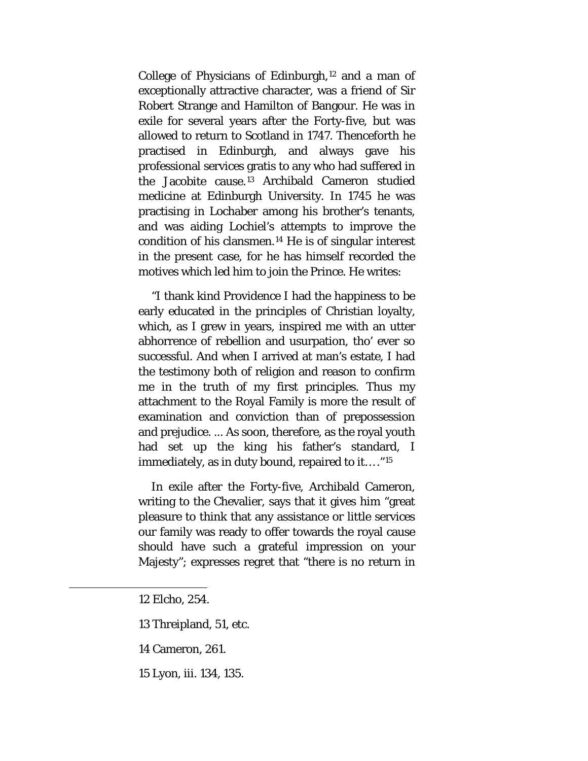College of Physicians of Edinburgh, $12$  and a man of exceptionally attractive character, was a friend of Sir Robert Strange and Hamilton of Bangour. He was in exile for several years after the Forty-five, but was allowed to return to Scotland in 1747. Thenceforth he practised in Edinburgh, and always gave his professional services gratis to any who had suffered in the Jacobite cause.[13](#page-59-1) Archibald Cameron studied medicine at Edinburgh University. In 1745 he was practising in Lochaber among his brother's tenants, and was aiding Lochiel's attempts to improve the condition of his clansmen.[14](#page-59-2) He is of singular interest in the present case, for he has himself recorded the motives which led him to join the Prince. He writes:

"I thank kind Providence I had the happiness to be early educated in the principles of Christian loyalty, which, as I grew in years, inspired me with an utter abhorrence of rebellion and usurpation, tho' ever so successful. And when I arrived at man's estate, I had the testimony both of religion and reason to confirm me in the truth of my first principles. Thus my attachment to the Royal Family is more the result of examination and conviction than of prepossession and prejudice. ... As soon, therefore, as the royal youth had set up the king his father's standard, I immediately, as in duty bound, repaired to it… ."[15](#page-59-3)

In exile after the Forty-five, Archibald Cameron, writing to the Chevalier, says that it gives him "great pleasure to think that any assistance or little services our family was ready to offer towards the royal cause should have such a grateful impression on your Majesty"; expresses regret that "there is no return in

<span id="page-59-3"></span><span id="page-59-2"></span><span id="page-59-1"></span><span id="page-59-0"></span> $\overline{\phantom{a}}$ 

15 Lyon, iii. 134, 135.

<sup>12</sup> Elcho, 254.

<sup>13</sup> Threipland, 51, etc.

<sup>14</sup> Cameron, 261.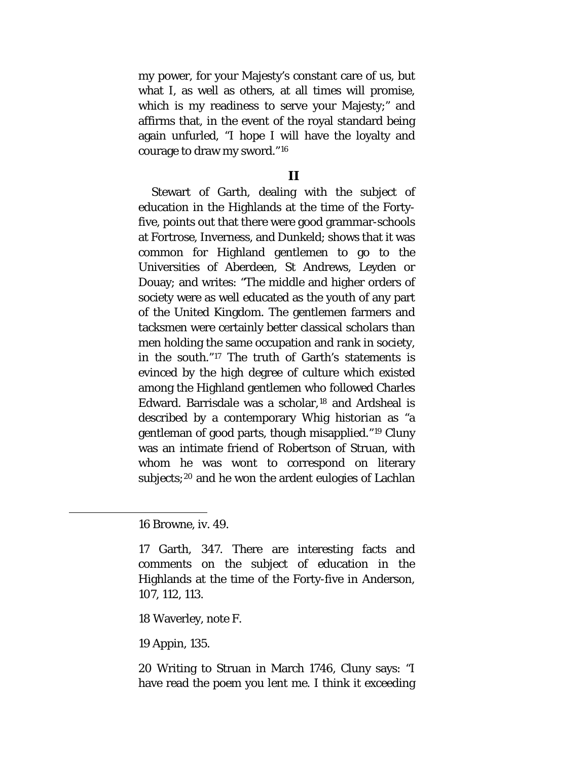my power, for your Majesty's constant care of us, but what I, as well as others, at all times will promise, which is my readiness to serve your Majesty;" and affirms that, in the event of the royal standard being again unfurled, "I hope I will have the loyalty and courage to draw my sword."[16](#page-60-0)

### **II**

Stewart of Garth, dealing with the subject of education in the Highlands at the time of the Fortyfive, points out that there were good grammar-schools at Fortrose, Inverness, and Dunkeld; shows that it was common for Highland gentlemen to go to the Universities of Aberdeen, St Andrews, Leyden or Douay; and writes: "The middle and higher orders of society were as well educated as the youth of any part of the United Kingdom. The gentlemen farmers and tacksmen were certainly better classical scholars than men holding the same occupation and rank in society, in the south."[17](#page-60-1) The truth of Garth's statements is evinced by the high degree of culture which existed among the Highland gentlemen who followed Charles Edward. Barrisdale was a scholar,[18](#page-60-2) and Ardsheal is described by a contemporary Whig historian as "a gentleman of good parts, though misapplied."[19](#page-60-3) Cluny was an intimate friend of Robertson of Struan, with whom he was wont to correspond on literary subjects;<sup>[20](#page-60-4)</sup> and he won the ardent eulogies of Lachlan

<span id="page-60-2"></span><span id="page-60-1"></span><span id="page-60-0"></span> $\overline{\phantom{a}}$ 

18 Waverley, note F.

<span id="page-60-3"></span>19 Appin, 135.

<span id="page-60-4"></span>20 Writing to Struan in March 1746, Cluny says: "I have read the poem you lent me. I think it exceeding

<sup>16</sup> Browne, iv. 49.

<sup>17</sup> Garth, 347. There are interesting facts and comments on the subject of education in the Highlands at the time of the Forty-five in Anderson, 107, 112, 113.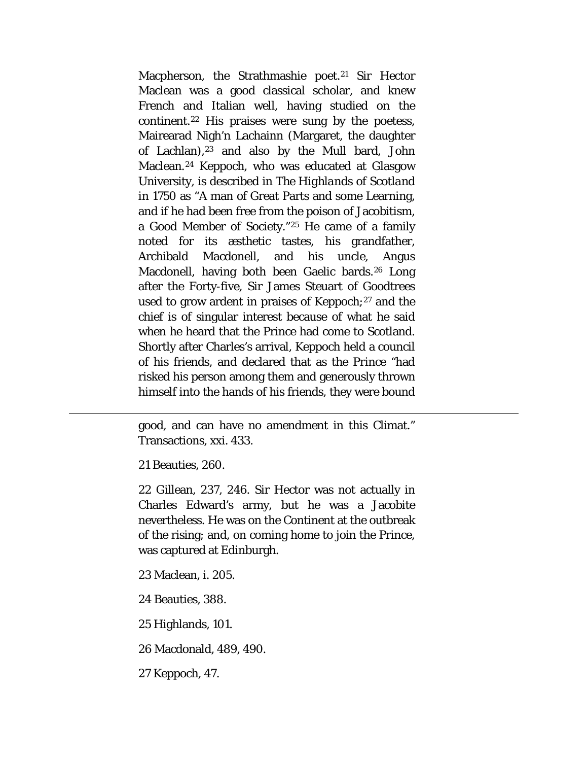Macpherson, the Strathmashie poet.<sup>[21](#page-61-0)</sup> Sir Hector Maclean was a good classical scholar, and knew French and Italian well, having studied on the continent[.22](#page-61-1) His praises were sung by the poetess, Mairearad Nigh'n Lachainn (Margaret, the daughter of Lachlan), $23$  and also by the Mull bard, John Maclean.[24](#page-61-3) Keppoch, who was educated at Glasgow University, is described in *The Highlands of Scotland in 1750* as "A man of Great Parts and some Learning, and if he had been free from the poison of Jacobitism, a Good Member of Society."[25](#page-61-4) He came of a family noted for its æsthetic tastes, his grandfather, Archibald Macdonell, and his uncle, Angus Macdonell, having both been Gaelic bards.[26](#page-61-5) Long after the Forty-five, Sir James Steuart of Goodtrees used to grow ardent in praises of Keppoch;[27](#page-61-6) and the chief is of singular interest because of what he said when he heard that the Prince had come to Scotland. Shortly after Charles's arrival, Keppoch held a council of his friends, and declared that as the Prince "had risked his person among them and generously thrown himself into the hands of his friends, they were bound

good, and can have no amendment in this Climat." Transactions, xxi. 433.

21 Beauties, 260.

<span id="page-61-1"></span><span id="page-61-0"></span> $\overline{\phantom{a}}$ 

22 Gillean, 237, 246. Sir Hector was not actually in Charles Edward's army, but he was a Jacobite nevertheless. He was on the Continent at the outbreak of the rising; and, on coming home to join the Prince, was captured at Edinburgh.

<span id="page-61-2"></span>23 Maclean, i. 205.

<span id="page-61-3"></span>24 Beauties, 388.

<span id="page-61-4"></span>25 Highlands, 101.

<span id="page-61-5"></span>26 Macdonald, 489, 490.

<span id="page-61-6"></span>27 Keppoch, 47.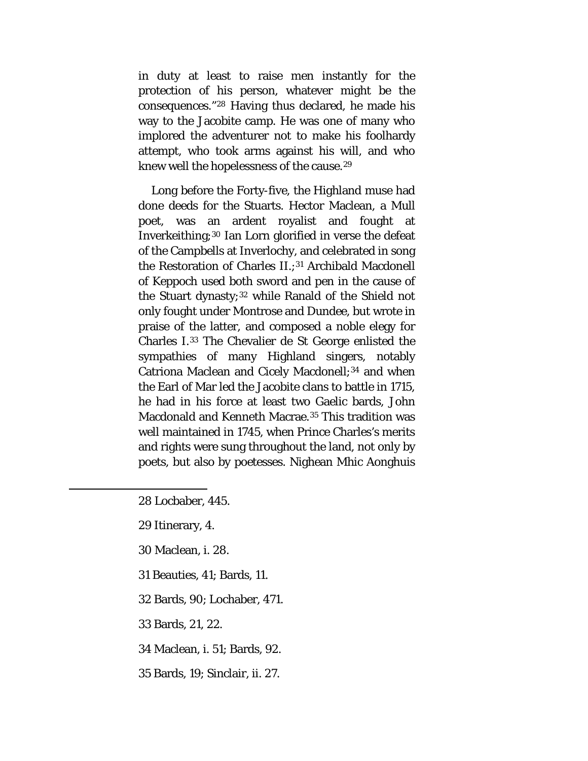in duty at least to raise men instantly for the protection of his person, whatever might be the consequences."[28](#page-62-0) Having thus declared, he made his way to the Jacobite camp. He was one of many who implored the adventurer not to make his foolhardy attempt, who took arms against his will, and who knew well the hopelessness of the cause.[29](#page-62-1)

Long before the Forty-five, the Highland muse had done deeds for the Stuarts. Hector Maclean, a Mull poet, was an ardent royalist and fought at Inverkeithing;[30](#page-62-2) Ian Lorn glorified in verse the defeat of the Campbells at Inverlochy, and celebrated in song the Restoration of Charles II.;<sup>[31](#page-62-3)</sup> Archibald Macdonell of Keppoch used both sword and pen in the cause of the Stuart dynasty;[32](#page-62-4) while Ranald of the Shield not only fought under Montrose and Dundee, but wrote in praise of the latter, and composed a noble elegy for Charles I.[33](#page-62-5) The Chevalier de St George enlisted the sympathies of many Highland singers, notably Catriona Maclean and Cicely Macdonell;<sup>[34](#page-62-6)</sup> and when the Earl of Mar led the Jacobite clans to battle in 1715, he had in his force at least two Gaelic bards, John Macdonald and Kenneth Macrae.<sup>[35](#page-62-7)</sup> This tradition was well maintained in 1745, when Prince Charles's merits and rights were sung throughout the land, not only by poets, but also by poetesses. Nighean Mhic Aonghuis

28 Locbaber, 445.

29 Itinerary, 4.

<span id="page-62-4"></span><span id="page-62-3"></span><span id="page-62-2"></span><span id="page-62-1"></span><span id="page-62-0"></span> $\overline{\phantom{a}}$ 

30 Maclean, i. 28.

31 Beauties, 41; Bards, 11.

32 Bards, 90; Lochaber, 471.

<span id="page-62-5"></span>33 Bards, 21, 22.

<span id="page-62-6"></span>34 Maclean, i. 51; Bards, 92.

<span id="page-62-7"></span>35 Bards, 19; Sinclair, ii. 27.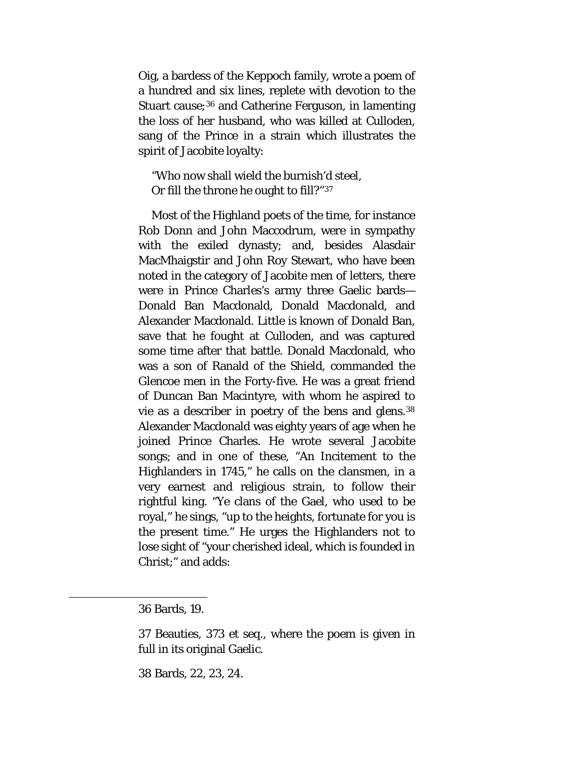Oig, a bardess of the Keppoch family, wrote a poem of a hundred and six lines, replete with devotion to the Stuart cause;<sup>[36](#page-63-0)</sup> and Catherine Ferguson, in lamenting the loss of her husband, who was killed at Culloden, sang of the Prince in a strain which illustrates the spirit of Jacobite loyalty:

"Who now shall wield the burnish'd steel, Or fill the throne he ought to fill?"[37](#page-63-1)

Most of the Highland poets of the time, for instance Rob Donn and John Maccodrum, were in sympathy with the exiled dynasty; and, besides Alasdair MacMhaigstir and John Roy Stewart, who have been noted in the category of Jacobite men of letters, there were in Prince Charles's army three Gaelic bards— Donald Ban Macdonald, Donald Macdonald, and Alexander Macdonald. Little is known of Donald Ban, save that he fought at Culloden, and was captured some time after that battle. Donald Macdonald, who was a son of Ranald of the Shield, commanded the Glencoe men in the Forty-five. He was a great friend of Duncan Ban Macintyre, with whom he aspired to vie as a describer in poetry of the bens and glens.[38](#page-63-2) Alexander Macdonald was eighty years of age when he joined Prince Charles. He wrote several Jacobite songs; and in one of these, "An Incitement to the Highlanders in 1745," he calls on the clansmen, in a very earnest and religious strain, to follow their rightful king. "Ye clans of the Gael, who used to be royal," he sings, "up to the heights, fortunate for you is the present time." He urges the Highlanders not to lose sight of "your cherished ideal, which is founded in Christ;" and adds:

<span id="page-63-2"></span><span id="page-63-1"></span><span id="page-63-0"></span>l

38 Bards, 22, 23, 24.

<sup>36</sup> Bards, 19.

<sup>37</sup> Beauties, 373 et seq., where the poem is given in full in its original Gaelic.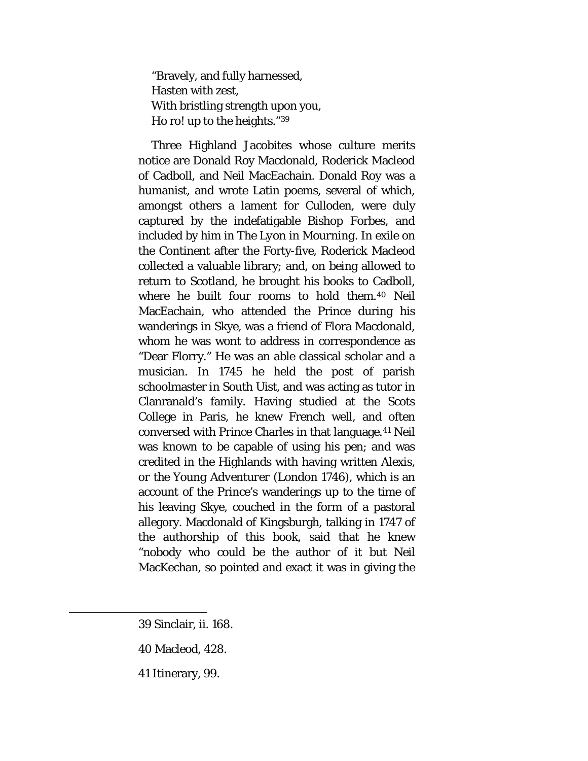"Bravely, and fully harnessed, Hasten with zest, With bristling strength upon you, Ho ro! up to the heights."[39](#page-64-0)

Three Highland Jacobites whose culture merits notice are Donald Roy Macdonald, Roderick Macleod of Cadboll, and Neil MacEachain. Donald Roy was a humanist, and wrote Latin poems, several of which, amongst others a lament for Culloden, were duly captured by the indefatigable Bishop Forbes, and included by him in *The Lyon in Mourning.* In exile on the Continent after the Forty-five, Roderick Macleod collected a valuable library; and, on being allowed to return to Scotland, he brought his books to Cadboll, where he built four rooms to hold them.[40](#page-64-1) Neil MacEachain, who attended the Prince during his wanderings in Skye, was a friend of Flora Macdonald, whom he was wont to address in correspondence as "Dear Florry." He was an able classical scholar and a musician. In 1745 he held the post of parish schoolmaster in South Uist, and was acting as tutor in Clanranald's family. Having studied at the Scots College in Paris, he knew French well, and often conversed with Prince Charles in that language.[41](#page-64-2) Neil was known to be capable of using his pen; and was credited in the Highlands with having written *Alexis, or the Young Adventurer* (London 1746), which is an account of the Prince's wanderings up to the time of his leaving Skye, couched in the form of a pastoral allegory. Macdonald of Kingsburgh, talking in 1747 of the authorship of this book, said that he knew "nobody who could be the author of it but Neil MacKechan, so pointed and exact it was in giving the

<span id="page-64-2"></span><span id="page-64-1"></span><span id="page-64-0"></span>l

<sup>39</sup> Sinclair, ii. 168.

<sup>40</sup> Macleod, 428.

<sup>41</sup> Itinerary, 99.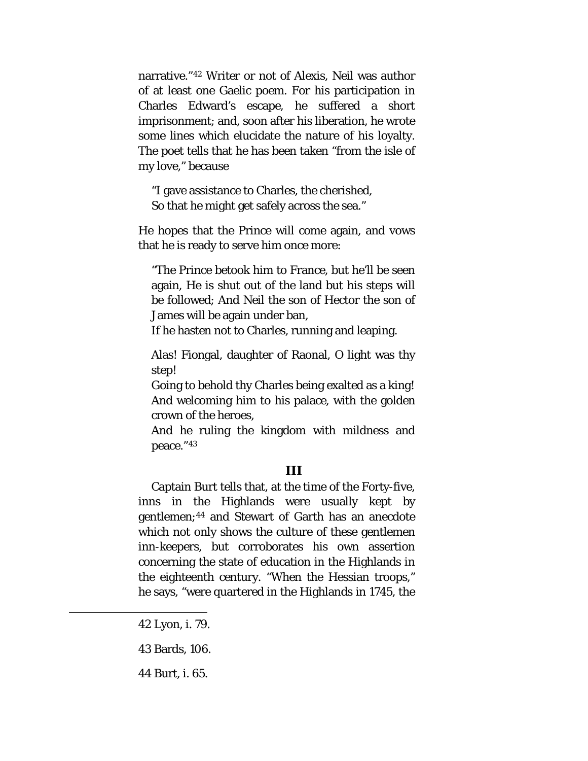narrative."[42](#page-65-0) Writer or not of *Alexis,* Neil was author of at least one Gaelic poem. For his participation in Charles Edward's escape, he suffered a short imprisonment; and, soon after his liberation, he wrote some lines which elucidate the nature of his loyalty. The poet tells that he has been taken "from the isle of my love," because

"I gave assistance to Charles, the cherished, So that he might get safely across the sea."

He hopes that the Prince will come again, and vows that he is ready to serve him once more:

"The Prince betook him to France, but he'll be seen again, He is shut out of the land but his steps will be followed; And Neil the son of Hector the son of James will be again under ban,

If he hasten not to Charles, running and leaping.

Alas! Fiongal, daughter of Raonal, O light was thy step!

Going to behold thy Charles being exalted as a king! And welcoming him to his palace, with the golden crown of the heroes,

And he ruling the kingdom with mildness and peace."[43](#page-65-1)

### **III**

Captain Burt tells that, at the time of the Forty-five, inns in the Highlands were usually kept by gentlemen;[44](#page-65-2) and Stewart of Garth has an anecdote which not only shows the culture of these gentlemen inn-keepers, but corroborates his own assertion concerning the state of education in the Highlands in the eighteenth century. "When the Hessian troops," he says, "were quartered in the Highlands in 1745, the

<span id="page-65-2"></span><span id="page-65-1"></span><span id="page-65-0"></span>l

44 Burt, i. 65.

<sup>42</sup> Lyon, i. 79.

<sup>43</sup> Bards, 106.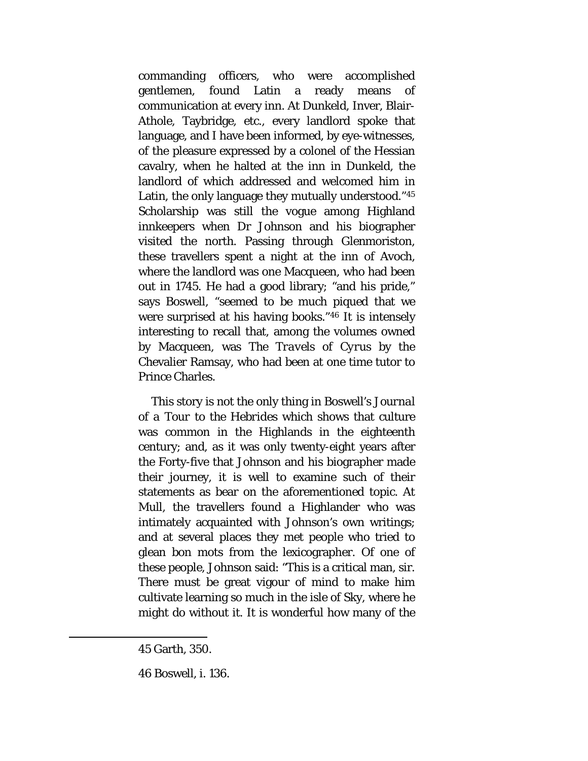commanding officers, who were accomplished gentlemen, found Latin a ready means of communication at every inn. At Dunkeld, Inver, Blair-Athole, Taybridge, etc., every landlord spoke that language, and I have been informed, by eye-witnesses, of the pleasure expressed by a colonel of the Hessian cavalry, when he halted at the inn in Dunkeld, the landlord of which addressed and welcomed him in Latin, the only language they mutually understood."[45](#page-66-0) Scholarship was still the vogue among Highland innkeepers when Dr Johnson and his biographer visited the north. Passing through Glenmoriston, these travellers spent a night at the inn of Avoch, where the landlord was one Macqueen, who had been out in 1745. He had a good library; "and his pride," says Boswell, "seemed to be much piqued that we were surprised at his having books."[46](#page-66-1) It is intensely interesting to recall that, among the volumes owned by Macqueen, was *The Travels of Cyrus* by the Chevalier Ramsay, who had been at one time tutor to Prince Charles.

This story is not the only thing in Boswell's *Journal of a Tour to the Hebrides* which shows that culture was common in the Highlands in the eighteenth century; and, as it was only twenty-eight years after the Forty-five that Johnson and his biographer made their journey, it is well to examine such of their statements as bear on the aforementioned topic. At Mull, the travellers found a Highlander who was intimately acquainted with Johnson's own writings; and at several places they met people who tried to glean *bon mots* from the lexicographer. Of one of these people, Johnson said: "This is a critical man, sir. There must be great vigour of mind to make him cultivate learning so much in the isle of Sky, where he might do without it. It is wonderful how many of the

<span id="page-66-1"></span><span id="page-66-0"></span> $\overline{\phantom{a}}$ 

<sup>45</sup> Garth, 350.

<sup>46</sup> Boswell, i. 136.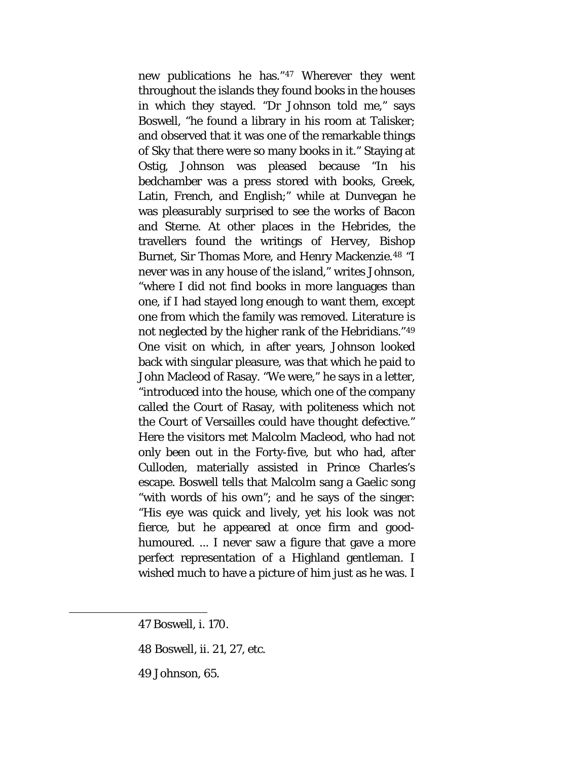new publications he has."[47](#page-67-0) Wherever they went throughout the islands they found books in the houses in which they stayed. "Dr Johnson told me," says Boswell, "he found a library in his room at Talisker; and observed that it was one of the remarkable things of Sky that there were so many books in it." Staying at Ostig, Johnson was pleased because "In his bedchamber was a press stored with books, Greek, Latin, French, and English;" while at Dunvegan he was pleasurably surprised to see the works of Bacon and Sterne. At other places in the Hebrides, the travellers found the writings of Hervey, Bishop Burnet, Sir Thomas More, and Henry Mackenzie.[48](#page-67-1) "I never was in any house of the island," writes Johnson, "where I did not find books in more languages than one, if I had stayed long enough to want them, except one from which the family was removed. Literature is not neglected by the higher rank of the Hebridians."[49](#page-67-2) One visit on which, in after years, Johnson looked back with singular pleasure, was that which he paid to John Macleod of Rasay. "We were," he says in a letter, "introduced into the house, which one of the company called the Court of Rasay, with politeness which not the Court of Versailles could have thought defective." Here the visitors met Malcolm Macleod, who had not only been out in the Forty-five, but who had, after Culloden, materially assisted in Prince Charles's escape. Boswell tells that Malcolm sang a Gaelic song "with words of his own"; and he says of the singer: "His eye was quick and lively, yet his look was not fierce, but he appeared at once firm and goodhumoured. ... I never saw a figure that gave a more perfect representation of a Highland gentleman. I wished much to have a picture of him just as he was. I

<span id="page-67-2"></span><span id="page-67-1"></span><span id="page-67-0"></span>l

- 48 Boswell, ii. 21, 27, etc.
- 49 Johnson, 65.

<sup>47</sup> Boswell, i. 170.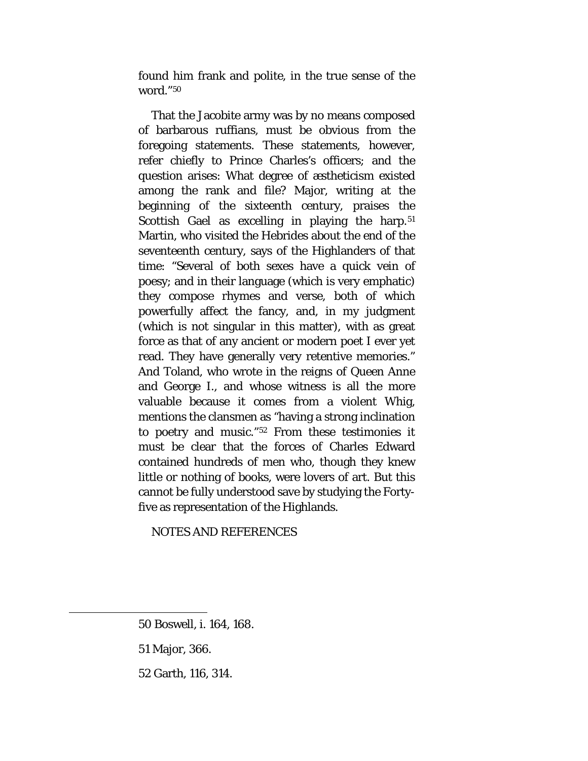found him frank and *polite,* in the true sense of the word."[50](#page-68-0)

That the Jacobite army was by no means composed of barbarous ruffians, must be obvious from the foregoing statements. These statements, however, refer chiefly to Prince Charles's officers; and the question arises: What degree of æstheticism existed among the rank and file? Major, writing at the beginning of the sixteenth century, praises the Scottish Gael as excelling in playing the harp.<sup>[51](#page-68-1)</sup> Martin, who visited the Hebrides about the end of the seventeenth century, says of the Highlanders of that time: "Several of both sexes have a quick vein of poesy; and in their language (which is very emphatic) they compose rhymes and verse, both of which powerfully affect the fancy, and, in my judgment (which is not singular in this matter), with as great force as that of any ancient or modern poet I ever yet read. They have generally very retentive memories." And Toland, who wrote in the reigns of Queen Anne and George I., and whose witness is all the more valuable because it comes from a violent Whig, mentions the clansmen as "having a strong inclination to poetry and music."[52](#page-68-2) From these testimonies it must be clear that the forces of Charles Edward contained hundreds of men who, though they knew little or nothing of books, were lovers of art. But this cannot be fully understood save by studying the Fortyfive as representation of the Highlands.

NOTES AND REFERENCES

<span id="page-68-2"></span><span id="page-68-1"></span><span id="page-68-0"></span>l

<sup>50</sup> Boswell, i. 164, 168.

<sup>51</sup> Major, 366.

<sup>52</sup> Garth, 116, 314.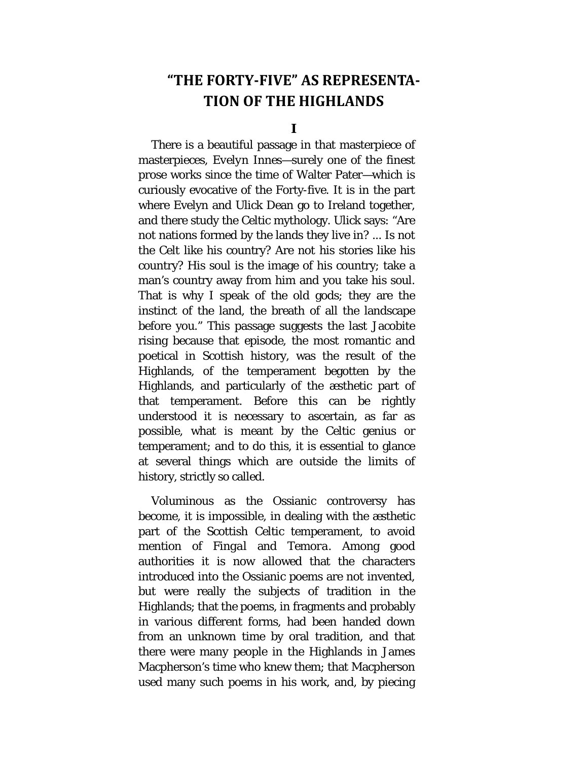# **"THE FORTY-FIVE" AS REPRESENTA-TION OF THE HIGHLANDS**

**I**

There is a beautiful passage in that masterpiece of masterpieces, *Evelyn Innes*—surely one of the finest prose works since the time of Walter Pater—which is curiously evocative of the Forty-five. It is in the part where Evelyn and Ulick Dean go to Ireland together, and there study the Celtic mythology. Ulick says: "Are not nations formed by the lands they live in? ... Is not the Celt like his country? Are not his stories like his country? His soul is the image of his country; take a man's country away from him and you take his soul. That is why I speak of the old gods; they are the instinct of the land, the breath of all the landscape before you." This passage suggests the last Jacobite rising because that episode, the most romantic and poetical in Scottish history, was the result of the Highlands, of the temperament begotten by the Highlands, and particularly of the æsthetic part of that temperament. Before this can be rightly understood it is necessary to ascertain, as far as possible, what is meant by the Celtic genius or temperament; and to do this, it is essential to glance at several things which are outside the limits of history, strictly so called.

Voluminous as the Ossianic controversy has become, it is impossible, in dealing with the æsthetic part of the Scottish Celtic temperament, to avoid mention of *Fingal* and *Temora.* Among good authorities it is now allowed that the characters introduced into the Ossianic poems are not invented, but were really the subjects of tradition in the Highlands; that the poems, in fragments and probably in various different forms, had been handed down from an unknown time by oral tradition, and that there were many people in the Highlands in James Macpherson's time who knew them; that Macpherson used many such poems in his work, and, by piecing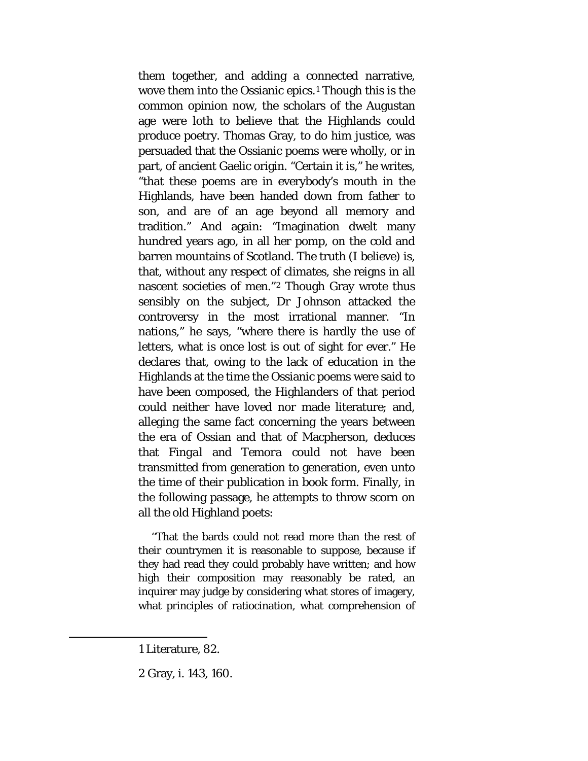them together, and adding a connected narrative, wove them into the Ossianic epics.[1](#page-70-0) Though this is the common opinion now, the scholars of the Augustan age were loth to believe that the Highlands could produce poetry. Thomas Gray, to do him justice, was persuaded that the Ossianic poems were wholly, or in part, of ancient Gaelic origin. "Certain it is," he writes, "that these poems are in everybody's mouth in the Highlands, have been handed down from father to son, and are of an age beyond all memory and tradition." And again: "Imagination dwelt many hundred years ago, in all her pomp, on the cold and barren mountains of Scotland. The truth (I believe) is, that, without any respect of climates, she reigns in all nascent societies of men."[2](#page-70-1) Though Gray wrote thus sensibly on the subject, Dr Johnson attacked the controversy in the most irrational manner. "In nations," he says, "where there is hardly the use of letters, what is once lost is out of sight for ever." He declares that, owing to the lack of education in the Highlands at the time the Ossianic poems were said to have been composed, the Highlanders of that period could neither have loved nor made literature; and, alleging the same fact concerning the years between the era of Ossian and that of Macpherson, deduces that *Fingal* and *Temora* could not have been transmitted from generation to generation, even unto the time of their publication in book form. Finally, in the following passage, he attempts to throw scorn on all the old Highland poets:

''That the bards could not read more than the rest of their countrymen it is reasonable to suppose, because if they had read they could probably have written; and how high their composition may reasonably be rated, an inquirer may judge by considering what stores of imagery, what principles of ratiocination, what comprehension of

<span id="page-70-1"></span><span id="page-70-0"></span> $\overline{\phantom{a}}$ 

<sup>1</sup> Literature, 82.

<sup>2</sup> Gray, i. 143, 160.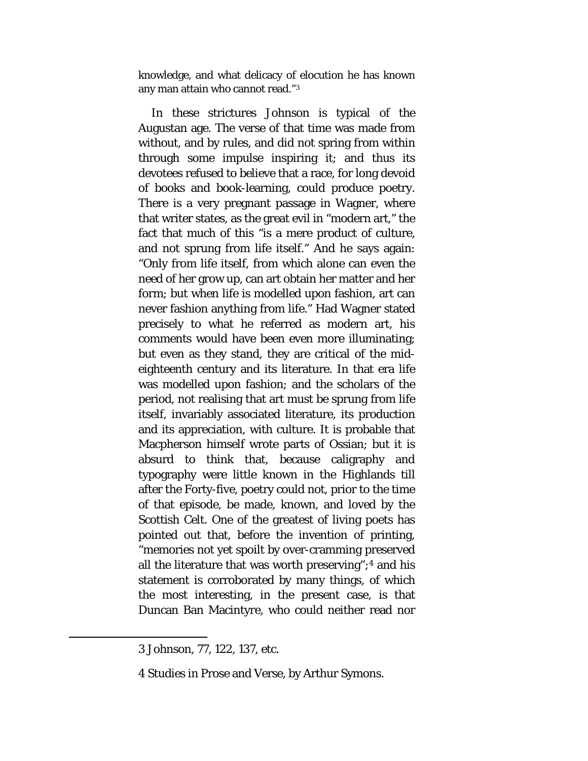knowledge, and what delicacy of elocution he has known any man attain who cannot read."[3](#page-71-0)

In these strictures Johnson is typical of the Augustan age. The verse of that time was made from without, and by rules, and did not spring from within through some impulse inspiring it; and thus its devotees refused to believe that a race, for long devoid of books and book-learning, could produce poetry. There is a very pregnant passage in Wagner, where that writer states, as the great evil in "modern art," the fact that much of this "is a mere product of culture, and not sprung from life itself." And he says again: "Only from life itself, from which alone can even the need of her grow up, can art obtain her matter and her form; but when life is modelled upon fashion, art can never fashion anything from life." Had Wagner stated precisely to what he referred as modern art, his comments would have been even more illuminating; but even as they stand, they are critical of the mideighteenth century and its literature. In that era life was modelled upon fashion; and the scholars of the period, not realising that art must be sprung from life itself, invariably associated literature, its production and its appreciation, with culture. It is probable that Macpherson himself wrote parts of Ossian; but it is absurd to think that, because caligraphy and typography were little known in the Highlands till after the Forty-five, poetry could not, prior to the time of that episode, be made, known, and loved by the Scottish Celt. One of the greatest of living poets has pointed out that, before the invention of printing, "memories not yet spoilt by over-cramming preserved all the literature that was worth preserving";[4](#page-71-1) and his statement is corroborated by many things, of which the most interesting, in the present case, is that Duncan Ban Macintyre, who could neither read nor

<span id="page-71-1"></span><span id="page-71-0"></span> $\overline{\phantom{a}}$ 

<sup>3</sup> Johnson, 77, 122, 137, etc.

<sup>4</sup> Studies in Prose and Verse, by Arthur Symons.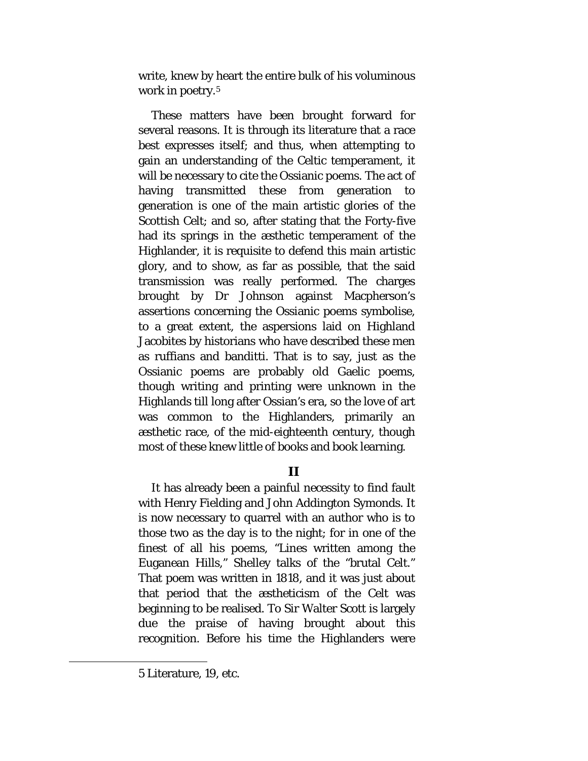write, knew by heart the entire bulk of his voluminous work in poetry.<sup>[5](#page-72-0)</sup>

These matters have been brought forward for several reasons. It is through its literature that a race best expresses itself; and thus, when attempting to gain an understanding of the Celtic temperament, it will be necessary to cite the Ossianic poems. The act of having transmitted these from generation to generation is one of the main artistic glories of the Scottish Celt; and so, after stating that the Forty-five had its springs in the æsthetic temperament of the Highlander, it is requisite to defend this main artistic glory, and to show, as far as possible, that the said transmission was really performed. The charges brought by Dr Johnson against Macpherson's assertions concerning the Ossianic poems symbolise, to a great extent, the aspersions laid on Highland Jacobites by historians who have described these men as ruffians and banditti. That is to say, just as the Ossianic poems are probably old Gaelic poems, though writing and printing were unknown in the Highlands till long after Ossian's era, so the love of art was common to the Highlanders, primarily an æsthetic race, of the mid-eighteenth century, though most of these knew little of books and book learning.

### **II**

It has already been a painful necessity to find fault with Henry Fielding and John Addington Symonds. It is now necessary to quarrel with an author who is to those two as the day is to the night; for in one of the finest of all his poems, "Lines written among the Euganean Hills," Shelley talks of the "brutal Celt." That poem was written in 1818, and it was just about that period that the æstheticism of the Celt was beginning to be realised. To Sir Walter Scott is largely due the praise of having brought about this recognition. Before his time the Highlanders were

<span id="page-72-0"></span> $\overline{a}$ 

<sup>5</sup> Literature, 19, etc.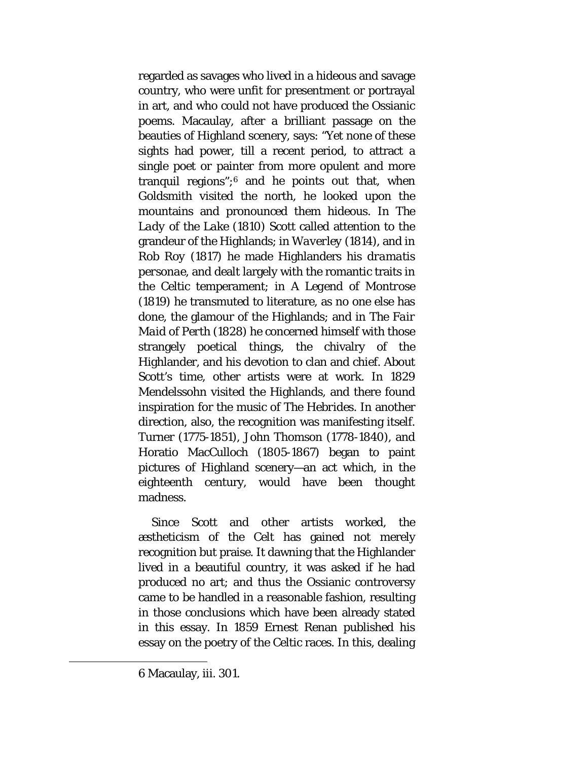regarded as savages who lived in a hideous and savage country, who were unfit for presentment or portrayal in art, and who could not have produced the Ossianic poems. Macaulay, after a brilliant passage on the beauties of Highland scenery, says: "Yet none of these sights had power, till a recent period, to attract a single poet or painter from more opulent and more tranquil regions";[6](#page-73-0) and he points out that, when Goldsmith visited the north, he looked upon the mountains and pronounced them hideous. In *The Lady of the Lake* (1810) Scott called attention to the grandeur of the Highlands; in *Waverley* (1814), and in *Rob Roy* (1817) he made Highlanders his *dramatis personae,* and dealt largely with the romantic traits in the Celtic temperament; in *A Legend of Montrose*  (1819) he transmuted to literature, as no one else has done, the glamour of the Highlands; and in *The Fair Maid of Perth* (1828) he concerned himself with those strangely poetical things, the chivalry of the Highlander, and his devotion to clan and chief. About Scott's time, other artists were at work. In 1829 Mendelssohn visited the Highlands, and there found inspiration for the music of *The Hebrides.* In another direction, also, the recognition was manifesting itself. Turner (1775-1851), John Thomson (1778-1840), and Horatio MacCulloch (1805-1867) began to paint pictures of Highland scenery—an act which, in the eighteenth century, would have been thought madness.

Since Scott and other artists worked, the æstheticism of the Celt has gained not merely recognition but praise. It dawning that the Highlander lived in a beautiful country, it was asked if he had produced no art; and thus the Ossianic controversy came to be handled in a reasonable fashion, resulting in those conclusions which have been already stated in this essay. In 1859 Ernest Renan published his essay on the poetry of the Celtic races. In this, dealing

<span id="page-73-0"></span> $\overline{a}$ 

<sup>6</sup> Macaulay, iii. 301.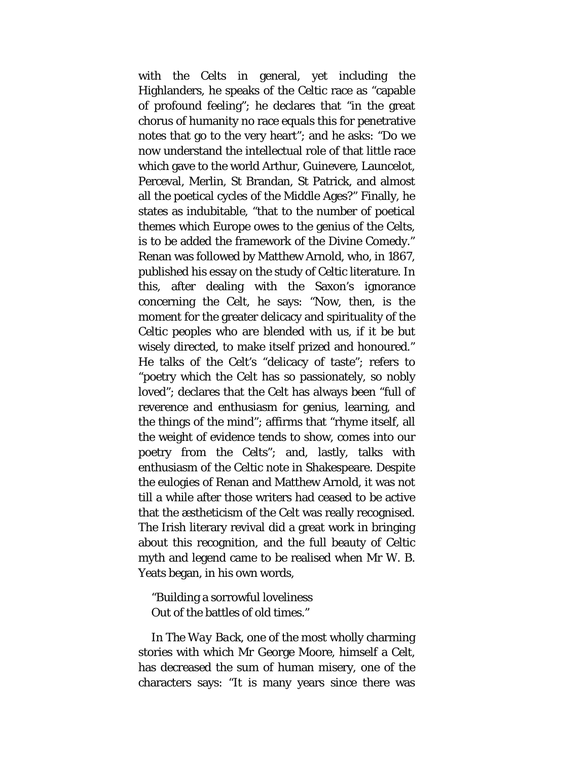with the Celts in general, yet including the Highlanders, he speaks of the Celtic race as "capable of profound feeling"; he declares that "in the great chorus of humanity no race equals this for penetrative notes that go to the very heart"; and he asks: "Do we now understand the intellectual role of that little race which gave to the world Arthur, Guinevere, Launcelot, Perceval, Merlin, St Brandan, St Patrick, and almost all the poetical cycles of the Middle Ages?" Finally, he states as indubitable, "that to the number of poetical themes which Europe owes to the genius of the Celts, is to be added the framework of the Divine Comedy." Renan was followed by Matthew Arnold, who, in 1867, published his essay on the study of Celtic literature. In this, after dealing with the Saxon's ignorance concerning the Celt, he says: "Now, then, is the moment for the greater delicacy and spirituality of the Celtic peoples who are blended with us, if it be but wisely directed, to make itself prized and honoured." He talks of the Celt's "delicacy of taste"; refers to "poetry which the Celt has so passionately, so nobly loved"; declares that the Celt has always been "full of reverence and enthusiasm for genius, learning, and the things of the mind"; affirms that "rhyme itself, all the weight of evidence tends to show, comes into our poetry from the Celts"; and, lastly, talks with enthusiasm of the Celtic note in Shakespeare. Despite the eulogies of Renan and Matthew Arnold, it was not till a while after those writers had ceased to be active that the æstheticism of the Celt was really recognised. The Irish literary revival did a great work in bringing about this recognition, and the full beauty of Celtic myth and legend came to be realised when Mr W. B. Yeats began, in his own words,

"Building a sorrowful loveliness Out of the battles of old times."

In *The Way Back,* one of the most wholly charming stories with which Mr George Moore, himself a Celt, has decreased the sum of human misery, one of the characters says: "It is many years since there was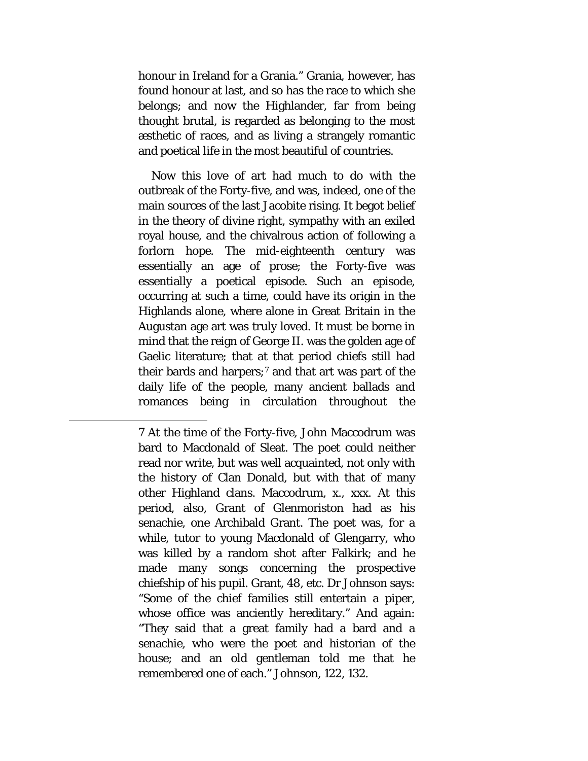honour in Ireland for a Grania." Grania, however, has found honour at last, and so has the race to which she belongs; and now the Highlander, far from being thought brutal, is regarded as belonging to the most æsthetic of races, and as living a strangely romantic and poetical life in the most beautiful of countries.

Now this love of art had much to do with the outbreak of the Forty-five, and was, indeed, one of the main sources of the last Jacobite rising. It begot belief in the theory of divine right, sympathy with an exiled royal house, and the chivalrous action of following a forlorn hope. The mid-eighteenth century was essentially an age of prose; the Forty-five was essentially a poetical episode. Such an episode, occurring at such a time, could have its origin in the Highlands alone, where alone in Great Britain in the Augustan age art was truly loved. It must be borne in mind that the reign of George II. was the golden age of Gaelic literature; that at that period chiefs still had their bards and harpers; $7$  and that art was part of the daily life of the people, many ancient ballads and romances being in circulation throughout the

<span id="page-75-0"></span> $\overline{a}$ 

<sup>7</sup> At the time of the Forty-five, John Maccodrum was bard to Macdonald of Sleat. The poet could neither read nor write, but was well acquainted, not only with the history of Clan Donald, but with that of many other Highland clans. Maccodrum, x., xxx. At this period, also, Grant of Glenmoriston had as his senachie, one Archibald Grant. The poet was, for a while, tutor to young Macdonald of Glengarry, who was killed by a random shot after Falkirk; and he made many songs concerning the prospective chiefship of his pupil. Grant, 48, etc. Dr Johnson says: "Some of the chief families still entertain a piper, whose office was anciently hereditary." And again: "They said that a great family had a bard and a senachie, who were the poet and historian of the house; and an old gentleman told me that he remembered one of each." Johnson, 122, 132.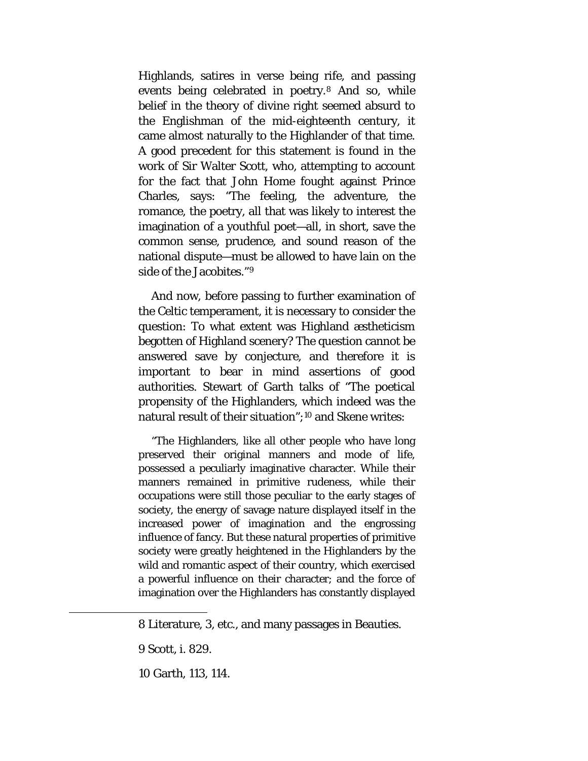Highlands, satires in verse being rife, and passing events being celebrated in poetry.[8](#page-76-0) And so, while belief in the theory of divine right seemed absurd to the Englishman of the mid-eighteenth century, it came almost naturally to the Highlander of that time. A good precedent for this statement is found in the work of Sir Walter Scott, who, attempting to account for the fact that John Home fought against Prince Charles, says: "The feeling, the adventure, the romance, the poetry, all that was likely to interest the imagination of a youthful poet—all, in short, save the common sense, prudence, and sound reason of the national dispute—must be allowed to have lain on the side of the Jacobites."[9](#page-76-1)

And now, before passing to further examination of the Celtic temperament, it is necessary to consider the question: To what extent was Highland æstheticism begotten of Highland scenery? The question cannot be answered save by conjecture, and therefore it is important to bear in mind assertions of good authorities. Stewart of Garth talks of "The poetical propensity of the Highlanders, which indeed was the natural result of their situation";[10](#page-76-2) and Skene writes:

"The Highlanders, like all other people who have long preserved their original manners and mode of life, possessed a peculiarly imaginative character. While their manners remained in primitive rudeness, while their occupations were still those peculiar to the early stages of society, the energy of savage nature displayed itself in the increased power of imagination and the engrossing influence of fancy. But these natural properties of primitive society were greatly heightened in the Highlanders by the wild and romantic aspect of their country, which exercised a powerful influence on their character; and the force of imagination over the Highlanders has constantly displayed

<span id="page-76-2"></span><span id="page-76-1"></span><span id="page-76-0"></span>l

<sup>8</sup> Literature, 3, etc., and many passages in Beauties.

<sup>9</sup> Scott, i. 829.

<sup>10</sup> Garth, 113, 114.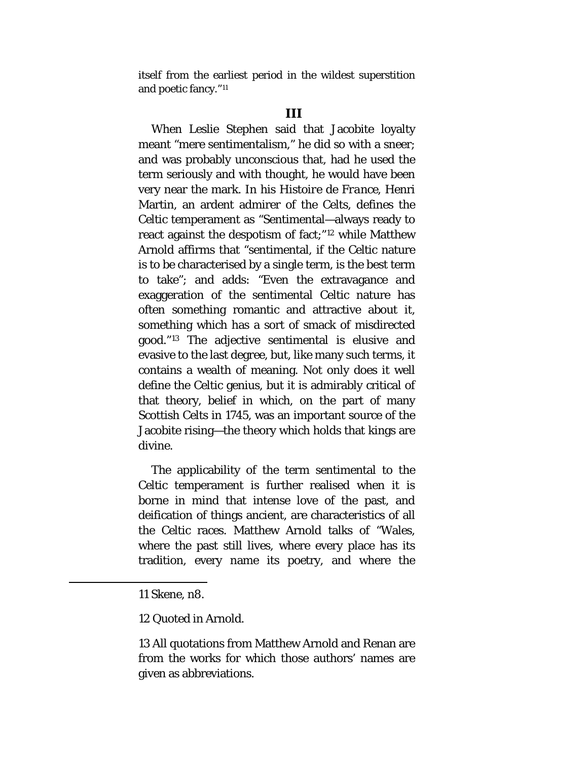itself from the earliest period in the wildest superstition and poetic fancy."[11](#page-77-0)

When Leslie Stephen said that Jacobite loyalty meant "mere sentimentalism," he did so with a sneer; and was probably unconscious that, had he used the term seriously and with thought, he would have been very near the mark. In his *Histoire de France,* Henri Martin, an ardent admirer of the Celts, defines the Celtic temperament as "Sentimental—always ready to react against the despotism of fact;"[12](#page-77-1) while Matthew Arnold affirms that "sentimental, if the Celtic nature is to be characterised by a single term, is the best term to take"; and adds: "Even the extravagance and exaggeration of the sentimental Celtic nature has often something romantic and attractive about it, something which has a sort of smack of misdirected good."[13](#page-77-2) The adjective sentimental is elusive and evasive to the last degree, but, like many such terms, it contains a wealth of meaning. Not only does it well define the Celtic genius, but it is admirably critical of that theory, belief in which, on the part of many Scottish Celts in 1745, was an important source of the Jacobite rising—the theory which holds that kings are divine.

The applicability of the term sentimental to the Celtic temperament is further realised when it is borne in mind that intense love of the past, and deification of things ancient, are characteristics of all the Celtic races. Matthew Arnold talks of "Wales, where the past still lives, where every place has its tradition, every name its poetry, and where the

<span id="page-77-2"></span><span id="page-77-1"></span><span id="page-77-0"></span> $\overline{\phantom{a}}$ 

12 Quoted in Arnold.

13 All quotations from Matthew Arnold and Renan are from the works for which those authors' names are given as abbreviations.

<sup>11</sup> Skene, n8.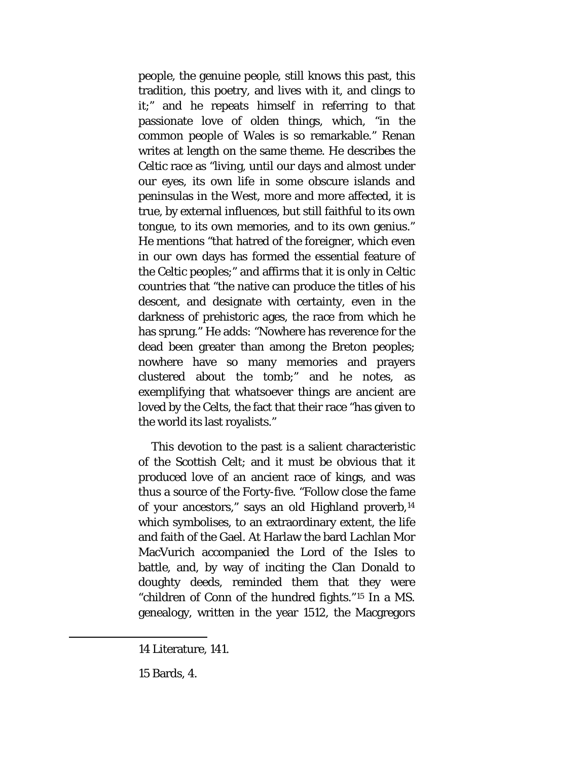people, the genuine people, still knows this past, this tradition, this poetry, and lives with it, and clings to it;" and he repeats himself in referring to that passionate love of olden things, which, "in the common people of Wales is so remarkable." Renan writes at length on the same theme. He describes the Celtic race as "living, until our days and almost under our eyes, its own life in some obscure islands and peninsulas in the West, more and more affected, it is true, by external influences, but still faithful to its own tongue, to its own memories, and to its own genius." He mentions "that hatred of the foreigner, which even in our own days has formed the essential feature of the Celtic peoples;" and affirms that it is only in Celtic countries that "the native can produce the titles of his descent, and designate with certainty, even in the darkness of prehistoric ages, the race from which he has sprung." He adds: "Nowhere has reverence for the dead been greater than among the Breton peoples; nowhere have so many memories and prayers clustered about the tomb;" and he notes, as exemplifying that whatsoever things are ancient are loved by the Celts, the fact that their race "has given to the world its last royalists."

This devotion to the past is a salient characteristic of the Scottish Celt; and it must be obvious that it produced love of an ancient race of kings, and was thus a source of the Forty-five. "Follow close the fame of your ancestors," says an old Highland proverb,[14](#page-78-0) which symbolises, to an extraordinary extent, the life and faith of the Gael. At Harlaw the bard Lachlan Mor MacVurich accompanied the Lord of the Isles to battle, and, by way of inciting the Clan Donald to doughty deeds, reminded them that they were "children of Conn of the hundred fights."[15](#page-78-1) In a MS. genealogy, written in the year 1512, the Macgregors

<span id="page-78-0"></span><sup>14</sup> Literature, 141.

<span id="page-78-1"></span><sup>15</sup> Bards, 4.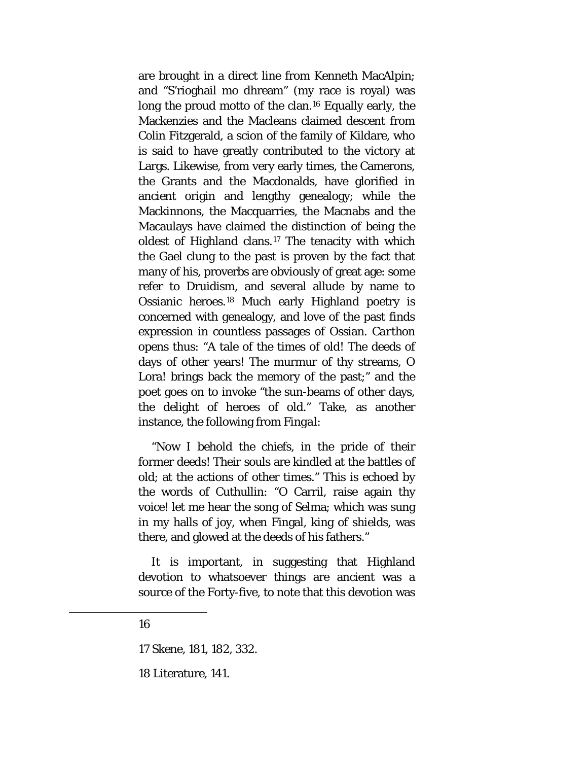are brought in a direct line from Kenneth MacAlpin; and "S'rioghail mo dhream" (my race is royal) was long the proud motto of the clan.[16](#page-79-0) Equally early, the Mackenzies and the Macleans claimed descent from Colin Fitzgerald, a scion of the family of Kildare, who is said to have greatly contributed to the victory at Largs. Likewise, from very early times, the Camerons, the Grants and the Macdonalds, have glorified in ancient origin and lengthy genealogy; while the Mackinnons, the Macquarries, the Macnabs and the Macaulays have claimed the distinction of being the oldest of Highland clans.[17](#page-79-1) The tenacity with which the Gael clung to the past is proven by the fact that many of his, proverbs are obviously of great age: some refer to Druidism, and several allude by name to Ossianic heroes.[18](#page-79-2) Much early Highland poetry is concerned with genealogy, and love of the past finds expression in countless passages of Ossian. *Carthon*  opens thus: "A tale of the times of old! The deeds of days of other years! The murmur of thy streams, O Lora! brings back the memory of the past;" and the poet goes on to invoke "the sun-beams of other days, the delight of heroes of old." Take, as another instance, the following from *Fingal*:

"Now I behold the chiefs, in the pride of their former deeds! Their souls are kindled at the battles of old; at the actions of other times." This is echoed by the words of Cuthullin: "O Carril, raise again thy voice! let me hear the song of Selma; which was sung in my halls of joy, when Fingal, king of shields, was there, and glowed at the deeds of his fathers."

It is important, in suggesting that Highland devotion to whatsoever things are ancient was a source of the Forty-five, to note that this devotion was

#### 16

<span id="page-79-2"></span><span id="page-79-1"></span><span id="page-79-0"></span>l

17 Skene, 181, 182, 332.

18 Literature, 141.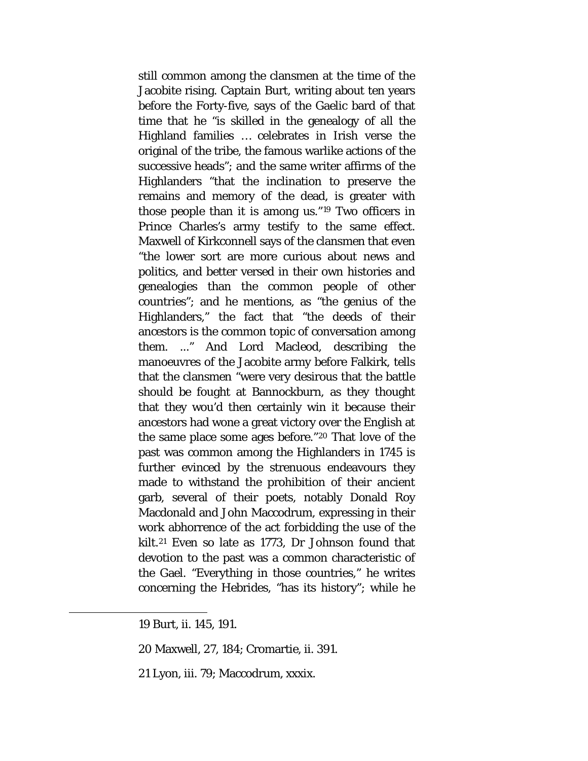still common among the clansmen at the time of the Jacobite rising. Captain Burt, writing about ten years before the Forty-five, says of the Gaelic bard of that time that he "is skilled in the genealogy of all the Highland families … celebrates in Irish verse the original of the tribe, the famous warlike actions of the successive heads"; and the same writer affirms of the Highlanders "that the inclination to preserve the remains and memory of the dead, is greater with those people than it is among us."[19](#page-80-0) Two officers in Prince Charles's army testify to the same effect. Maxwell of Kirkconnell says of the clansmen that even "the lower sort are more curious about news and politics, and better versed in their own histories and genealogies than the common people of other countries"; and he mentions, as "the genius of the Highlanders," the fact that "the deeds of their ancestors is the common topic of conversation among them. ..." And Lord Macleod, describing the manoeuvres of the Jacobite army before Falkirk, tells that the clansmen "were very desirous that the battle should be fought at Bannockburn, as they thought that they wou'd then certainly win it because their ancestors had wone a great victory over the English at the same place some ages before."[20](#page-80-1) That love of the past was common among the Highlanders in 1745 is further evinced by the strenuous endeavours they made to withstand the prohibition of their ancient garb, several of their poets, notably Donald Roy Macdonald and John Maccodrum, expressing in their work abhorrence of the act forbidding the use of the kilt.[21](#page-80-2) Even so late as 1773, Dr Johnson found that devotion to the past was a common characteristic of the Gael. "Everything in those countries," he writes concerning the Hebrides, "has its history"; while he

<span id="page-80-2"></span><span id="page-80-1"></span><span id="page-80-0"></span>l

21 Lyon, iii. 79; Maccodrum, xxxix.

<sup>19</sup> Burt, ii. 145, 191.

<sup>20</sup> Maxwell, 27, 184; Cromartie, ii. 391.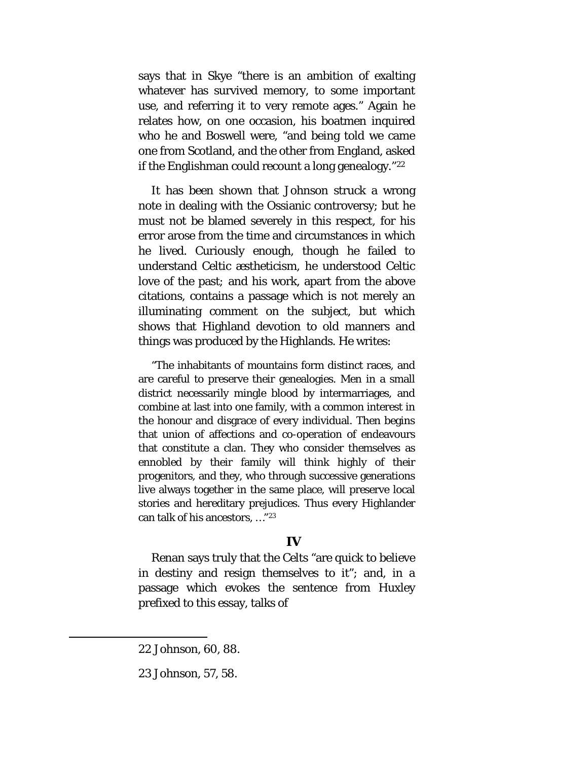says that in Skye "there is an ambition of exalting whatever has survived memory, to some important use, and referring it to very remote ages." Again he relates how, on one occasion, his boatmen inquired who he and Boswell were, "and being told we came one from Scotland, and the other from England, asked if the Englishman could recount a long genealogy."[22](#page-81-0)

It has been shown that Johnson struck a wrong note in dealing with the Ossianic controversy; but he must not be blamed severely in this respect, for his error arose from the time and circumstances in which he lived. Curiously enough, though he failed to understand Celtic æstheticism, he understood Celtic love of the past*;* and his work, apart from the above citations, contains a passage which is not merely an illuminating comment on the subject, but which shows that Highland devotion to old manners and things was produced by the Highlands. He writes:

"The inhabitants of mountains form distinct races, and are careful to preserve their genealogies. Men in a small district necessarily mingle blood by intermarriages, and combine at last into one family, with a common interest in the honour and disgrace of every individual. Then begins that union of affections and co-operation of endeavours that constitute a clan. They who consider themselves as ennobled by their family will think highly of their progenitors, and they, who through successive generations live always together in the same place, will preserve local stories and hereditary prejudices. Thus every Highlander can talk of his ancestors, …"[23](#page-81-1)

#### **IV**

Renan says truly that the Celts "are quick to believe in destiny and resign themselves to it"; and, in a passage which evokes the sentence from Huxley prefixed to this essay, talks of

<span id="page-81-0"></span><sup>22</sup> Johnson, 60, 88.

<span id="page-81-1"></span><sup>23</sup> Johnson, 57, 58.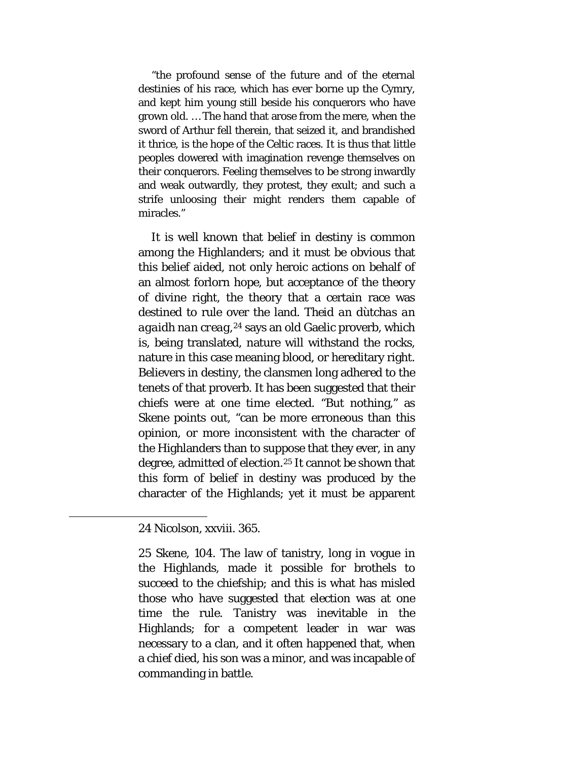"the profound sense of the future and of the eternal destinies of his race, which has ever borne up the Cymry, and kept him young still beside his conquerors who have grown old. … The hand that arose from the mere, when the sword of Arthur fell therein, that seized it, and brandished it thrice, is the hope of the Celtic races. It is thus that little peoples dowered with imagination revenge themselves on their conquerors. Feeling themselves to be strong inwardly and weak outwardly, they protest, they exult; and such a strife unloosing their might renders them capable of miracles."

It is well known that belief in destiny is common among the Highlanders; and it must be obvious that this belief aided, not only heroic actions on behalf of an almost forlorn hope, but acceptance of the theory of divine right, the theory that a certain race was destined to rule over the land. *Theid an dùtchas an agaidh nan creag,[24](#page-82-0)* says an old Gaelic proverb, which is, being translated, nature will withstand the rocks, nature in this case meaning blood, or hereditary right. Believers in destiny, the clansmen long adhered to the tenets of that proverb. It has been suggested that their chiefs were at one time elected. "But nothing," as Skene points out, "can be more erroneous than this opinion, or more inconsistent with the character of the Highlanders than to suppose that they ever, in any degree, admitted of election.[25](#page-82-1) It cannot be shown that this form of belief in destiny was produced by the character of the Highlands; yet it must be apparent

<span id="page-82-1"></span><span id="page-82-0"></span>l

<sup>24</sup> Nicolson, xxviii. 365.

<sup>25</sup> Skene, 104. The law of tanistry, long in vogue in the Highlands, made it possible for brothels to succeed to the chiefship; and this is what has misled those who have suggested that election was at one time the rule. Tanistry was inevitable in the Highlands; for a competent leader in war was necessary to a clan, and it often happened that, when a chief died, his son was a minor, and was incapable of commanding in battle.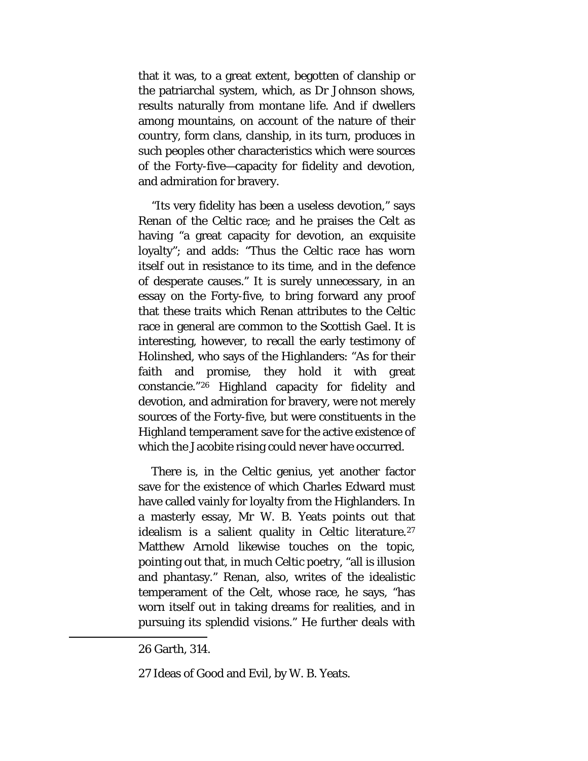that it was, to a great extent, begotten of clanship or the patriarchal system, which, as Dr Johnson shows, results naturally from montane life. And if dwellers among mountains, on account of the nature of their country, form clans, clanship, in its turn, produces in such peoples other characteristics which were sources of the Forty-five—capacity for fidelity and devotion, and admiration for bravery.

"Its very fidelity has been a useless devotion," says Renan of the Celtic race; and he praises the Celt as having "a great capacity for devotion, an exquisite loyalty"; and adds: "Thus the Celtic race has worn itself out in resistance to its time, and in the defence of desperate causes." It is surely unnecessary, in an essay on the Forty-five, to bring forward any proof that these traits which Renan attributes to the Celtic race in general are common to the Scottish Gael. It is interesting, however, to recall the early testimony of Holinshed, who says of the Highlanders: "As for their faith and promise, they hold it with great constancie."[26](#page-83-0) Highland capacity for fidelity and devotion, and admiration for bravery, were not merely sources of the Forty-five, but were constituents in the Highland temperament save for the active existence of which the Jacobite rising could never have occurred.

There is, in the Celtic genius, yet another factor save for the existence of which Charles Edward must have called vainly for loyalty from the Highlanders. In a masterly essay, Mr W. B. Yeats points out that idealism is a salient quality in Celtic literature.<sup>27</sup> Matthew Arnold likewise touches on the topic, pointing out that, in much Celtic poetry, "all is illusion and phantasy." Renan, also, writes of the idealistic temperament of the Celt, whose race, he says, "has worn itself out in taking dreams for realities, and in pursuing its splendid visions." He further deals with

<span id="page-83-0"></span><sup>26</sup> Garth, 314.

<span id="page-83-1"></span><sup>27</sup> Ideas of Good and Evil, by W. B. Yeats.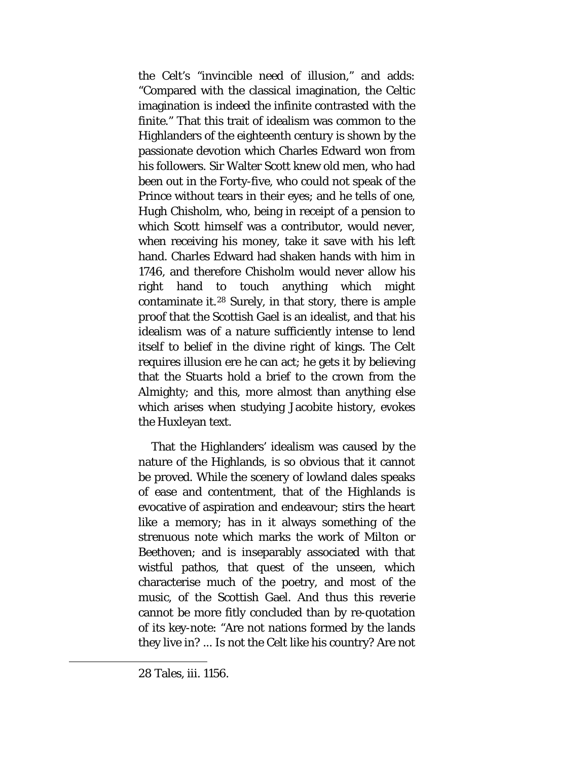the Celt's "invincible need of illusion," and adds: "Compared with the classical imagination, the Celtic imagination is indeed the infinite contrasted with the finite." That this trait of idealism was common to the Highlanders of the eighteenth century is shown by the passionate devotion which Charles Edward won from his followers. Sir Walter Scott knew old men, who had been out in the Forty-five, who could not speak of the Prince without tears in their eyes; and he tells of one, Hugh Chisholm, who, being in receipt of a pension to which Scott himself was a contributor, would never, when receiving his money, take it save with his left hand. Charles Edward had shaken hands with him in 1746, and therefore Chisholm would never allow his right hand to touch anything which might contaminate it.[28](#page-84-0) Surely, in that story, there is ample proof that the Scottish Gael is an idealist, and that his idealism was of a nature sufficiently intense to lend itself to belief in the divine right of kings. The Celt requires illusion ere he can act; he gets it by believing that the Stuarts hold a brief to the crown from the Almighty; and this, more almost than anything else which arises when studying Jacobite history, evokes the Huxleyan text.

That the Highlanders' idealism was caused by the nature of the Highlands, is so obvious that it cannot be proved. While the scenery of lowland dales speaks of ease and contentment, that of the Highlands is evocative of aspiration and endeavour; stirs the heart like a memory; has in it always something of the strenuous note which marks the work of Milton or Beethoven; and is inseparably associated with that wistful pathos, that quest of the unseen, which characterise much of the poetry, and most of the music, of the Scottish Gael. And thus this reverie cannot be more fitly concluded than by re-quotation of its key-note: "Are not nations formed by the lands they live in? ... Is not the Celt like his country? Are not

<span id="page-84-0"></span> $\overline{a}$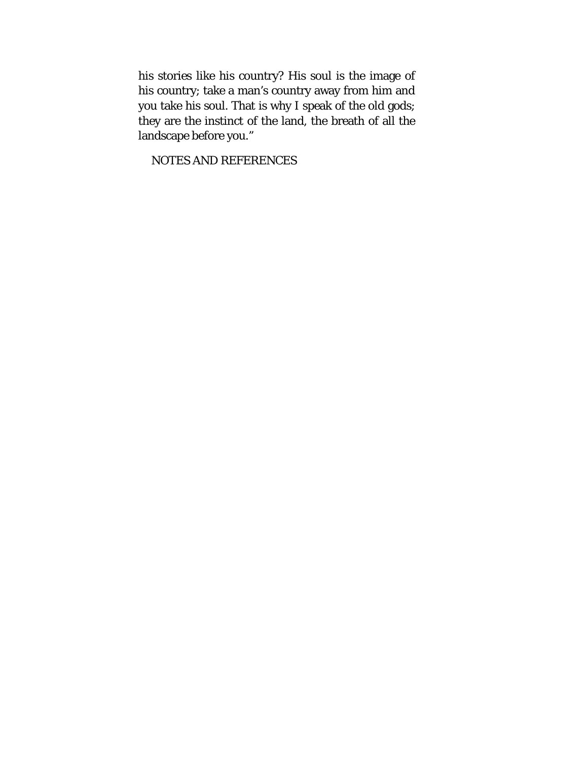his stories like his country? His soul is the image of his country; take a man's country away from him and you take his soul. That is why I speak of the old gods; they are the instinct of the land, the breath of all the landscape before you."

NOTES AND REFERENCES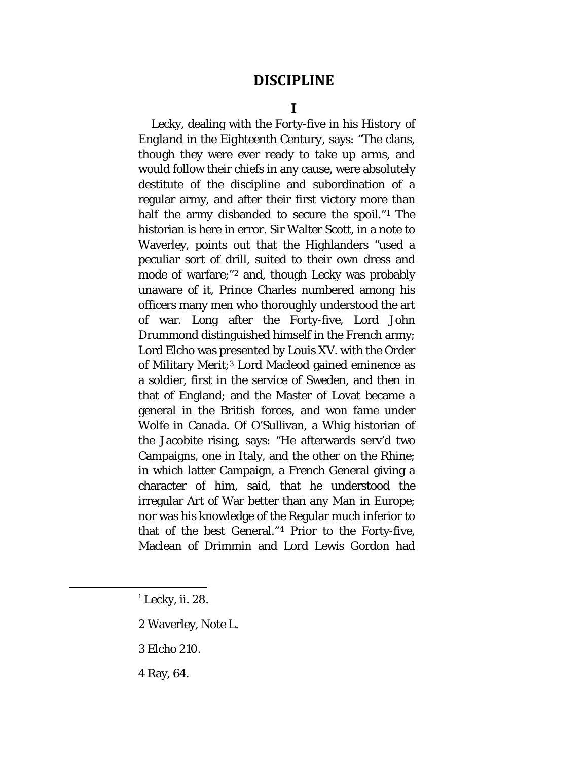## **DISCIPLINE**

**I**

Lecky, dealing with the Forty-five in his *History of England in the Eighteenth Century,* says: "The clans, though they were ever ready to take up arms, and would follow their chiefs in any cause, were absolutely destitute of the discipline and subordination of a regular army, and after their first victory more than half the army disbanded to secure the spoil."[1](#page-86-0) The historian is here in error. Sir Walter Scott, in a note to Waverley, points out that the Highlanders "used a peculiar sort of drill, suited to their own dress and mode of warfare;"[2](#page-86-1) and, though Lecky was probably unaware of it, Prince Charles numbered among his officers many men who thoroughly understood the art of war. Long after the Forty-five, Lord John Drummond distinguished himself in the French army; Lord Elcho was presented by Louis XV. with the Order of Military Merit;<sup>[3](#page-86-2)</sup> Lord Macleod gained eminence as a soldier, first in the service of Sweden, and then in that of England; and the Master of Lovat became a general in the British forces, and won fame under Wolfe in Canada. Of O'Sullivan, a Whig historian of the Jacobite rising, says: "He afterwards serv'd two Campaigns, one in Italy, and the other on the Rhine; in which latter Campaign, a French General giving a character of him, said, that he understood the irregular Art of War better than any Man in Europe; nor was his knowledge of the Regular much inferior to that of the best General."[4](#page-86-3) Prior to the Forty-five, Maclean of Drimmin and Lord Lewis Gordon had

- <span id="page-86-1"></span>2 Waverley, Note L.
- <span id="page-86-2"></span>3 Elcho 210.

<span id="page-86-3"></span>4 Ray, 64.

<span id="page-86-0"></span> $<sup>1</sup>$  Lecky, ii. 28.</sup>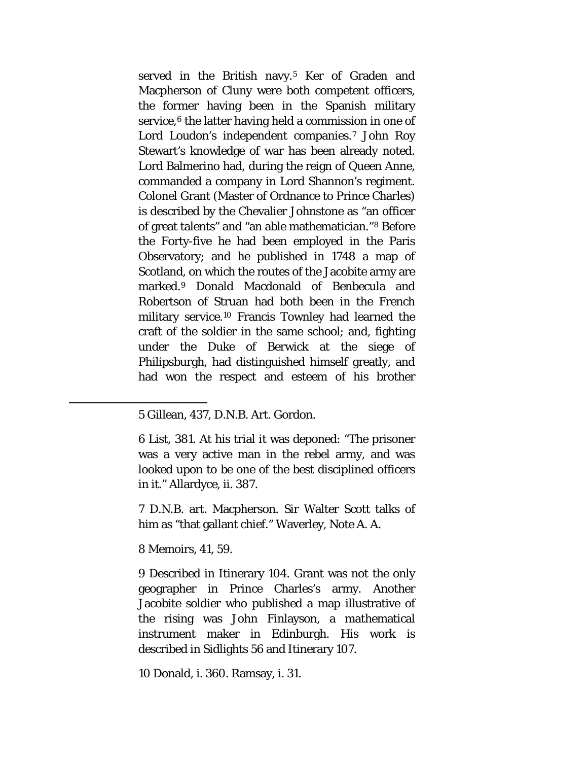served in the British navy.<sup>[5](#page-87-0)</sup> Ker of Graden and Macpherson of Cluny were both competent officers, the former having been in the Spanish military service,<sup>[6](#page-87-1)</sup> the latter having held a commission in one of Lord Loudon's independent companies.<sup>[7](#page-87-2)</sup> John Roy Stewart's knowledge of war has been already noted. Lord Balmerino had, during the reign of Queen Anne, commanded a company in Lord Shannon's regiment. Colonel Grant (Master of Ordnance to Prince Charles) is described by the Chevalier Johnstone as "an officer of great talents" and "an able mathematician."[8](#page-87-3) Before the Forty-five he had been employed in the Paris Observatory; and he published in 1748 a map of Scotland, on which the routes of the Jacobite army are marked.[9](#page-87-4) Donald Macdonald of Benbecula and Robertson of Struan had both been in the French military service.[10](#page-87-5) Francis Townley had learned the craft of the soldier in the same school; and, fighting under the Duke of Berwick at the siege of Philipsburgh, had distinguished himself greatly, and had won the respect and esteem of his brother

6 List, 381. At his trial it was deponed: "The prisoner was a very active man in the rebel army, and was looked upon to be one of the best disciplined officers in it." Allardyce, ii. 387.

7 D.N.B. art. Macpherson. Sir Walter Scott talks of him as "that gallant chief." Waverley, Note A. A.

<span id="page-87-3"></span>8 Memoirs, 41, 59.

<span id="page-87-2"></span><span id="page-87-1"></span><span id="page-87-0"></span>l

<span id="page-87-4"></span>9 Described in Itinerary 104. Grant was not the only geographer in Prince Charles's army. Another Jacobite soldier who published a map illustrative of the rising was John Finlayson, a mathematical instrument maker in Edinburgh. His work is described in Sidlights 56 and Itinerary 107.

<span id="page-87-5"></span>10 Donald, i. 360. Ramsay, i. 31.

<sup>5</sup> Gillean, 437, D.N.B. Art. Gordon.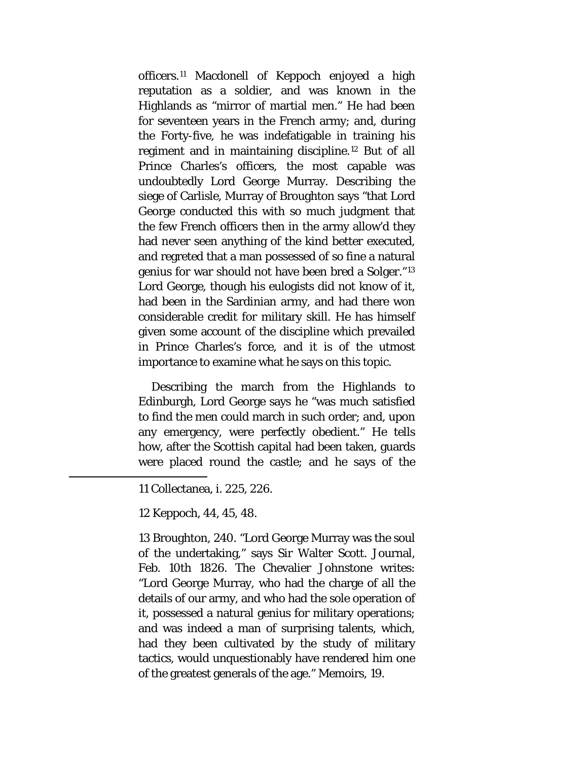officers.[11](#page-88-0) Macdonell of Keppoch enjoyed a high reputation as a soldier, and was known in the Highlands as "mirror of martial men." He had been for seventeen years in the French army; and, during the Forty-five, he was indefatigable in training his regiment and in maintaining discipline.[12](#page-88-1) But of all Prince Charles's officers, the most capable was undoubtedly Lord George Murray. Describing the siege of Carlisle, Murray of Broughton says "that Lord George conducted this with so much judgment that the few French officers then in the army allow'd they had never seen anything of the kind better executed, and regreted that a man possessed of so fine a natural genius for war should not have been bred a Solger."[13](#page-88-2) Lord George, though his eulogists did not know of it, had been in the Sardinian army, and had there won considerable credit for military skill. He has himself given some account of the discipline which prevailed in Prince Charles's force, and it is of the utmost importance to examine what he says on this topic.

Describing the march from the Highlands to Edinburgh, Lord George says he "was much satisfied to find the men could march in such order; and, upon any emergency, were perfectly obedient." He tells how, after the Scottish capital had been taken, guards were placed round the castle; and he says of the

11 Collectanea, i. 225, 226.

12 Keppoch, 44, 45, 48.

<span id="page-88-2"></span><span id="page-88-1"></span><span id="page-88-0"></span> $\overline{a}$ 

13 Broughton, 240. "Lord George Murray was the soul of the undertaking," says Sir Walter Scott. Journal, Feb. 10th 1826. The Chevalier Johnstone writes: "Lord George Murray, who had the charge of all the details of our army, and who had the sole operation of it, possessed a natural genius for military operations; and was indeed a man of surprising talents, which, had they been cultivated by the study of military tactics, would unquestionably have rendered him one of the greatest generals of the age." Memoirs, 19.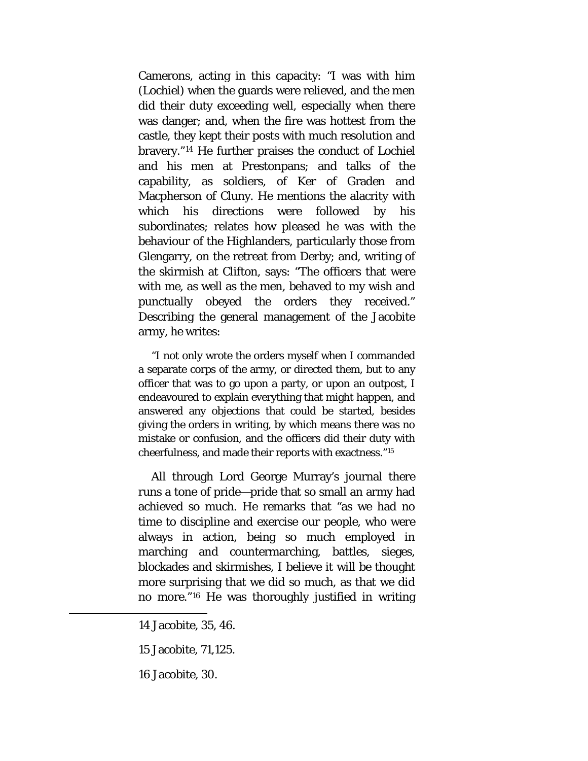Camerons, acting in this capacity: "I was with him (Lochiel) when the guards were relieved, and the men did their duty exceeding well, especially when there was danger; and, when the fire was hottest from the castle, they kept their posts with much resolution and bravery."[14](#page-89-0) He further praises the conduct of Lochiel and his men at Prestonpans; and talks of the capability, as soldiers, of Ker of Graden and Macpherson of Cluny. He mentions the alacrity with which his directions were followed by his subordinates; relates how pleased he was with the behaviour of the Highlanders, particularly those from Glengarry, on the retreat from Derby; and, writing of the skirmish at Clifton, says: "The officers that were with me, as well as the men, behaved to my wish and punctually obeyed the orders they received." Describing the general management of the Jacobite army, he writes:

"I not only wrote the orders myself when I commanded a separate corps of the army, or directed them, but to any officer that was to go upon a party, or upon an outpost, I endeavoured to explain everything that might happen, and answered any objections that could be started, besides giving the orders in writing, by which means there was no mistake or confusion, and the officers did their duty with cheerfulness, and made their reports with exactness.["15](#page-89-1)

All through Lord George Murray's journal there runs a tone of pride—pride that so small an army had achieved so much. He remarks that "as we had no time to discipline and exercise our people, who were always in action, being so much employed in marching and countermarching, battles, sieges, blockades and skirmishes, I believe it will be thought more surprising that we did so much, as that we did no more."[16](#page-89-2) He was thoroughly justified in writing

<span id="page-89-2"></span><span id="page-89-1"></span><span id="page-89-0"></span>l

16 Jacobite, 30.

<sup>14</sup> Jacobite, 35, 46.

<sup>15</sup> Jacobite, 71,125.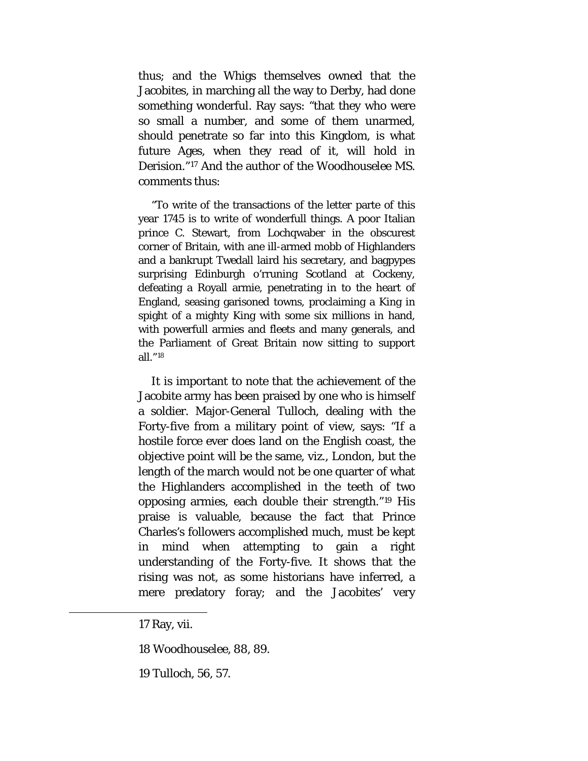thus; and the Whigs themselves owned that the Jacobites, in marching all the way to Derby, had done something wonderful. Ray says: "that they who were so small a number, and some of them unarmed, should penetrate so far into this Kingdom, is what future Ages, when they read of it, will hold in Derision."[17](#page-90-0) And the author of the Woodhouselee MS. comments thus:

"To write of the transactions of the letter parte of this year 1745 is to write of wonderfull things. A poor Italian prince C. Stewart, from Lochqwaber in the obscurest corner of Britain, with ane ill-armed mobb of Highlanders and a bankrupt Twedall laird his secretary, and bagpypes surprising Edinburgh o'rruning Scotland at Cockeny, defeating a Royall armie, penetrating in to the heart of England, seasing garisoned towns, proclaiming a King in spight of a mighty King with some six millions in hand, with powerfull armies and fleets and many generals, and the Parliament of Great Britain now sitting to support all."[18](#page-90-1)

It is important to note that the achievement of the Jacobite army has been praised by one who is himself a soldier. Major-General Tulloch, dealing with the Forty-five from a military point of view, says: "If a hostile force ever does land on the English coast, the objective point will be the same, viz., London, but the length of the march would not be one quarter of what the Highlanders accomplished in the teeth of two opposing armies, each double their strength."[19](#page-90-2) His praise is valuable, because the fact that Prince Charles's followers accomplished much, must be kept in mind when attempting to gain a right understanding of the Forty-five. It shows that the rising was not, as some historians have inferred, a mere predatory foray; and the Jacobites' very

<span id="page-90-2"></span><span id="page-90-1"></span><span id="page-90-0"></span>l

19 Tulloch, 56, 57.

<sup>17</sup> Ray, vii.

<sup>18</sup> Woodhouselee, 88, 89.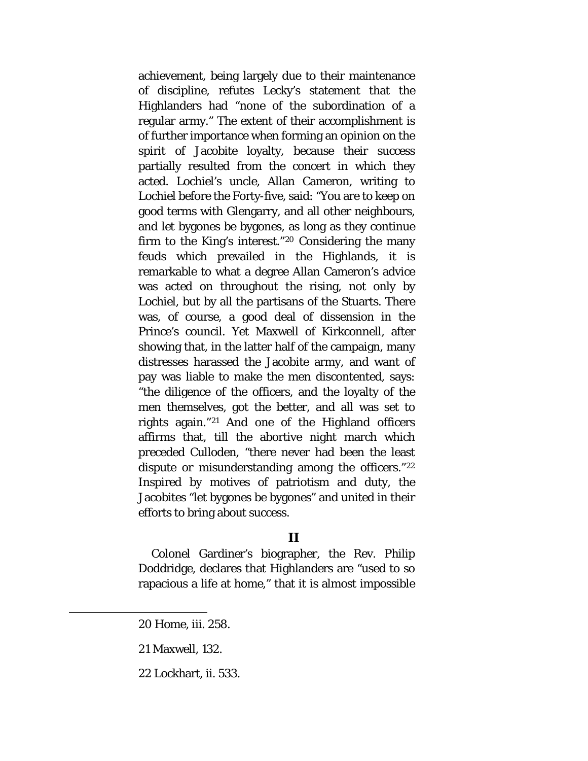achievement, being largely due to their maintenance of discipline, refutes Lecky's statement that the Highlanders had "none of the subordination of a regular army." The extent of their accomplishment is of further importance when forming an opinion on the spirit of Jacobite loyalty, because their success partially resulted from the concert in which they acted. Lochiel's uncle, Allan Cameron, writing to Lochiel before the Forty-five, said: "You are to keep on good terms with Glengarry, and all other neighbours, and let bygones be bygones, as long as they continue firm to the King's interest."[20](#page-91-0) Considering the many feuds which prevailed in the Highlands, it is remarkable to what a degree Allan Cameron's advice was acted on throughout the rising, not only by Lochiel, but by all the partisans of the Stuarts. There was, of course, a good deal of dissension in the Prince's council. Yet Maxwell of Kirkconnell, after showing that, in the latter half of the campaign, many distresses harassed the Jacobite army, and want of pay was liable to make the men discontented, says: "the diligence of the officers, and the loyalty of the men themselves, got the better, and all was set to rights again."[21](#page-91-1) And one of the Highland officers affirms that, till the abortive night march which preceded Culloden, "there never had been the least dispute or misunderstanding among the officers."[22](#page-91-2) Inspired by motives of patriotism and duty, the Jacobites "let bygones be bygones" and united in their efforts to bring about success.

### **II**

Colonel Gardiner's biographer, the Rev. Philip Doddridge, declares that Highlanders are "used to so rapacious a life at home," that it is almost impossible

20 Home, iii. 258.

<span id="page-91-2"></span><span id="page-91-1"></span><span id="page-91-0"></span>l

22 Lockhart, ii. 533.

<sup>21</sup> Maxwell, 132.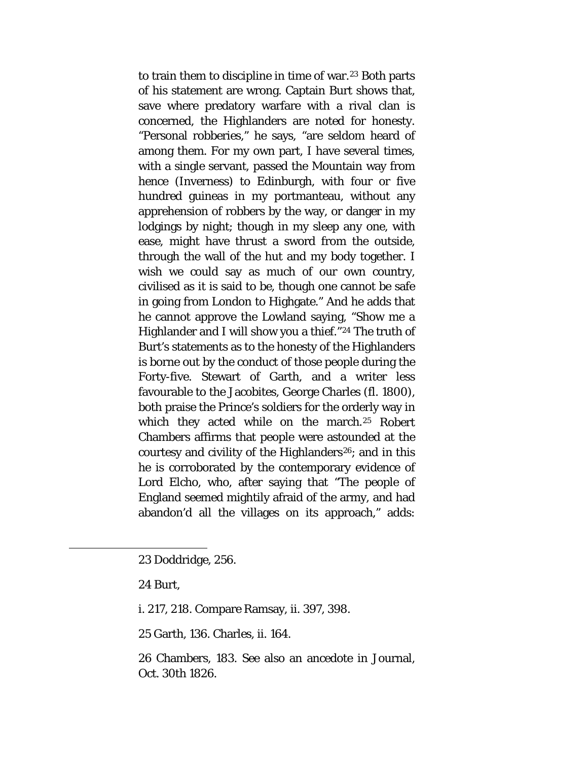to train them to discipline in time of war.<sup>[23](#page-92-0)</sup> Both parts of his statement are wrong. Captain Burt shows that, save where predatory warfare with a rival clan is concerned, the Highlanders are noted for honesty. "Personal robberies," he says, "are seldom heard of among them. For my own part, I have several times, with a single servant, passed the Mountain way from hence (Inverness) to Edinburgh, with four or five hundred guineas in my portmanteau, without any apprehension of robbers by the way, or danger in my lodgings by night; though in my sleep any one, with ease, might have thrust a sword from the outside, through the wall of the hut and my body together. I wish we could say as much of our own country, civilised as it is said to be, though one cannot be safe in going from London to Highgate." And he adds that he cannot approve the Lowland saying, "Show me a Highlander and I will show you a thief."[24](#page-92-1) The truth of Burt's statements as to the honesty of the Highlanders is borne out by the conduct of those people during the Forty-five. Stewart of Garth, and a writer less favourable to the Jacobites, George Charles (fl. 1800), both praise the Prince's soldiers for the orderly way in which they acted while on the march.<sup>[25](#page-92-2)</sup> Robert Chambers affirms that people were astounded at the courtesy and civility of the Highlanders<sup>[26](#page-92-3)</sup>; and in this he is corroborated by the contemporary evidence of Lord Elcho, who, after saying that "The people of England seemed mightily afraid of the army, and had abandon'd all the villages on its approach," adds:

24 Burt,

<span id="page-92-3"></span><span id="page-92-2"></span><span id="page-92-1"></span><span id="page-92-0"></span>l

i. 217, 218. Compare Ramsay, ii. 397, 398.

25 Garth, 136. Charles, ii. 164.

26 Chambers, 183. See also an ancedote in Journal, Oct. 30th 1826.

<sup>23</sup> Doddridge, 256.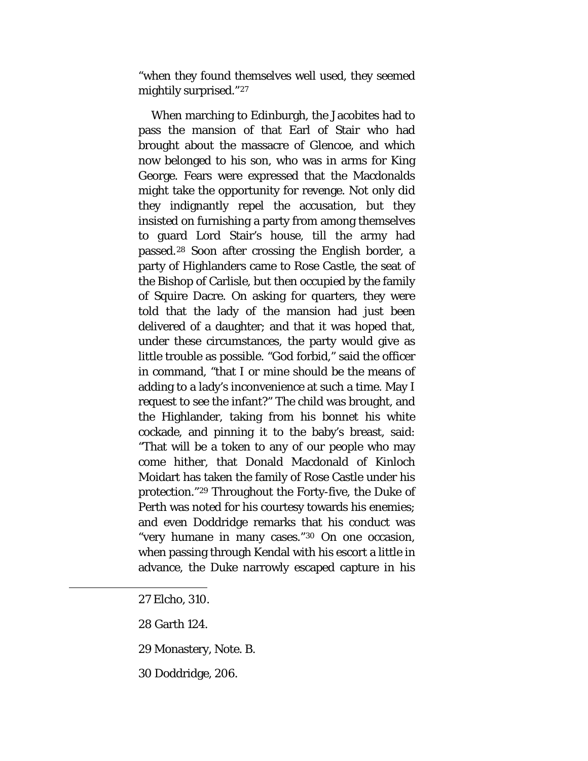"when they found themselves well used, they seemed mightily surprised."[27](#page-93-0)

When marching to Edinburgh, the Jacobites had to pass the mansion of that Earl of Stair who had brought about the massacre of Glencoe, and which now belonged to his son, who was in arms for King George. Fears were expressed that the Macdonalds might take the opportunity for revenge. Not only did they indignantly repel the accusation, but they insisted on furnishing a party from among themselves to guard Lord Stair's house, till the army had passed.[28](#page-93-1) Soon after crossing the English border, a party of Highlanders came to Rose Castle, the seat of the Bishop of Carlisle, but then occupied by the family of Squire Dacre. On asking for quarters, they were told that the lady of the mansion had just been delivered of a daughter; and that it was hoped that, under these circumstances, the party would give as little trouble as possible. "God forbid," said the officer in command, "that I or mine should be the means of adding to a lady's inconvenience at such a time. May I request to see the infant?" The child was brought, and the Highlander, taking from his bonnet his white cockade, and pinning it to the baby's breast, said: "That will be a token to any of our people who may come hither, that Donald Macdonald of Kinloch Moidart has taken the family of Rose Castle under his protection."[29](#page-93-2) Throughout the Forty-five, the Duke of Perth was noted for his courtesy towards his enemies; and even Doddridge remarks that his conduct was "very humane in many cases."[30](#page-93-3) On one occasion, when passing through Kendal with his escort a little in advance, the Duke narrowly escaped capture in his

<span id="page-93-0"></span>27 Elcho, 310.

- <span id="page-93-1"></span>28 Garth 124.
- <span id="page-93-2"></span>29 Monastery, Note. B.
- <span id="page-93-3"></span>30 Doddridge, 206.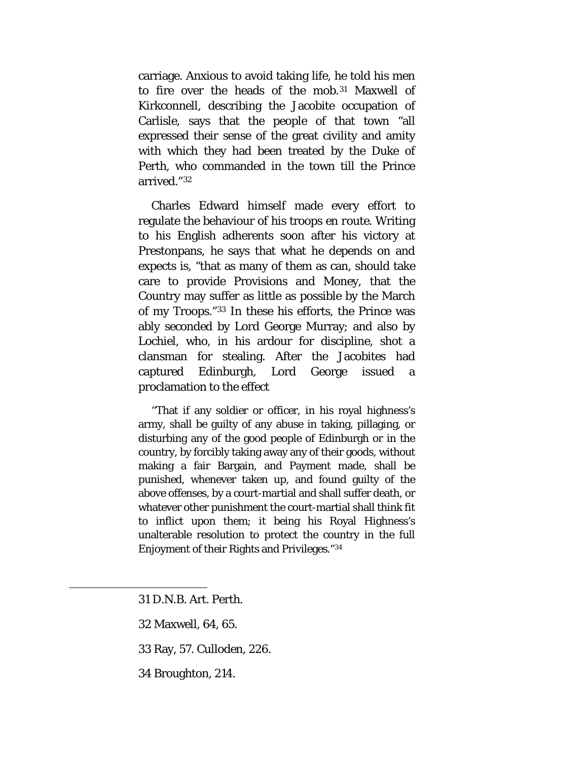carriage. Anxious to avoid taking life, he told his men to fire over the heads of the mob.[31](#page-94-0) Maxwell of Kirkconnell, describing the Jacobite occupation of Carlisle, says that the people of that town "all expressed their sense of the great civility and amity with which they had been treated by the Duke of Perth, who commanded in the town till the Prince arrived."[32](#page-94-1)

Charles Edward himself made every effort to regulate the behaviour of his troops *en route.* Writing to his English adherents soon after his victory at Prestonpans, he says that what he depends on and expects is, "that as many of them as can, should take care to provide Provisions and Money, that the Country may suffer as little as possible by the March of my Troops."[33](#page-94-2) In these his efforts, the Prince was ably seconded by Lord George Murray; and also by Lochiel, who, in his ardour for discipline, shot a clansman for stealing. After the Jacobites had captured Edinburgh, Lord George issued a proclamation to the effect

''That if any soldier or officer, in his royal highness's army, shall be guilty of any abuse in taking, pillaging, or disturbing any of the good people of Edinburgh or in the country, by forcibly taking away any of their goods, without making a fair Bargain, and Payment made, shall be punished, whenever taken up, and found guilty of the above offenses, by a court-martial and shall suffer death, or whatever other punishment the court-martial shall think fit to inflict upon them; it being his Royal Highness's unalterable resolution to protect the country in the full Enjoyment of their Rights and Privileges."[34](#page-94-3)

<span id="page-94-0"></span>31 D.N.B. Art. Perth.

- <span id="page-94-1"></span>32 Maxwell, 64, 65.
- <span id="page-94-2"></span>33 Ray, 57. Culloden, 226.
- <span id="page-94-3"></span>34 Broughton, 214.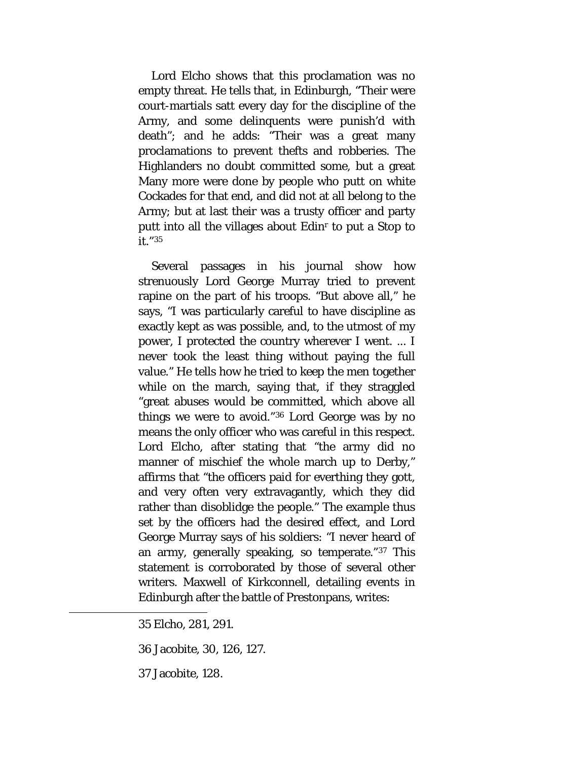Lord Elcho shows that this proclamation was no empty threat. He tells that, in Edinburgh, "Their were court-martials satt every day for the discipline of the Army, and some delinquents were punish'd with death"; and he adds: "Their was a great many proclamations to prevent thefts and robberies. The Highlanders no doubt committed some, but a great Many more were done by people who putt on white Cockades for that end, and did not at all belong to the Army; but at last their was a trusty officer and party putt into all the villages about Edinr to put a Stop to it."[35](#page-95-0)

Several passages in his journal show how strenuously Lord George Murray tried to prevent rapine on the part of his troops. "But above all," he says, "I was particularly careful to have discipline as exactly kept as was possible, and, to the utmost of my power, I protected the country wherever I went. ... I never took the least thing without paying the full value." He tells how he tried to keep the men together while on the march, saying that, if they straggled "great abuses would be committed, which above all things we were to avoid."[36](#page-95-1) Lord George was by no means the only officer who was careful in this respect. Lord Elcho, after stating that "the army did no manner of mischief the whole march up to Derby," affirms that "the officers paid for everthing they gott, and very often very extravagantly, which they did rather than disoblidge the people." The example thus set by the officers had the desired effect, and Lord George Murray says of his soldiers: "I never heard of an army, generally speaking, so temperate."[37](#page-95-2) This statement is corroborated by those of several other writers. Maxwell of Kirkconnell, detailing events in Edinburgh after the battle of Prestonpans, writes:

<span id="page-95-2"></span><span id="page-95-1"></span><span id="page-95-0"></span>l

<sup>35</sup> Elcho, 281, 291.

<sup>36</sup> Jacobite, 30, 126, 127.

<sup>37</sup> Jacobite, 128.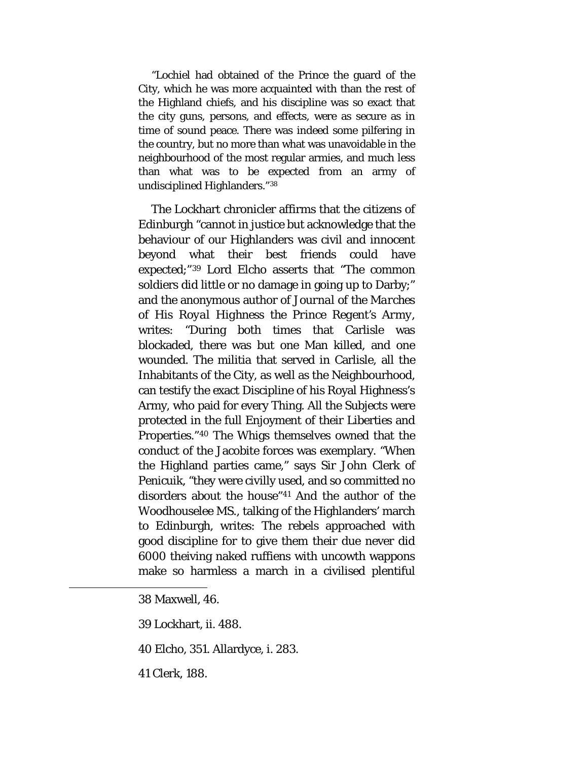"Lochiel had obtained of the Prince the guard of the City, which he was more acquainted with than the rest of the Highland chiefs, and his discipline was so exact that the city guns, persons, and effects, were as secure as in time of sound peace. There was indeed some pilfering in the country, but no more than what was unavoidable in the neighbourhood of the most regular armies, and much less than what was to be expected from an army of undisciplined Highlanders."[38](#page-96-0)

The Lockhart chronicler affirms that the citizens of Edinburgh "cannot in justice but acknowledge that the behaviour of our Highlanders was civil and innocent beyond what their best friends could have expected;"[39](#page-96-1) Lord Elcho asserts that "The common soldiers did little or no damage in going up to Darby;" and the anonymous author of *Journal of the Marches of His Royal Highness the Prince Regent's Army,*  writes: "During both times that Carlisle was blockaded, there was but one Man killed, and one wounded. The militia that served in Carlisle, all the Inhabitants of the City, as well as the Neighbourhood, can testify the exact Discipline of his Royal Highness's Army, who paid for every Thing. All the Subjects were protected in the full Enjoyment of their Liberties and Properties."[40](#page-96-2) The Whigs themselves owned that the conduct of the Jacobite forces was exemplary. "When the Highland parties came," says Sir John Clerk of Penicuik, "they were civilly used, and so committed no disorders about the house["41](#page-96-3) And the author of the Woodhouselee MS., talking of the Highlanders' march to Edinburgh, writes: The rebels approached with good discipline for to give them their due never did 6000 theiving naked ruffiens with uncowth wappons make so harmless a march in a civilised plentiful

<span id="page-96-0"></span><sup>38</sup> Maxwell, 46.

<span id="page-96-1"></span><sup>39</sup> Lockhart, ii. 488.

<span id="page-96-2"></span><sup>40</sup> Elcho, 351. Allardyce, i. 283.

<span id="page-96-3"></span><sup>41</sup> Clerk, 188.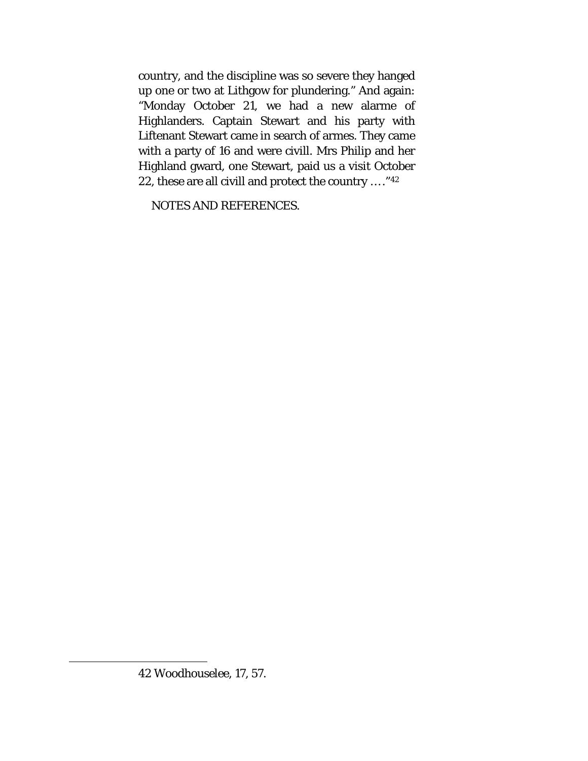country, and the discipline was so severe they hanged up one or two at Lithgow for plundering." And again: "Monday October 21, we had a new alarme of Highlanders. Captain Stewart and his party with Liftenant Stewart came in search of armes. They came with a party of 16 and were civill. Mrs Philip and her Highland gward, one Stewart, paid us a visit October 22, these are all civill and protect the country … ."[42](#page-97-0)

NOTES AND REFERENCES.

<span id="page-97-0"></span> $\overline{a}$ 

<sup>42</sup> Woodhouselee, 17, 57.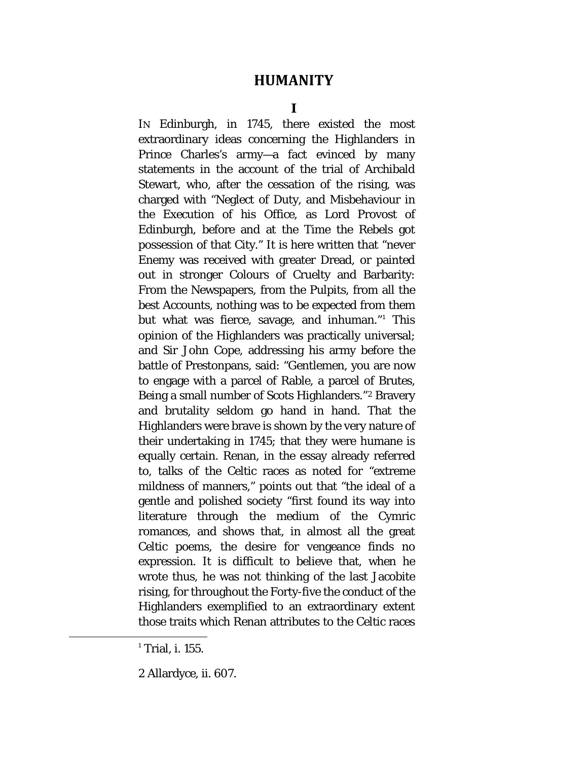## **HUMANITY**

IN Edinburgh, in 1745, there existed the most extraordinary ideas concerning the Highlanders in Prince Charles's army—a fact evinced by many statements in the account of the trial of Archibald Stewart, who, after the cessation of the rising, was charged with "Neglect of Duty, and Misbehaviour in the Execution of his Office, as Lord Provost of Edinburgh, before and at the Time the Rebels got possession of that City." It is here written that "never Enemy was received with greater Dread, or painted out in stronger Colours of Cruelty and Barbarity: From the Newspapers, from the Pulpits, from all the best Accounts, nothing was to be expected from them but what was fierce, savage, and inhuman."[1](#page-98-0) This opinion of the Highlanders was practically universal; and Sir John Cope, addressing his army before the battle of Prestonpans, said: "Gentlemen, you are now to engage with a parcel of Rable, a parcel of Brutes, Being a small number of Scots Highlanders."[2](#page-98-1) Bravery and brutality seldom go hand in hand. That the Highlanders were brave is shown by the very nature of their undertaking in 1745; that they were humane is equally certain. Renan, in the essay already referred to, talks of the Celtic races as noted for "extreme mildness of manners," points out that "the ideal of a gentle and polished society "first found its way into literature through the medium of the Cymric romances, and shows that, in almost all the great Celtic poems, the desire for vengeance finds no expression. It is difficult to believe that, when he wrote thus, he was not thinking of the last Jacobite rising, for throughout the Forty-five the conduct of the Highlanders exemplified to an extraordinary extent those traits which Renan attributes to the Celtic races

<span id="page-98-0"></span> $1$ <sup>1</sup> Trial, i. 155.

<span id="page-98-1"></span><sup>2</sup> Allardyce, ii. 607.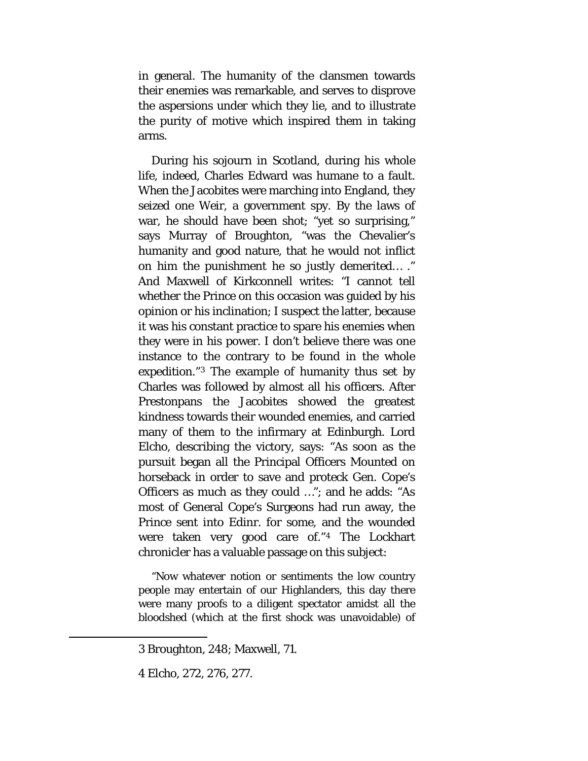in general. The humanity of the clansmen towards their enemies was remarkable, and serves to disprove the aspersions under which they lie, and to illustrate the purity of motive which inspired them in taking arms.

During his sojourn in Scotland, during his whole life, indeed, Charles Edward was humane to a fault. When the Jacobites were marching into England, they seized one Weir, a government spy. By the laws of war, he should have been shot; "yet so surprising," says Murray of Broughton, "was the Chevalier's humanity and good nature, that he would not inflict on him the punishment he so justly demerited… ." And Maxwell of Kirkconnell writes: "I cannot tell whether the Prince on this occasion was guided by his opinion or his inclination; I suspect the latter, because it was his constant practice to spare his enemies when they were in his power. I don't believe there was one instance to the contrary to be found in the whole expedition."[3](#page-99-0) The example of humanity thus set by Charles was followed by almost all his officers. After Prestonpans the Jacobites showed the greatest kindness towards their wounded enemies, and carried many of them to the infirmary at Edinburgh. Lord Elcho, describing the victory, says: "As soon as the pursuit began all the Principal Officers Mounted on horseback in order to save and proteck Gen. Cope's Officers as much as they could …"; and he adds: "As most of General Cope's Surgeons had run away, the Prince sent into Edinr. for some, and the wounded were taken very good care of."[4](#page-99-1) The Lockhart chronicler has a valuable passage on this subject:

"Now whatever notion or sentiments the low country people may entertain of our Highlanders, this day there were many proofs to a diligent spectator amidst all the bloodshed (which at the first shock was unavoidable) of

<span id="page-99-0"></span><sup>3</sup> Broughton, 248; Maxwell, 71.

<span id="page-99-1"></span><sup>4</sup> Elcho, 272, 276, 277.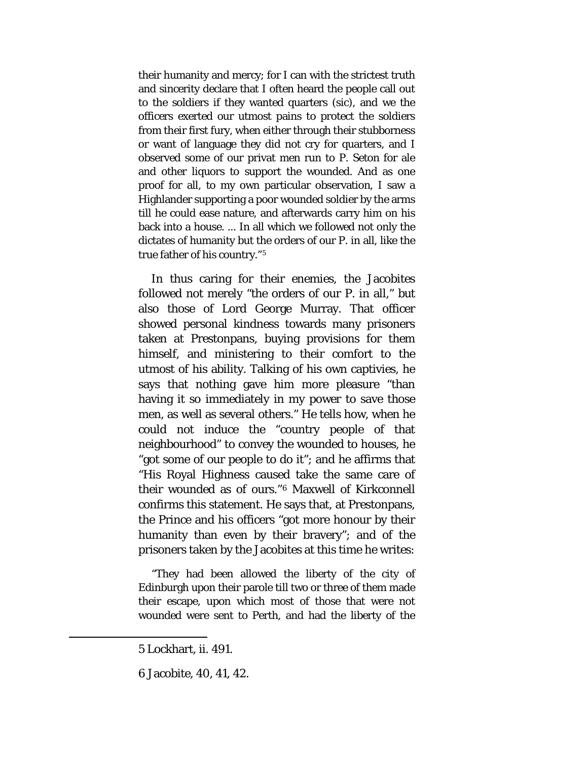their humanity and mercy; for I can with the strictest truth and sincerity declare that I often heard the people call out to the soldiers if they wanted quarters *(sic),* and we the officers exerted our utmost pains to protect the soldiers from their first fury, when either through their stubborness or want of language they did not cry for quarters, and I observed some of our privat men run to P. Seton for ale and other liquors to support the wounded. And as one proof for all, to my own particular observation, I saw a Highlander supporting a poor wounded soldier by the arms till he could ease nature, and afterwards carry him on his back into a house. ... In all which we followed not only the dictates of humanity but the orders of our P. in all, like the true father of his country."[5](#page-100-0)

In thus caring for their enemies, the Jacobites followed not merely "the orders of our P. in all," but also those of Lord George Murray. That officer showed personal kindness towards many prisoners taken at Prestonpans, buying provisions for them himself, and ministering to their comfort to the utmost of his ability. Talking of his own captivies, he says that nothing gave him more pleasure "than having it so immediately in my power to save those men, as well as several others." He tells how, when he could not induce the "country people of that neighbourhood" to convey the wounded to houses, he "got some of our people to do it"; and he affirms that "His Royal Highness caused take the same care of their wounded as of ours."[6](#page-100-1) Maxwell of Kirkconnell confirms this statement. He says that, at Prestonpans, the Prince and his officers "got more honour by their humanity than even by their bravery"; and of the prisoners taken by the Jacobites at this time he writes:

"They had been allowed the liberty of the city of Edinburgh upon their parole till two or three of them made their escape, upon which most of those that were not wounded were sent to Perth, and had the liberty of the

<span id="page-100-0"></span><sup>5</sup> Lockhart, ii. 491.

<span id="page-100-1"></span><sup>6</sup> Jacobite, 40, 41, 42.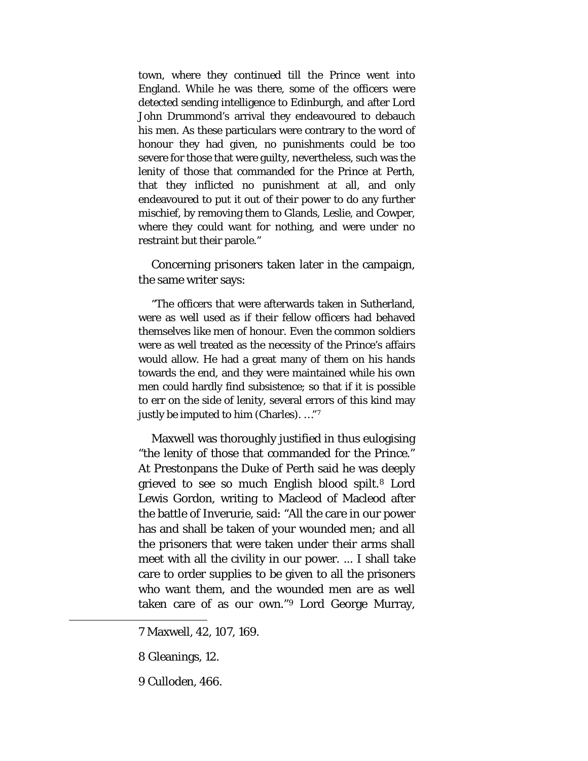town, where they continued till the Prince went into England. While he was there, some of the officers were detected sending intelligence to Edinburgh, and after Lord John Drummond's arrival they endeavoured to debauch his men. As these particulars were contrary to the word of honour they had given, no punishments could be too severe for those that were guilty, nevertheless, such was the lenity of those that commanded for the Prince at Perth, that they inflicted no punishment at all, and only endeavoured to put it out of their power to do any further mischief, by removing them to Glands, Leslie, and Cowper, where they could want for nothing, and were under no restraint but their parole."

Concerning prisoners taken later in the campaign, the same writer says:

"The officers that were afterwards taken in Sutherland, were as well used as if their fellow officers had behaved themselves like men of honour. Even the common soldiers were as well treated as the necessity of the Prince's affairs would allow. He had a great many of them on his hands towards the end, and they were maintained while his own men could hardly find subsistence; so that if it is possible to err on the side of lenity, several errors of this kind may justly be imputed to him (Charles). …"[7](#page-101-0)

Maxwell was thoroughly justified in thus eulogising "the lenity of those that commanded for the Prince." At Prestonpans the Duke of Perth said he was deeply grieved to see so much English blood spilt.[8](#page-101-1) Lord Lewis Gordon, writing to Macleod of Macleod after the battle of Inverurie, said: "All the care in our power has and shall be taken of your wounded men; and all the prisoners that were taken under their arms shall meet with all the civility in our power. ... I shall take care to order supplies to be given to all the prisoners who want them, and the wounded men are as well taken care of as our own."[9](#page-101-2) Lord George Murray,

7 Maxwell, 42, 107, 169.

8 Gleanings, 12.

<span id="page-101-2"></span><span id="page-101-1"></span><span id="page-101-0"></span> $\overline{a}$ 

9 Culloden, 466.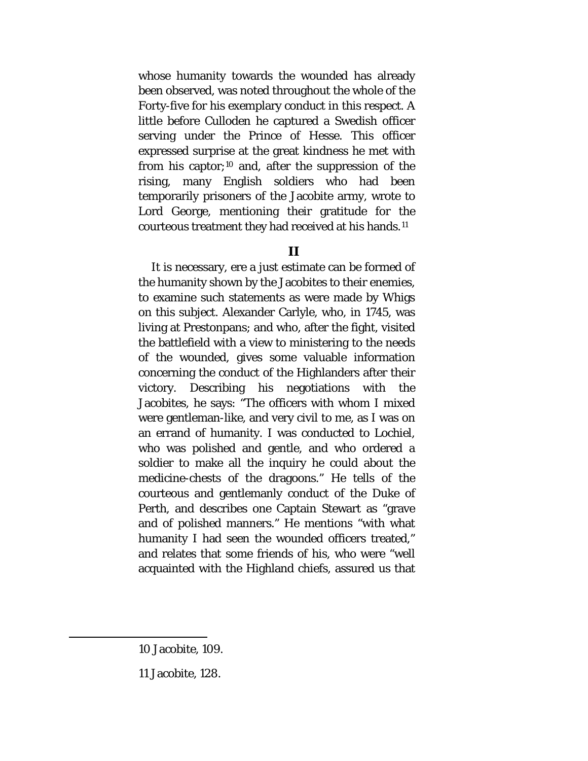whose humanity towards the wounded has already been observed, was noted throughout the whole of the Forty-five for his exemplary conduct in this respect. A little before Culloden he captured a Swedish officer serving under the Prince of Hesse. This officer expressed surprise at the great kindness he met with from his captor;[10](#page-102-0) and, after the suppression of the rising, many English soldiers who had been temporarily prisoners of the Jacobite army, wrote to Lord George, mentioning their gratitude for the courteous treatment they had received at his hands.[11](#page-102-1)

#### **II**

It is necessary, ere a just estimate can be formed of the humanity shown by the Jacobites to their enemies, to examine such statements as were made by Whigs on this subject. Alexander Carlyle, who, in 1745, was living at Prestonpans; and who, after the fight, visited the battlefield with a view to ministering to the needs of the wounded, gives some valuable information concerning the conduct of the Highlanders after their victory. Describing his negotiations with the Jacobites, he says: "The officers with whom I mixed were gentleman-like, and very civil to me, as I was on an errand of humanity. I was conducted to Lochiel, who was polished and gentle, and who ordered a soldier to make all the inquiry he could about the medicine-chests of the dragoons." He tells of the courteous and gentlemanly conduct of the Duke of Perth, and describes one Captain Stewart as "grave and of polished manners." He mentions "with what humanity I had seen the wounded officers treated," and relates that some friends of his, who were "well acquainted with the Highland chiefs, assured us that

<span id="page-102-0"></span><sup>10</sup> Jacobite, 109.

<span id="page-102-1"></span><sup>11</sup> Jacobite, 128.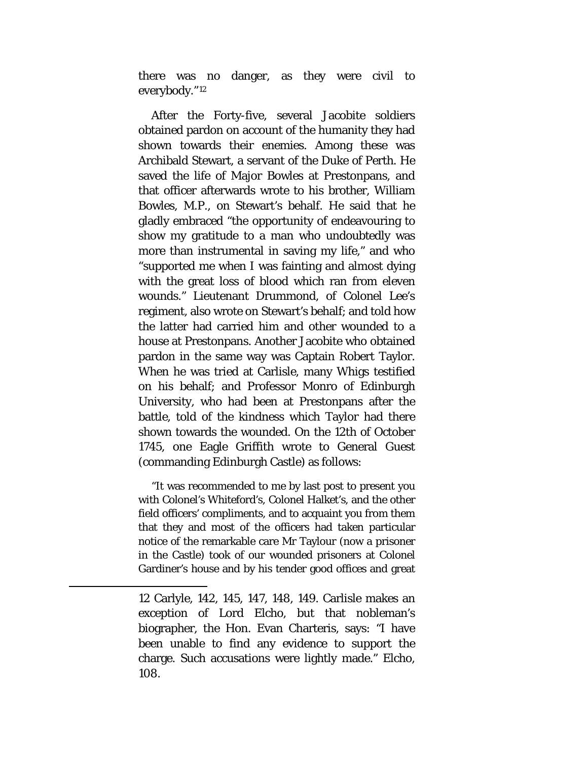there was no danger, as they were civil to everybody."[12](#page-103-0)

After the Forty-five, several Jacobite soldiers obtained pardon on account of the humanity they had shown towards their enemies. Among these was Archibald Stewart, a servant of the Duke of Perth. He saved the life of Major Bowles at Prestonpans, and that officer afterwards wrote to his brother, William Bowles, M.P., on Stewart's behalf. He said that he gladly embraced "the opportunity of endeavouring to show my gratitude to a man who undoubtedly was more than instrumental in saving my life," and who "supported me when I was fainting and almost dying with the great loss of blood which ran from eleven wounds." Lieutenant Drummond, of Colonel Lee's regiment, also wrote on Stewart's behalf; and told how the latter had carried him and other wounded to a house at Prestonpans. Another Jacobite who obtained pardon in the same way was Captain Robert Taylor. When he was tried at Carlisle, many Whigs testified on his behalf; and Professor Monro of Edinburgh University, who had been at Prestonpans after the battle, told of the kindness which Taylor had there shown towards the wounded. On the 12th of October 1745, one Eagle Griffith wrote to General Guest (commanding Edinburgh Castle) as follows:

"It was recommended to me by last post to present you with Colonel's Whiteford's, Colonel Halket's, and the other field officers' compliments, and to acquaint you from them that they and most of the officers had taken particular notice of the remarkable care Mr Taylour (now a prisoner in the Castle) took of our wounded prisoners at Colonel Gardiner's house and by his tender good offices and great

12 Carlyle, 142, 145, 147, 148, 149. Carlisle makes an exception of Lord Elcho, but that nobleman's biographer, the Hon. Evan Charteris, says: "I have been unable to find any evidence to support the charge. Such accusations were lightly made." Elcho, 108.

<span id="page-103-0"></span>l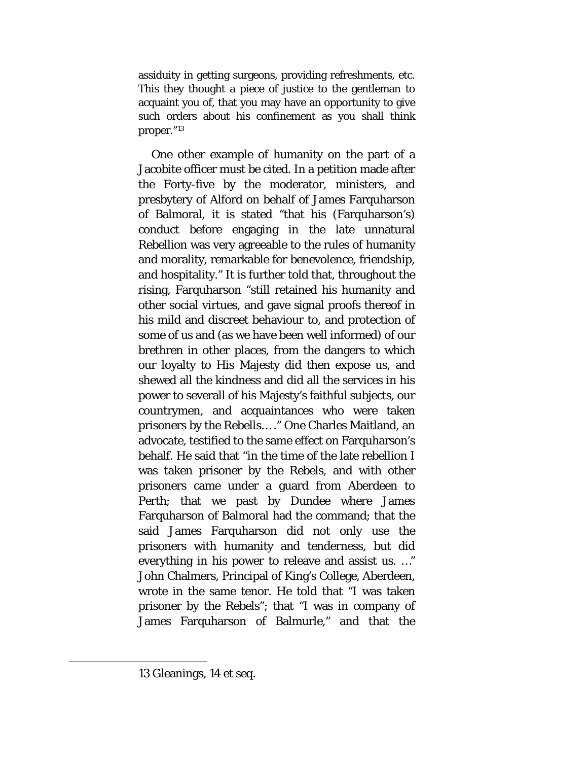assiduity in getting surgeons, providing refreshments, etc. This they thought a piece of justice to the gentleman to acquaint you of, that you may have an opportunity to give such orders about his confinement as you shall think proper."[13](#page-104-0)

One other example of humanity on the part of a Jacobite officer must be cited. In a petition made after the Forty-five by the moderator, ministers, and presbytery of Alford on behalf of James Farquharson of Balmoral, it is stated "that his (Farquharson's) conduct before engaging in the late unnatural Rebellion was very agreeable to the rules of humanity and morality, remarkable for benevolence, friendship, and hospitality." It is further told that, throughout the rising, Farquharson "still retained his humanity and other social virtues, and gave signal proofs thereof in his mild and discreet behaviour to, and protection of some of us and (as we have been well informed) of our brethren in other places, from the dangers to which our loyalty to His Majesty did then expose us, and shewed all the kindness and did all the services in his power to severall of his Majesty's faithful subjects, our countrymen, and acquaintances who were taken prisoners by the Rebells… ." One Charles Maitland, an advocate, testified to the same effect on Farquharson's behalf. He said that "in the time of the late rebellion I was taken prisoner by the Rebels, and with other prisoners came under a guard from Aberdeen to Perth; that we past by Dundee where James Farquharson of Balmoral had the command; that the said James Farquharson did not only use the prisoners with humanity and tenderness, but did everything in his power to releave and assist us. …" John Chalmers, Principal of King's College, Aberdeen, wrote in the same tenor. He told that "I was taken prisoner by the Rebels"; that "I was in company of James Farquharson of Balmurle," and that the

<span id="page-104-0"></span> $\overline{a}$ 

<sup>13</sup> Gleanings, 14 et seq.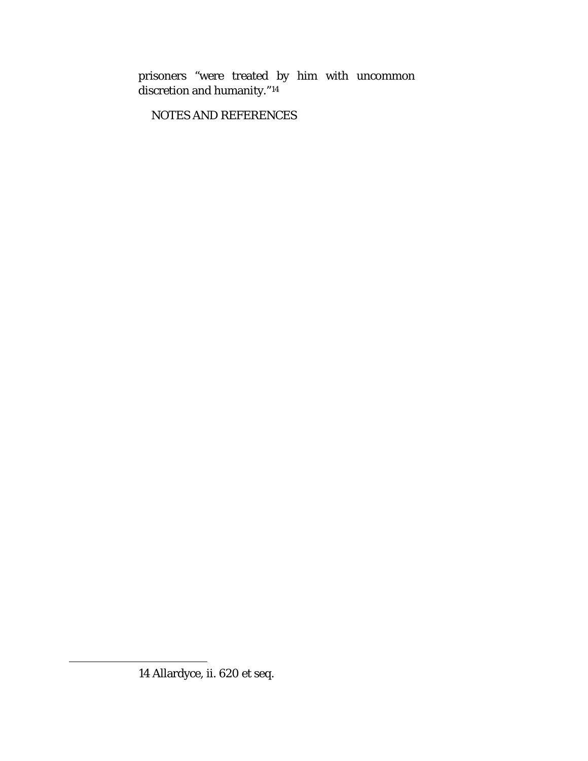prisoners "were treated by him with uncommon discretion and humanity."[14](#page-105-0)

NOTES AND REFERENCES

<span id="page-105-0"></span> $\overline{a}$ 

<sup>14</sup> Allardyce, ii. 620 et seq.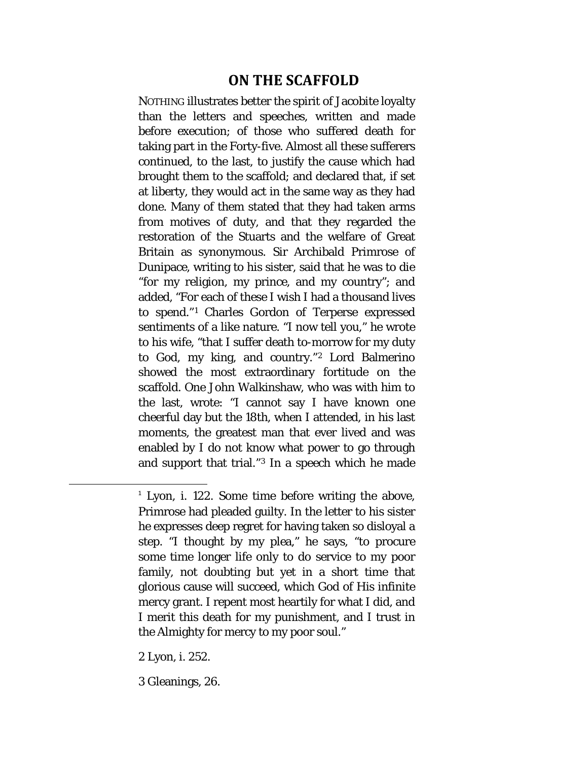# **ON THE SCAFFOLD**

NOTHING illustrates better the spirit of Jacobite loyalty than the letters and speeches, written and made before execution; of those who suffered death for taking part in the Forty-five. Almost all these sufferers continued, to the last, to justify the cause which had brought them to the scaffold; and declared that, if set at liberty, they would act in the same way as they had done. Many of them stated that they had taken arms from motives of duty, and that they regarded the restoration of the Stuarts and the welfare of Great Britain as synonymous. Sir Archibald Primrose of Dunipace, writing to his sister, said that he was to die "for my religion, my prince, and my country"; and added, "For each of these I wish I had a thousand lives to spend."[1](#page-106-0) Charles Gordon of Terperse expressed sentiments of a like nature. "I now tell you," he wrote to his wife, "that I suffer death to-morrow for my duty to God, my king, and country."[2](#page-106-1) Lord Balmerino showed the most extraordinary fortitude on the scaffold. One John Walkinshaw, who was with him to the last, wrote: "I cannot say I have known one cheerful day but the 18th, when I attended, in his last moments, the greatest man that ever lived and was enabled by I do not know what power to go through and support that trial."[3](#page-106-2) In a speech which he made

<span id="page-106-1"></span>2 Lyon, i. 252.

<span id="page-106-2"></span>3 Gleanings, 26.

<span id="page-106-0"></span><sup>&</sup>lt;sup>1</sup> Lyon, i. 122. Some time before writing the above, Primrose had pleaded guilty. In the letter to his sister he expresses deep regret for having taken so disloyal a step. "I thought by my plea," he says, "to procure some time longer life only to do service to my poor family, not doubting but yet in a short time that glorious cause will succeed, which God of His infinite mercy grant. I repent most heartily for what I did, and I merit this death for my punishment, and I trust in the Almighty for mercy to my poor soul."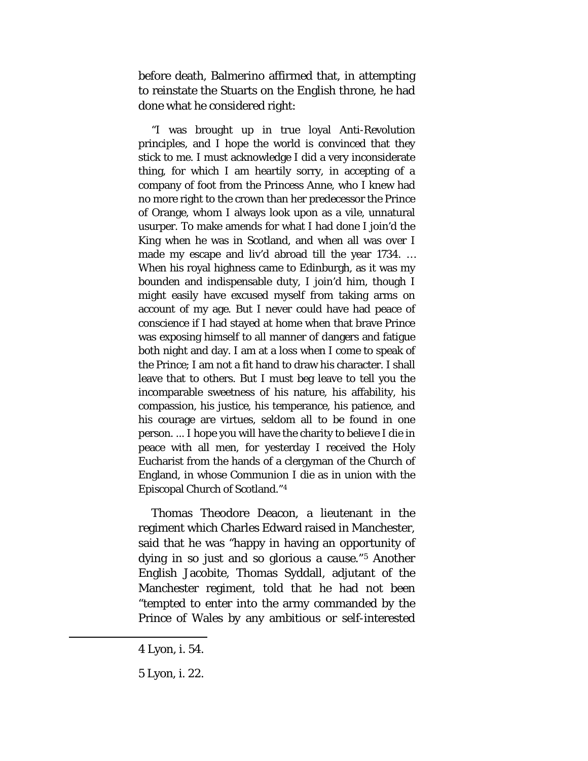before death, Balmerino affirmed that, in attempting to reinstate the Stuarts on the English throne, he had done what he considered right:

"I was brought up in true loyal Anti-Revolution principles, and I hope the world is convinced that they stick to me. I must acknowledge I did a very inconsiderate thing, for which I am heartily sorry, in accepting of a company of foot from the Princess Anne, who I knew had no more right to the crown than her predecessor the Prince of Orange, whom I always look upon as a vile, unnatural usurper. To make amends for what I had done I join'd the King when he was in Scotland, and when all was over I made my escape and liv'd abroad till the year 1734. … When his royal highness came to Edinburgh, as it was my bounden and indispensable duty, I join'd him, though I might easily have excused myself from taking arms on account of my age. But I never could have had peace of conscience if I had stayed at home when that brave Prince was exposing himself to all manner of dangers and fatigue both night and day. I am at a loss when I come to speak of the Prince; I am not a fit hand to draw his character. I shall leave that to others. But I must beg leave to tell you the incomparable sweetness of his nature, his affability, his compassion, his justice, his temperance, his patience, and his courage are virtues, seldom all to be found in one person. ... I hope you will have the charity to believe I die in peace with all men, for yesterday I received the Holy Eucharist from the hands of a clergyman of the Church of England, in whose Communion I die as in union with the Episcopal Church of Scotland."[4](#page-107-0)

Thomas Theodore Deacon, a lieutenant in the regiment which Charles Edward raised in Manchester, said that he was "happy in having an opportunity of dying in so just and so glorious a cause."[5](#page-107-1) Another English Jacobite, Thomas Syddall, adjutant of the Manchester regiment, told that he had not been "tempted to enter into the army commanded by the Prince of Wales by any ambitious or self-interested

<span id="page-107-0"></span><sup>4</sup> Lyon, i. 54.

<span id="page-107-1"></span><sup>5</sup> Lyon, i. 22.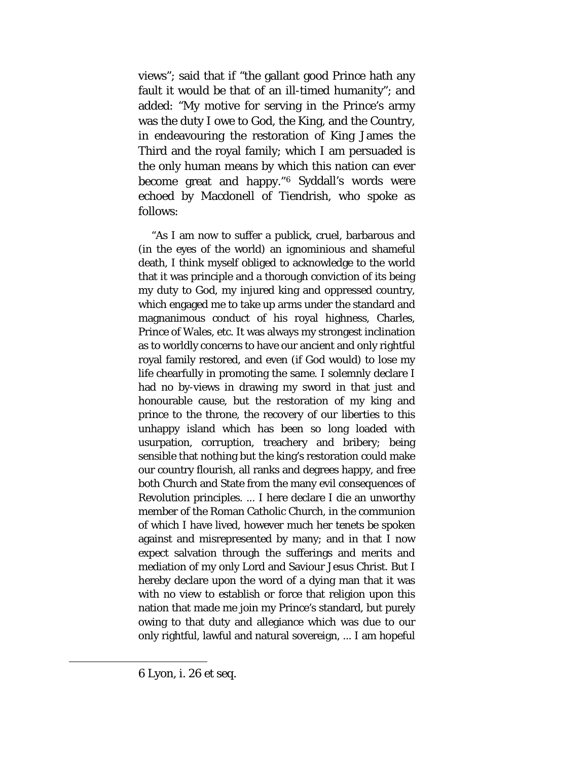views"; said that if "the gallant good Prince hath any fault it would be that of an ill-timed humanity"; and added: "My motive for serving in the Prince's army was the duty I owe to God, the King, and the Country, in endeavouring the restoration of King James the Third and the royal family; which I am persuaded is the only human means by which this nation can ever become great and happy."[6](#page-108-0) Syddall's words were echoed by Macdonell of Tiendrish, who spoke as follows:

<span id="page-108-0"></span>"As I am now to suffer a publick, cruel, barbarous and (in the eyes of the world) an ignominious and shameful death, I think myself obliged to acknowledge to the world that it was principle and a thorough conviction of its being my duty to God, my injured king and oppressed country, which engaged me to take up arms under the standard and magnanimous conduct of his royal highness, Charles, Prince of Wales, etc. It was always my strongest inclination as to worldly concerns to have our ancient and only rightful royal family restored, and even (if God would) to lose my life chearfully in promoting the same. I solemnly declare I had no by-views in drawing my sword in that just and honourable cause, but the restoration of my king and prince to the throne, the recovery of our liberties to this unhappy island which has been so long loaded with usurpation, corruption, treachery and bribery; being sensible that nothing but the king's restoration could make our country flourish, all ranks and degrees happy, and free both Church and State from the many evil consequences of Revolution principles. ... I here declare I die an unworthy member of the Roman Catholic Church, in the communion of which I have lived, however much her tenets be spoken against and misrepresented by many; and in that I now expect salvation through the sufferings and merits and mediation of my only Lord and Saviour Jesus Christ. But I hereby declare upon the word of a dying man that it was with no view to establish or force that religion upon this nation that made me join my Prince's standard, but purely owing to that duty and allegiance which was due to our only rightful, lawful and natural sovereign, ... I am hopeful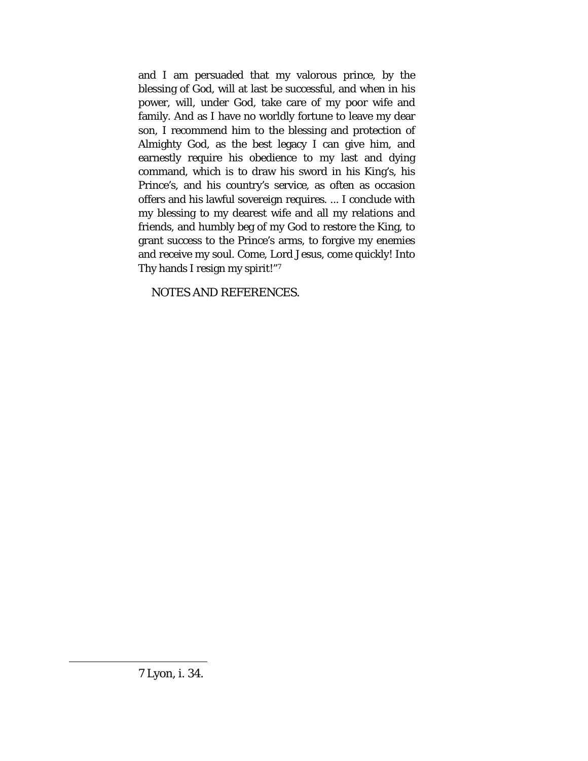and I am persuaded that my valorous prince, by the blessing of God, will at last be successful, and when in his power, will, under God, take care of my poor wife and family. And as I have no worldly fortune to leave my dear son, I recommend him to the blessing and protection of Almighty God, as the best legacy I can give him, and earnestly require his obedience to my last and dying command, which is to draw his sword in his King's, his Prince's, and his country's service, as often as occasion offers and his lawful sovereign requires. ... I conclude with my blessing to my dearest wife and all my relations and friends, and humbly beg of my God to restore the King, to grant success to the Prince's arms, to forgive my enemies and receive my soul. Come, Lord Jesus, come quickly! Into Thy hands I resign my spirit!"[7](#page-109-0)

<span id="page-109-0"></span>NOTES AND REFERENCES.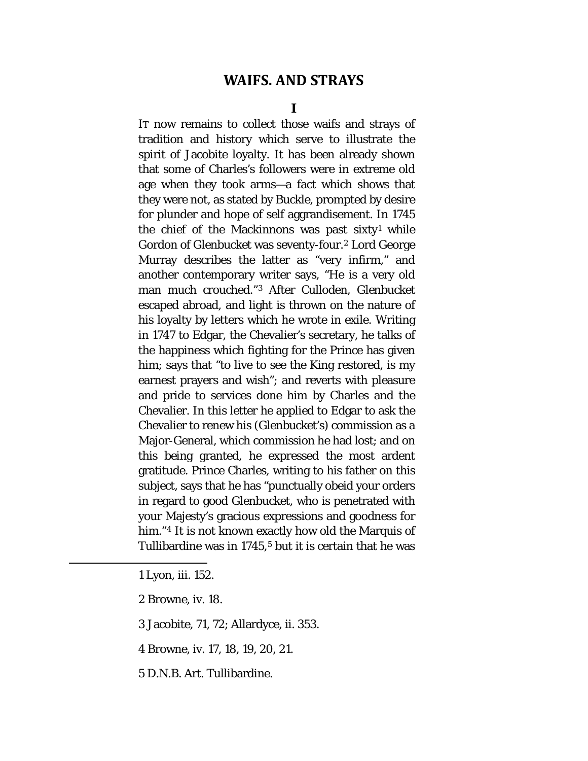## **WAIFS. AND STRAYS**

**I**

IT now remains to collect those waifs and strays of tradition and history which serve to illustrate the spirit of Jacobite loyalty. It has been already shown that some of Charles's followers were in extreme old age when they took arms—a fact which shows that they were not, as stated by Buckle, prompted by desire for plunder and hope of self aggrandisement. In 1745 the chief of the Mackinnons was past sixty<sup>[1](#page-110-0)</sup> while Gordon of Glenbucket was seventy-four.[2](#page-110-1) Lord George Murray describes the latter as "very infirm," and another contemporary writer says, "He is a very old man much crouched."[3](#page-110-2) After Culloden, Glenbucket escaped abroad, and light is thrown on the nature of his loyalty by letters which he wrote in exile. Writing in 1747 to Edgar, the Chevalier's secretary, he talks of the happiness which fighting for the Prince has given him; says that "to live to see the King restored, is my earnest prayers and wish"; and reverts with pleasure and pride to services done him by Charles and the Chevalier. In this letter he applied to Edgar to ask the Chevalier to renew his (Glenbucket's) commission as a Major-General, which commission he had lost; and on this being granted, he expressed the most ardent gratitude. Prince Charles, writing to his father on this subject, says that he has "punctually obeid your orders in regard to good Glenbucket, who is penetrated with your Majesty's gracious expressions and goodness for him."<sup>[4](#page-110-3)</sup> It is not known exactly how old the Marquis of Tullibardine was in  $1745$  $1745$ ,<sup>5</sup> but it is certain that he was

1 Lyon, iii. 152.

<span id="page-110-4"></span><span id="page-110-3"></span><span id="page-110-2"></span><span id="page-110-1"></span><span id="page-110-0"></span>l

2 Browne, iv. 18.

3 Jacobite, 71, 72; Allardyce, ii. 353.

4 Browne, iv. 17, 18, 19, 20, 21.

5 D.N.B. Art. Tullibardine.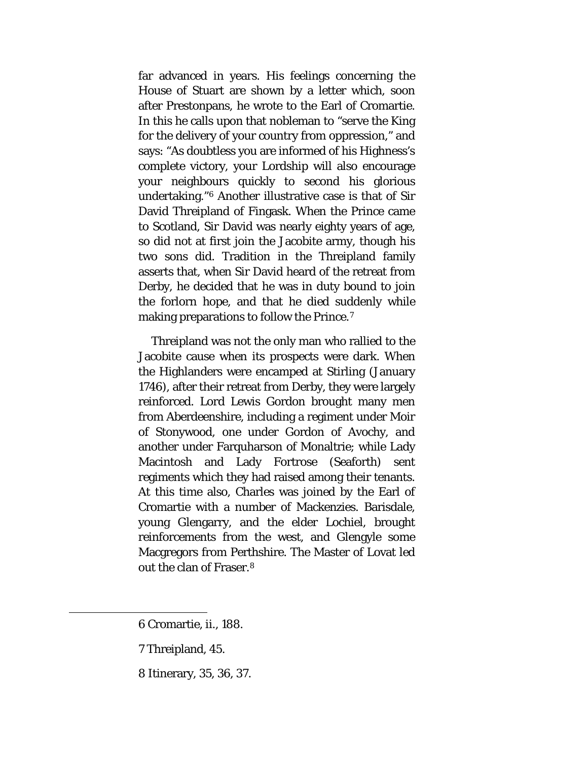far advanced in years. His feelings concerning the House of Stuart are shown by a letter which, soon after Prestonpans, he wrote to the Earl of Cromartie. In this he calls upon that nobleman to "serve the King for the delivery of your country from oppression," and says: "As doubtless you are informed of his Highness's complete victory, your Lordship will also encourage your neighbours quickly to second his glorious undertaking."[6](#page-111-0) Another illustrative case is that of Sir David Threipland of Fingask. When the Prince came to Scotland, Sir David was nearly eighty years of age, so did not at first join the Jacobite army, though his two sons did. Tradition in the Threipland family asserts that, when Sir David heard of the retreat from Derby, he decided that he was in duty bound to join the forlorn hope, and that he died suddenly while making preparations to follow the Prince.<sup>[7](#page-111-1)</sup>

Threipland was not the only man who rallied to the Jacobite cause when its prospects were dark. When the Highlanders were encamped at Stirling (January 1746), after their retreat from Derby, they were largely reinforced. Lord Lewis Gordon brought many men from Aberdeenshire, including a regiment under Moir of Stonywood, one under Gordon of Avochy, and another under Farquharson of Monaltrie; while Lady Macintosh and Lady Fortrose (Seaforth) sent regiments which they had raised among their tenants. At this time also, Charles was joined by the Earl of Cromartie with a number of Mackenzies. Barisdale, young Glengarry, and the elder Lochiel, brought reinforcements from the west, and Glengyle some Macgregors from Perthshire. The Master of Lovat led out the clan of Fraser.[8](#page-111-2)

7 Threipland, 45.

<span id="page-111-2"></span><span id="page-111-1"></span><span id="page-111-0"></span>l

8 Itinerary, 35, 36, 37.

<sup>6</sup> Cromartie, ii., 188.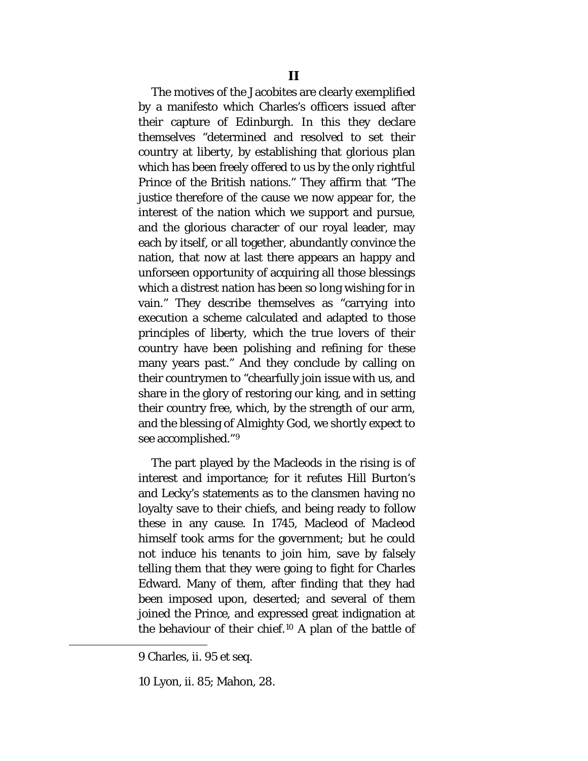The motives of the Jacobites are clearly exemplified by a manifesto which Charles's officers issued after their capture of Edinburgh. In this they declare themselves "determined and resolved to set their country at liberty, by establishing that glorious plan which has been freely offered to us by the only rightful Prince of the British nations." They affirm that "The justice therefore of the cause we now appear for, the interest of the nation which we support and pursue, and the glorious character of our royal leader, may each by itself, or all together, abundantly convince the nation, that now at last there appears an happy and unforseen opportunity of acquiring all those blessings which a distrest nation has been so long wishing for in vain." They describe themselves as "carrying into execution a scheme calculated and adapted to those principles of liberty, which the true lovers of their country have been polishing and refining for these many years past." And they conclude by calling on their countrymen to "chearfully join issue with us, and share in the glory of restoring our king, and in setting their country free, which, by the strength of our arm, and the blessing of Almighty God, we shortly expect to see accomplished."[9](#page-112-0)

The part played by the Macleods in the rising is of interest and importance; for it refutes Hill Burton's and Lecky's statements as to the clansmen having no loyalty save to their chiefs, and being ready to follow these in any cause. In 1745, Macleod of Macleod himself took arms for the government; but he could not induce his tenants to join him, save by falsely telling them that they were going to fight for Charles Edward. Many of them, after finding that they had been imposed upon, deserted; and several of them joined the Prince, and expressed great indignation at the behaviour of their chief.[10](#page-112-1) A plan of the battle of

<span id="page-112-0"></span><sup>9</sup> Charles, ii. 95 et seq.

<span id="page-112-1"></span><sup>10</sup> Lyon, ii. 85; Mahon, 28.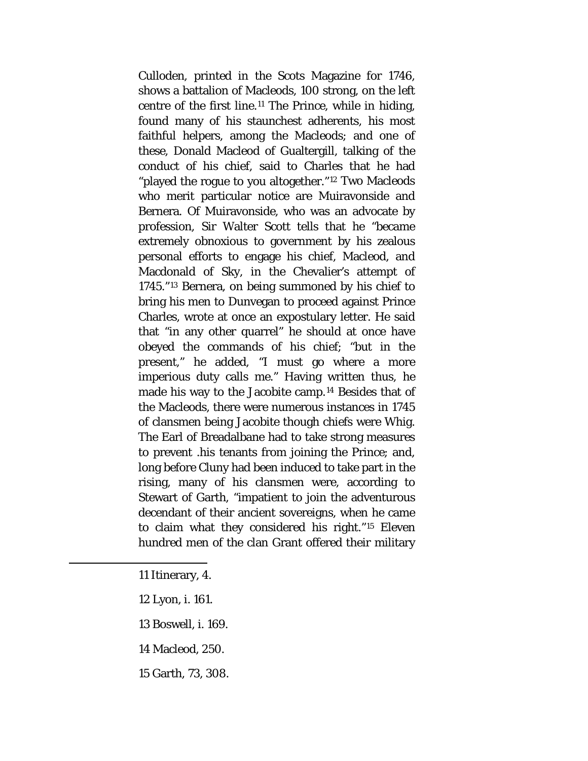Culloden, printed in the Scots Magazine for 1746, shows a battalion of Macleods, 100 strong, on the left centre of the first line.[11](#page-113-0) The Prince, while in hiding, found many of his staunchest adherents, his most faithful helpers, among the Macleods; and one of these, Donald Macleod of Gualtergill, talking of the conduct of his chief, said to Charles that he had "played the rogue to you altogether."[12](#page-113-1) Two Macleods who merit particular notice are Muiravonside and Bernera. Of Muiravonside, who was an advocate by profession, Sir Walter Scott tells that he "became extremely obnoxious to government by his zealous personal efforts to engage his chief, Macleod, and Macdonald of Sky, in the Chevalier's attempt of 1745."[13](#page-113-2) Bernera, on being summoned by his chief to bring his men to Dunvegan to proceed against Prince Charles, wrote at once an expostulary letter. He said that "in any other quarrel" he should at once have obeyed the commands of his chief; "but in the present," he added, "I must go where a more imperious duty calls me." Having written thus, he made his way to the Jacobite camp.[14](#page-113-3) Besides that of the Macleods, there were numerous instances in 1745 of clansmen being Jacobite though chiefs were Whig. The Earl of Breadalbane had to take strong measures to prevent .his tenants from joining the Prince; and, long before Cluny had been induced to take part in the rising, many of his clansmen were, according to Stewart of Garth, "impatient to join the adventurous decendant of their ancient sovereigns, when he came to claim what they considered his right."[15](#page-113-4) Eleven hundred men of the clan Grant offered their military

11 Itinerary, 4.

<span id="page-113-4"></span><span id="page-113-3"></span><span id="page-113-2"></span><span id="page-113-1"></span><span id="page-113-0"></span>l

12 Lyon, i. 161.

13 Boswell, i. 169.

14 Macleod, 250.

15 Garth, 73, 308.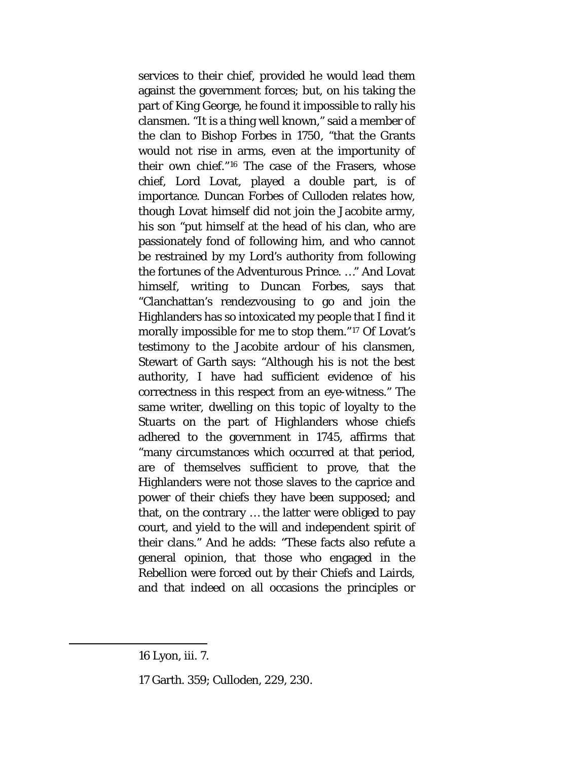services to their chief, provided he would lead them against the government forces; but, on his taking the part of King George, he found it impossible to rally his clansmen. "It is a thing well known," said a member of the clan to Bishop Forbes in 1750, "that the Grants would not rise in arms, even at the importunity of their own chief."[16](#page-114-0) The case of the Frasers, whose chief, Lord Lovat, played a double part, is of importance. Duncan Forbes of Culloden relates how, though Lovat himself did not join the Jacobite army, his son "put himself at the head of his clan, who are passionately fond of following him, and who cannot be restrained by my Lord's authority from following the fortunes of the Adventurous Prince. …" And Lovat himself, writing to Duncan Forbes, says that "Clanchattan's rendezvousing to go and join the Highlanders has so intoxicated my people that I find it morally impossible for me to stop them."[17](#page-114-1) Of Lovat's testimony to the Jacobite ardour of his clansmen, Stewart of Garth says: "Although his is not the best authority, I have had sufficient evidence of his correctness in this respect from an eye-witness." The same writer, dwelling on this topic of loyalty to the Stuarts on the part of Highlanders whose chiefs adhered to the government in 1745, affirms that "many circumstances which occurred at that period, are of themselves sufficient to prove, that the Highlanders were not those slaves to the caprice and power of their chiefs they have been supposed; and that, on the contrary … the latter were obliged to pay court, and yield to the will and independent spirit of their clans." And he adds: "These facts also refute a general opinion, that those who engaged in the Rebellion were forced out by their Chiefs and Lairds, and that indeed on all occasions the principles or

<span id="page-114-1"></span><span id="page-114-0"></span>l

17 Garth. 359; Culloden, 229, 230.

<sup>16</sup> Lyon, iii. 7.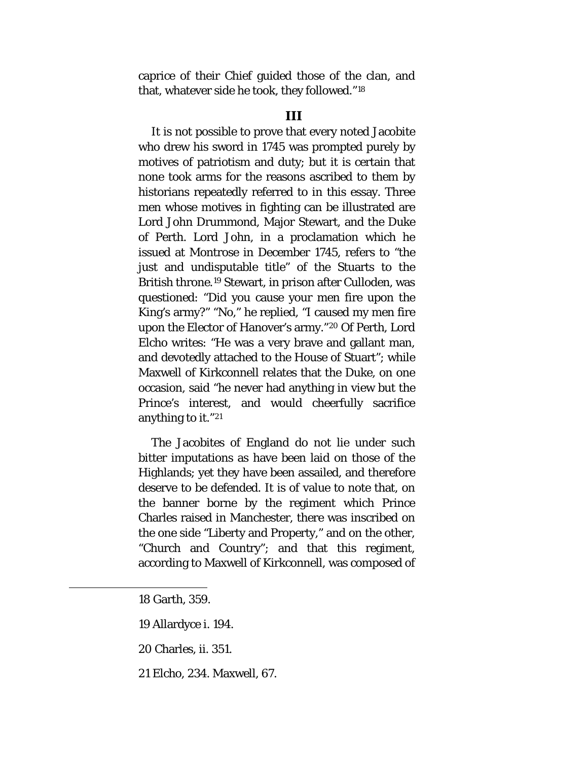caprice of their Chief guided those of the clan, and that, whatever side he took, they followed."[18](#page-115-0)

#### **III**

It is not possible to prove that every noted Jacobite who drew his sword in 1745 was prompted purely by motives of patriotism and duty; but it is certain that none took arms for the reasons ascribed to them by historians repeatedly referred to in this essay. Three men whose motives in fighting can be illustrated are Lord John Drummond, Major Stewart, and the Duke of Perth. Lord John, in a proclamation which he issued at Montrose in December 1745, refers to "the just and undisputable title" of the Stuarts to the British throne.[19](#page-115-1) Stewart, in prison after Culloden, was questioned: "Did you cause your men fire upon the King's army?" "No," he replied, "I caused my men fire upon the Elector of Hanover's army."[20](#page-115-2) Of Perth, Lord Elcho writes: "He was a very brave and gallant man, and devotedly attached to the House of Stuart"; while Maxwell of Kirkconnell relates that the Duke, on one occasion, said "he never had anything in view but the Prince's interest, and would cheerfully sacrifice anything to it."[21](#page-115-3)

The Jacobites of England do not lie under such bitter imputations as have been laid on those of the Highlands; yet they have been assailed, and therefore deserve to be defended. It is of value to note that, on the banner borne by the regiment which Prince Charles raised in Manchester, there was inscribed on the one side "Liberty and Property," and on the other, "Church and Country"; and that this regiment, according to Maxwell of Kirkconnell, was composed of

<span id="page-115-3"></span><span id="page-115-2"></span><span id="page-115-1"></span><span id="page-115-0"></span> $\overline{\phantom{a}}$ 

21 Elcho, 234. Maxwell, 67.

<sup>18</sup> Garth, 359.

<sup>19</sup> Allardyce i. 194.

<sup>20</sup> Charles, ii. 351.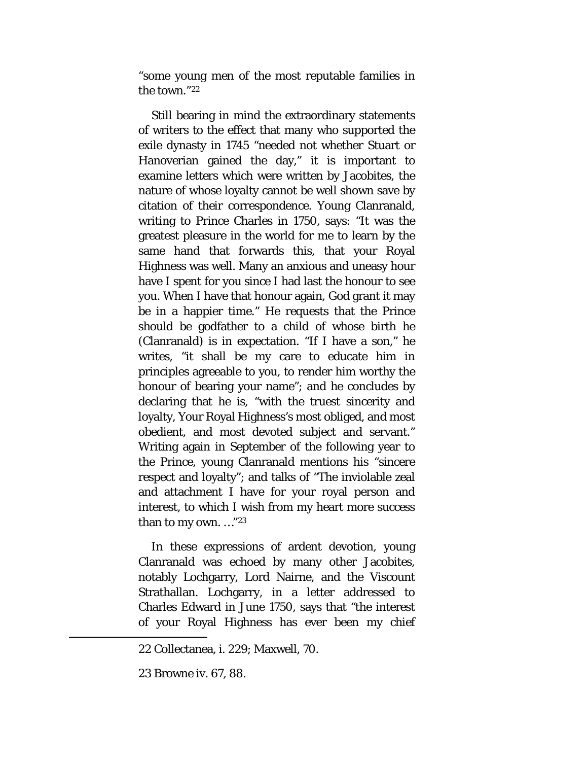"some young men of the most reputable families in the town."[22](#page-116-0)

Still bearing in mind the extraordinary statements of writers to the effect that many who supported the exile dynasty in 1745 "needed not whether Stuart or Hanoverian gained the day," it is important to examine letters which were written by Jacobites, the nature of whose loyalty cannot be well shown save by citation of their correspondence. Young Clanranald, writing to Prince Charles in 1750, says: "It was the greatest pleasure in the world for me to learn by the same hand that forwards this, that your Royal Highness was well. Many an anxious and uneasy hour have I spent for you since I had last the honour to see you. When I have that honour again, God grant it may be in a happier time." He requests that the Prince should be godfather to a child of whose birth he (Clanranald) is in expectation. "If I have a son," he writes, "it shall be my care to educate him in principles agreeable to you, to render him worthy the honour of bearing your name"; and he concludes by declaring that he is, "with the truest sincerity and loyalty, Your Royal Highness's most obliged, and most obedient, and most devoted subject and servant." Writing again in September of the following year to the Prince, young Clanranald mentions his "sincere respect and loyalty"; and talks of "The inviolable zeal and attachment I have for your royal person and interest, to which I wish from my heart more success than to my own. …"[23](#page-116-1)

In these expressions of ardent devotion, young Clanranald was echoed by many other Jacobites, notably Lochgarry, Lord Nairne, and the Viscount Strathallan. Lochgarry, in a letter addressed to Charles Edward in June 1750, says that "the interest of your Royal Highness has ever been my chief

<span id="page-116-0"></span><sup>22</sup> Collectanea, i. 229; Maxwell, 70.

<span id="page-116-1"></span><sup>23</sup> Browne iv. 67, 88.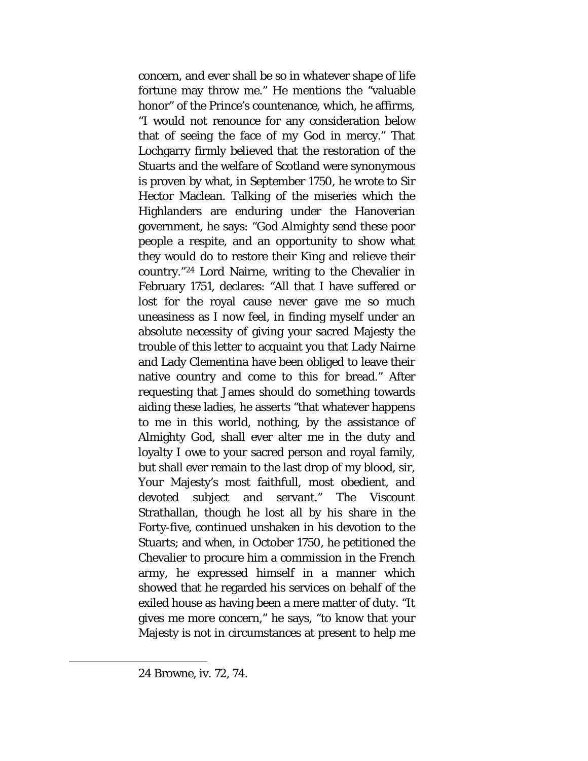concern, and ever shall be so in whatever shape of life fortune may throw me." He mentions the "valuable honor" of the Prince's countenance, which, he affirms, "I would not renounce for any consideration below that of seeing the face of my God in mercy." That Lochgarry firmly believed that the restoration of the Stuarts and the welfare of Scotland were synonymous is proven by what, in September 1750, he wrote to Sir Hector Maclean. Talking of the miseries which the Highlanders are enduring under the Hanoverian government, he says: "God Almighty send these poor people a respite, and an opportunity to show what they would do to restore their King and relieve their country."[24](#page-117-0) Lord Nairne, writing to the Chevalier in February 1751, declares: "All that I have suffered or lost for the royal cause never gave me so much uneasiness as I now feel, in finding myself under an absolute necessity of giving your sacred Majesty the trouble of this letter to acquaint you that Lady Nairne and Lady Clementina have been obliged to leave their native country and come to this for bread." After requesting that James should do something towards aiding these ladies, he asserts "that whatever happens to me in this world, nothing, by the assistance of Almighty God, shall ever alter me in the duty and loyalty I owe to your sacred person and royal family, but shall ever remain to the last drop of my blood, sir, Your Majesty's most faithfull, most obedient, and devoted subject and servant." The Viscount Strathallan, though he lost all by his share in the Forty-five, continued unshaken in his devotion to the Stuarts; and when, in October 1750, he petitioned the Chevalier to procure him a commission in the French army, he expressed himself in a manner which showed that he regarded his services on behalf of the exiled house as having been a mere matter of duty. "It gives me more concern," he says, "to know that your Majesty is not in circumstances at present to help me

<span id="page-117-0"></span><sup>24</sup> Browne, iv. 72, 74.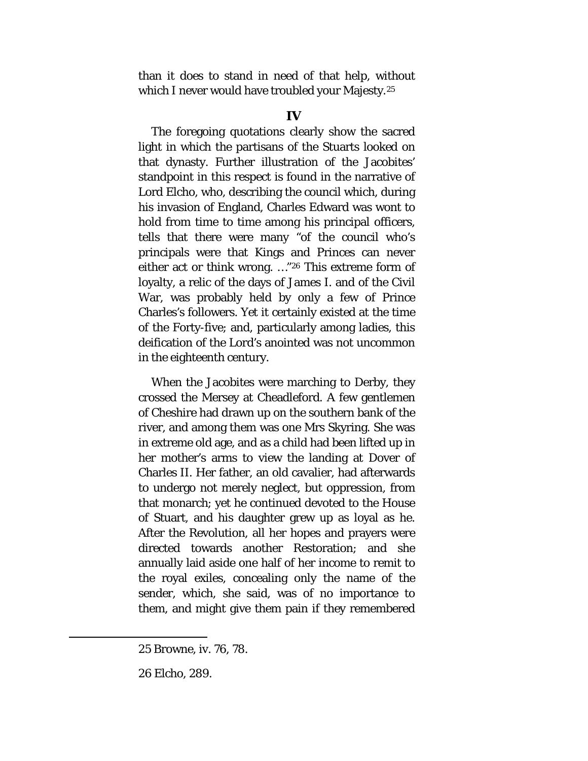than it does to stand in need of that help, without which I never would have troubled your Majesty.<sup>[25](#page-118-0)</sup>

### **IV**

The foregoing quotations clearly show the sacred light in which the partisans of the Stuarts looked on that dynasty. Further illustration of the Jacobites' standpoint in this respect is found in the narrative of Lord Elcho, who, describing the council which, during his invasion of England, Charles Edward was wont to hold from time to time among his principal officers, tells that there were many "of the council who's principals were that Kings and Princes can never either act or think wrong. …["26](#page-118-1) This extreme form of loyalty, a relic of the days of James I. and of the Civil War, was probably held by only a few of Prince Charles's followers. Yet it certainly existed at the time of the Forty-five; and, particularly among ladies, this deification of the Lord's anointed was not uncommon in the eighteenth century.

When the Jacobites were marching to Derby, they crossed the Mersey at Cheadleford. A few gentlemen of Cheshire had drawn up on the southern bank of the river, and among them was one Mrs Skyring. She was in extreme old age, and as a child had been lifted up in her mother's arms to view the landing at Dover of Charles II. Her father, an old cavalier, had afterwards to undergo not merely neglect, but oppression, from that monarch; yet he continued devoted to the House of Stuart, and his daughter grew up as loyal as he. After the Revolution, all her hopes and prayers were directed towards another Restoration; and she annually laid aside one half of her income to remit to the royal exiles, concealing only the name of the sender, which, she said, was of no importance to them, and might give them pain if they remembered

<span id="page-118-0"></span><sup>25</sup> Browne, iv. 76, 78.

<span id="page-118-1"></span><sup>26</sup> Elcho, 289.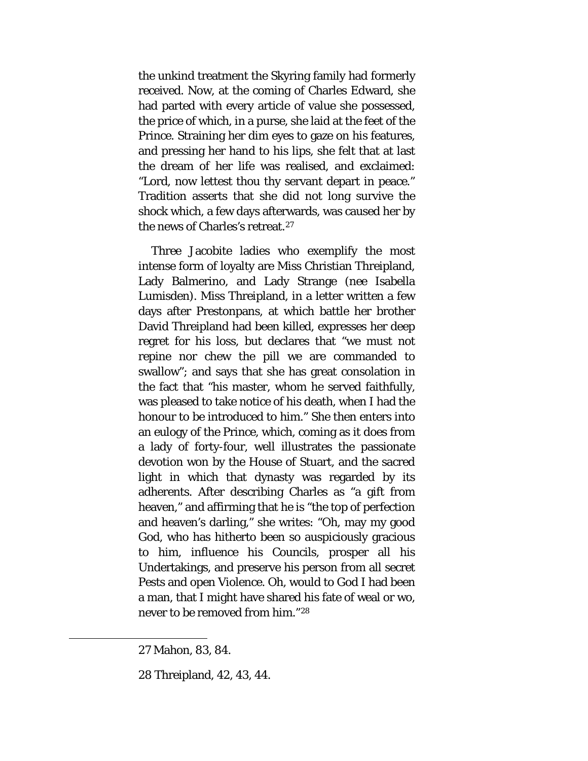the unkind treatment the Skyring family had formerly received. Now, at the coming of Charles Edward, she had parted with every article of value she possessed, the price of which, in a purse, she laid at the feet of the Prince. Straining her dim eyes to gaze on his features, and pressing her hand to his lips, she felt that at last the dream of her life was realised, and exclaimed: "Lord, now lettest thou thy servant depart in peace." Tradition asserts that she did not long survive the shock which, a few days afterwards, was caused her by the news of Charles's retreat.[27](#page-119-0)

Three Jacobite ladies who exemplify the most intense form of loyalty are Miss Christian Threipland, Lady Balmerino, and Lady Strange *(nee* Isabella Lumisden). Miss Threipland, in a letter written a few days after Prestonpans, at which battle her brother David Threipland had been killed, expresses her deep regret for his loss, but declares that "we must not repine nor chew the pill we are commanded to swallow"; and says that she has great consolation in the fact that "his master, whom he served faithfully, was pleased to take notice of his death, when I had the honour to be introduced to him." She then enters into an eulogy of the Prince, which, coming as it does from a lady of forty-four, well illustrates the passionate devotion won by the House of Stuart, and the sacred light in which that dynasty was regarded by its adherents. After describing Charles as "a gift from heaven," and affirming that he is "the top of perfection and heaven's darling," she writes: "Oh, may my good God, who has hitherto been so auspiciously gracious to him, influence his Councils, prosper all his Undertakings, and preserve his person from all secret Pests and open Violence. Oh, would to God I had been a man, that I might have shared his fate of weal or wo, never to be removed from him."[28](#page-119-1)

<span id="page-119-1"></span><span id="page-119-0"></span>l

<sup>27</sup> Mahon, 83, 84.

<sup>28</sup> Threipland, 42, 43, 44.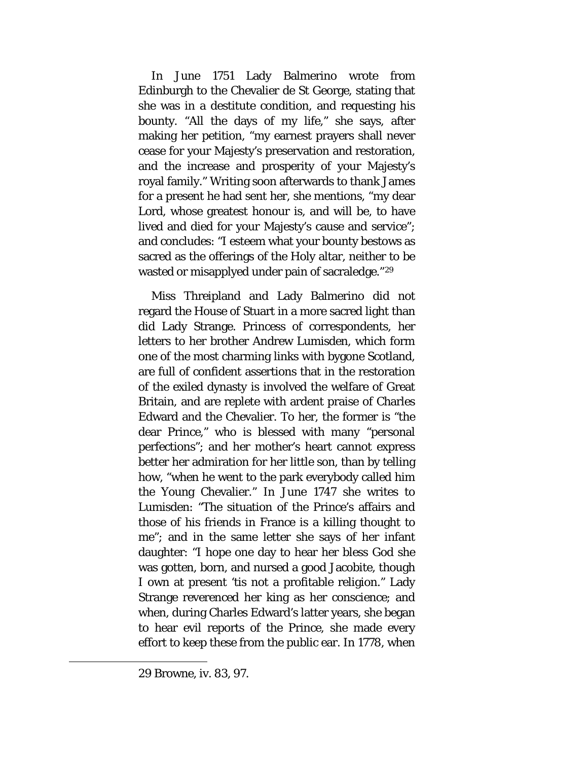In June 1751 Lady Balmerino wrote from Edinburgh to the Chevalier de St George, stating that she was in a destitute condition, and requesting his bounty. "All the days of my life," she says, after making her petition, "my earnest prayers shall never cease for your Majesty's preservation and restoration, and the increase and prosperity of your Majesty's royal family." Writing soon afterwards to thank James for a present he had sent her, she mentions, "my dear Lord, whose greatest honour is, and will be, to have lived and died for your Majesty's cause and service"; and concludes: "I esteem what your bounty bestows as sacred as the offerings of the Holy altar, neither to be wasted or misapplyed under pain of sacraledge."[29](#page-120-0)

Miss Threipland and Lady Balmerino did not regard the House of Stuart in a more sacred light than did Lady Strange. Princess of correspondents, her letters to her brother Andrew Lumisden, which form one of the most charming links with bygone Scotland, are full of confident assertions that in the restoration of the exiled dynasty is involved the welfare of Great Britain, and are replete with ardent praise of Charles Edward and the Chevalier. To her, the former is "the dear Prince," who is blessed with many "personal perfections"; and her mother's heart cannot express better her admiration for her little son, than by telling how, "when he went to the park everybody called him the Young Chevalier." In June 1747 she writes to Lumisden: "The situation of the Prince's affairs and those of his friends in France is a killing thought to me"; and in the same letter she says of her infant daughter: "I hope one day to hear her bless God she was gotten, born, and nursed a good Jacobite, though I own at present 'tis not a profitable religion." Lady Strange reverenced her king as her conscience; and when, during Charles Edward's latter years, she began to hear evil reports of the Prince, she made every effort to keep these from the public ear. In 1778, when

<span id="page-120-0"></span><sup>29</sup> Browne, iv. 83, 97.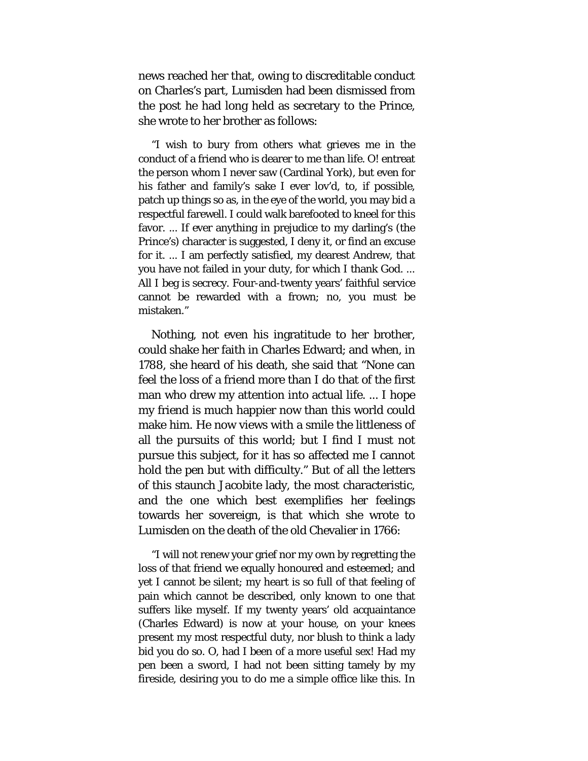news reached her that, owing to discreditable conduct on Charles's part, Lumisden had been dismissed from the post he had long held as secretary to the Prince, she wrote to her brother as follows:

"I wish to bury from others what grieves me in the conduct of a friend who is dearer to me than life. O! entreat the person whom I never saw (Cardinal York), but even for his father and family's sake I ever lov'd, to, if possible, patch up things so as, in the eye of the world, you may bid a respectful farewell. I could walk barefooted to kneel for this favor. ... If ever anything in prejudice to my darling's (the Prince's) character is suggested, I deny it, or find an excuse for it. ... I am perfectly satisfied, my dearest Andrew, that you have not failed in your duty, for which I thank God. ... All I beg is secrecy. Four-and-twenty years' faithful service cannot be rewarded with a frown; no, you must be mistaken."

Nothing, not even his ingratitude to her brother, could shake her faith in Charles Edward; and when, in 1788, she heard of his death, she said that "None can feel the loss of a friend more than I do that of the first man who drew my attention into actual life. ... I hope my friend is much happier now than this world could make him. He now views with a smile the littleness of all the pursuits of this world; but I find I must not pursue this subject, for it has so affected me I cannot hold the pen but with difficulty." But of all the letters of this staunch Jacobite lady, the most characteristic, and the one which best exemplifies her feelings towards her sovereign, is that which she wrote to Lumisden on the death of the old Chevalier in 1766:

"I will not renew your grief nor my own by regretting the loss of that friend we equally honoured and esteemed; and yet I cannot be silent; my heart is so full of that feeling of pain which cannot be described, only known to one that suffers like myself. If my twenty years' old acquaintance (Charles Edward) is now at your house, on your knees present my most respectful duty, nor blush to think a lady bid you do so. O, had I been of a more useful sex! Had my pen been a sword, I had not been sitting tamely by my fireside, desiring you to do me a simple office like this. In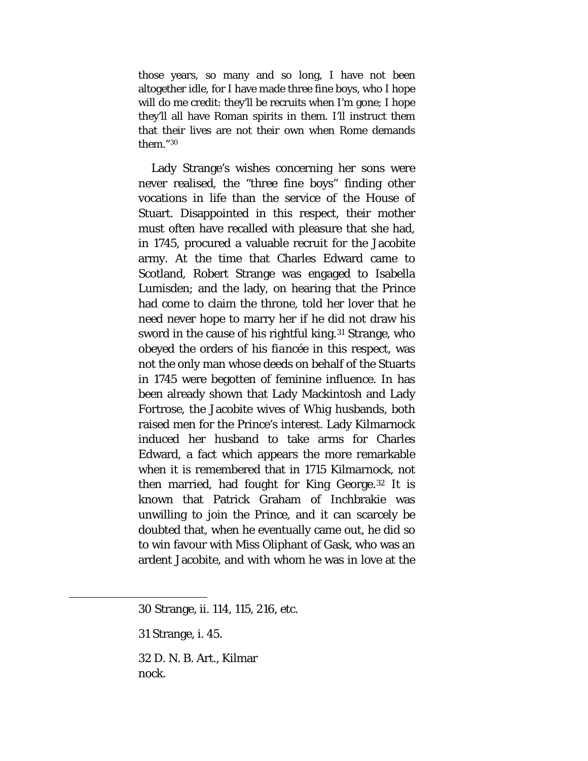those years, so many and so long, I have not been altogether idle, for I have made three fine boys, who I hope will do me credit: they'll be recruits when I'm gone; I hope they'll all have Roman spirits in them. I'll instruct them that their lives are not their own when Rome demands them."[30](#page-122-0)

Lady Strange's wishes concerning her sons were never realised, the "three fine boys" finding other vocations in life than the service of the House of Stuart. Disappointed in this respect, their mother must often have recalled with pleasure that she had, in 1745, procured a valuable recruit for the Jacobite army. At the time that Charles Edward came to Scotland, Robert Strange was engaged to Isabella Lumisden; and the lady, on hearing that the Prince had come to claim the throne, told her lover that he need never hope to marry her if he did not draw his sword in the cause of his rightful king.<sup>[31](#page-122-1)</sup> Strange, who obeyed the orders of his *fiancée* in this respect, was not the only man whose deeds on behalf of the Stuarts in 1745 were begotten of feminine influence. In has been already shown that Lady Mackintosh and Lady Fortrose, the Jacobite wives of Whig husbands, both raised men for the Prince's interest. Lady Kilmarnock induced her husband to take arms for Charles Edward, a fact which appears the more remarkable when it is remembered that in 1715 Kilmarnock, not then married, had fought for King George.[32](#page-122-2) It is known that Patrick Graham of Inchbrakie was unwilling to join the Prince, and it can scarcely be doubted that, when he eventually came out, he did so to win favour with Miss Oliphant of Gask, who was an ardent Jacobite, and with whom he was in love at the

<span id="page-122-2"></span><span id="page-122-1"></span><span id="page-122-0"></span>l

32 D. N. B. Art., Kilmar nock.

<sup>30</sup> Strange, ii. 114, 115, 216, etc.

<sup>31</sup> Strange, i. 45.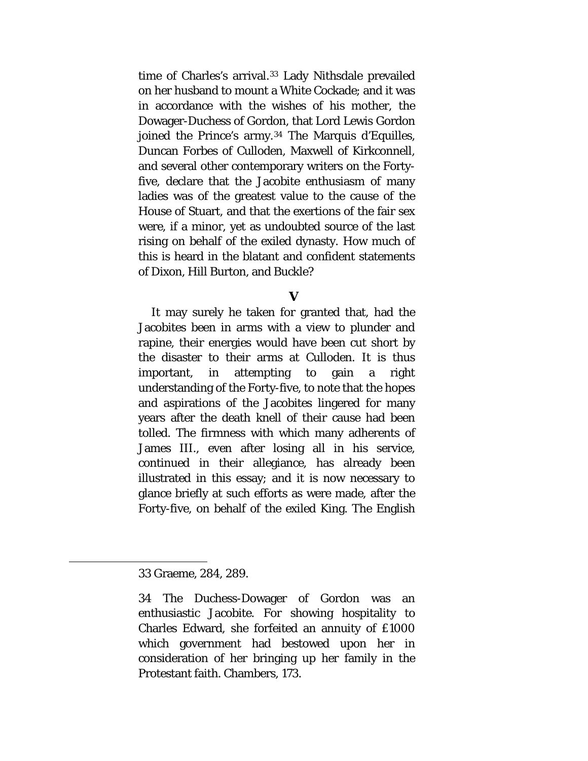time of Charles's arrival.[33](#page-123-0) Lady Nithsdale prevailed on her husband to mount a White Cockade; and it was in accordance with the wishes of his mother, the Dowager-Duchess of Gordon, that Lord Lewis Gordon joined the Prince's army.[34](#page-123-1) The Marquis d'Equilles, Duncan Forbes of Culloden, Maxwell of Kirkconnell, and several other contemporary writers on the Fortyfive, declare that the Jacobite enthusiasm of many ladies was of the greatest value to the cause of the House of Stuart, and that the exertions of the fair sex were, if a minor, yet as undoubted source of the last rising on behalf of the exiled dynasty. How much of this is heard in the blatant and confident statements of Dixon, Hill Burton, and Buckle?

## **V**

It may surely he taken for granted that, had the Jacobites been in arms with a view to plunder and rapine, their energies would have been cut short by the disaster to their arms at Culloden. It is thus important, in attempting to gain a right understanding of the Forty-five, to note that the hopes and aspirations of the Jacobites lingered for many years after the death knell of their cause had been tolled. The firmness with which many adherents of James III., even after losing all in his service, continued in their allegiance, has already been illustrated in this essay; and it is now necessary to glance briefly at such efforts as were made, after the Forty-five, on behalf of the exiled King. The English

<span id="page-123-0"></span><sup>33</sup> Graeme, 284, 289.

<span id="page-123-1"></span><sup>34</sup> The Duchess-Dowager of Gordon was an enthusiastic Jacobite. For showing hospitality to Charles Edward, she forfeited an annuity of £1000 which government had bestowed upon her in consideration of her bringing up her family in the Protestant faith. Chambers, 173.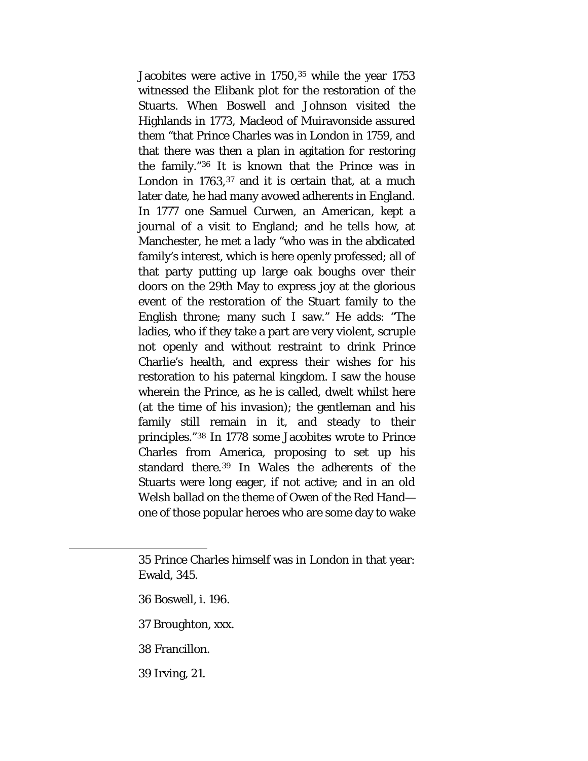Jacobites were active in 1750,[35](#page-124-0) while the year 1753 witnessed the Elibank plot for the restoration of the Stuarts. When Boswell and Johnson visited the Highlands in 1773, Macleod of Muiravonside assured them "that Prince Charles was in London in 1759, and that there was then a plan in agitation for restoring the family."[36](#page-124-1) It is known that the Prince was in London in 1763,<sup>[37](#page-124-2)</sup> and it is certain that, at a much later date, he had many avowed adherents in England. In 1777 one Samuel Curwen, an American, kept a journal of a visit to England; and he tells how, at Manchester, he met a lady "who was in the abdicated family's interest, which is here openly professed; all of that party putting up large oak boughs over their doors on the 29th May to express joy at the glorious event of the restoration of the Stuart family to the English throne; many such I saw." He adds: "The ladies, who if they take a part are very violent, scruple not openly and without restraint to drink Prince Charlie's health, and express their wishes for his restoration to his paternal kingdom. I saw the house wherein the Prince, as he is called, dwelt whilst here (at the time of his invasion); the gentleman and his family still remain in it, and steady to their principles."[38](#page-124-3) In 1778 some Jacobites wrote to Prince Charles from America, proposing to set up his standard there.[39](#page-124-4) In Wales the adherents of the Stuarts were long eager, if not active; and in an old Welsh ballad on the theme of Owen of the Red Hand one of those popular heroes who are some day to wake

- 36 Boswell, i. 196.
- 37 Broughton, xxx.
- 38 Francillon.

<span id="page-124-3"></span><span id="page-124-2"></span><span id="page-124-1"></span><span id="page-124-0"></span>l

<span id="page-124-4"></span>39 Irving, 21.

<sup>35</sup> Prince Charles himself was in London in that year: Ewald, 345.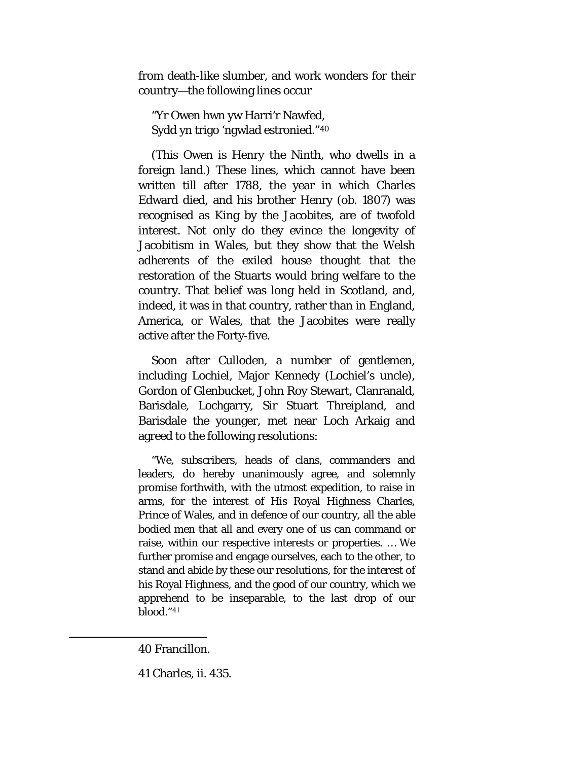from death-like slumber, and work wonders for their country—the following lines occur

"Yr Owen hwn yw Harri'r Nawfed, Sydd yn trigo 'ngwlad estronied."[40](#page-125-0)

(This Owen is Henry the Ninth, who dwells in a foreign land.) These lines, which cannot have been written till after 1788, the year in which Charles Edward died, and his brother Henry (*ob*. 1807) was recognised as King by the Jacobites, are of twofold interest. Not only do they evince the longevity of Jacobitism in Wales, but they show that the Welsh adherents of the exiled house thought that the restoration of the Stuarts would bring welfare to the country. That belief was long held in Scotland, and, indeed, it was in that country, rather than in England, America, or Wales, that the Jacobites were really active after the Forty-five.

Soon after Culloden, a number of gentlemen, including Lochiel, Major Kennedy (Lochiel's uncle), Gordon of Glenbucket, John Roy Stewart, Clanranald, Barisdale, Lochgarry, Sir Stuart Threipland, and Barisdale the younger, met near Loch Arkaig and agreed to the following resolutions:

"We, subscribers, heads of clans, commanders and leaders, do hereby unanimously agree, and solemnly promise forthwith, with the utmost expedition, to raise in arms, for the interest of His Royal Highness Charles, Prince of Wales, and in defence of our country, all the able bodied men that all and every one of us can command or raise, within our respective interests or properties. … We further promise and engage ourselves, each to the other, to stand and abide by these our resolutions, for the interest of his Royal Highness, and the good of our country, which we apprehend to be inseparable, to the last drop of our blood."[41](#page-125-1)

<span id="page-125-0"></span><sup>40</sup> Francillon.

<span id="page-125-1"></span><sup>41</sup> Charles, ii. 435.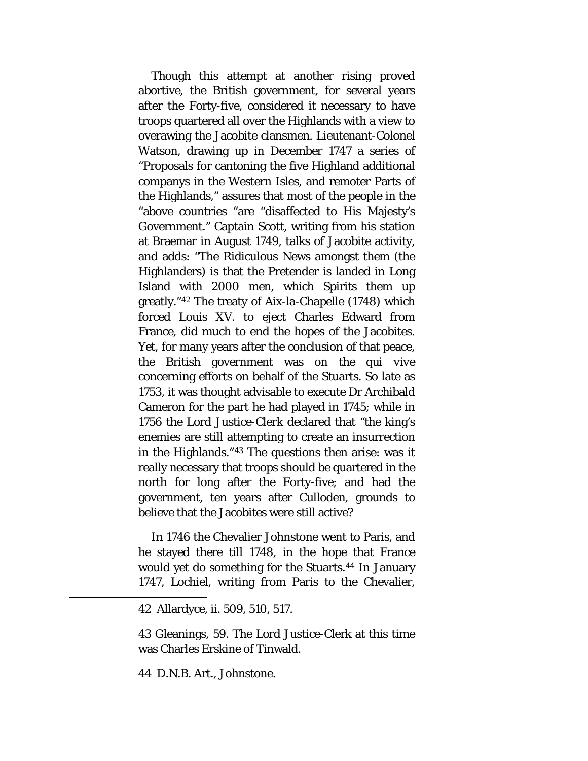Though this attempt at another rising proved abortive, the British government, for several years after the Forty-five, considered it necessary to have troops quartered all over the Highlands with a view to overawing the Jacobite clansmen. Lieutenant-Colonel Watson, drawing up in December 1747 a series of "Proposals for cantoning the five Highland additional companys in the Western Isles, and remoter Parts of the Highlands," assures that most of the people in the "above countries "are "disaffected to His Majesty's Government." Captain Scott, writing from his station at Braemar in August 1749, talks of Jacobite activity, and adds: "The Ridiculous News amongst them (the Highlanders) is that the Pretender is landed in Long Island with 2000 men, which Spirits them up greatly."[42](#page-126-0) The treaty of Aix-la-Chapelle (1748) which forced Louis XV. to eject Charles Edward from France, did much to end the hopes of the Jacobites. Yet, for many years after the conclusion of that peace, the British government was on the *qui vive* concerning efforts on behalf of the Stuarts. So late as 1753, it was thought advisable to execute Dr Archibald Cameron for the part he had played in 1745; while in 1756 the Lord Justice-Clerk declared that "the king's enemies are still attempting to create an insurrection in the Highlands."[43](#page-126-1) The questions then arise: was it really necessary that troops should be quartered in the north for long after the Forty-five; and had the government, ten years after Culloden, grounds to believe that the Jacobites were still active?

In 1746 the Chevalier Johnstone went to Paris, and he stayed there till 1748, in the hope that France would yet do something for the Stuarts.<sup>[44](#page-126-2)</sup> In January 1747, Lochiel, writing from Paris to the Chevalier,

<span id="page-126-2"></span><span id="page-126-1"></span><span id="page-126-0"></span>l

43 Gleanings, 59. The Lord Justice-Clerk at this time was Charles Erskine of Tinwald.

44 D.N.B. Art., Johnstone.

<sup>42</sup> Allardyce, ii. 509, 510, 517.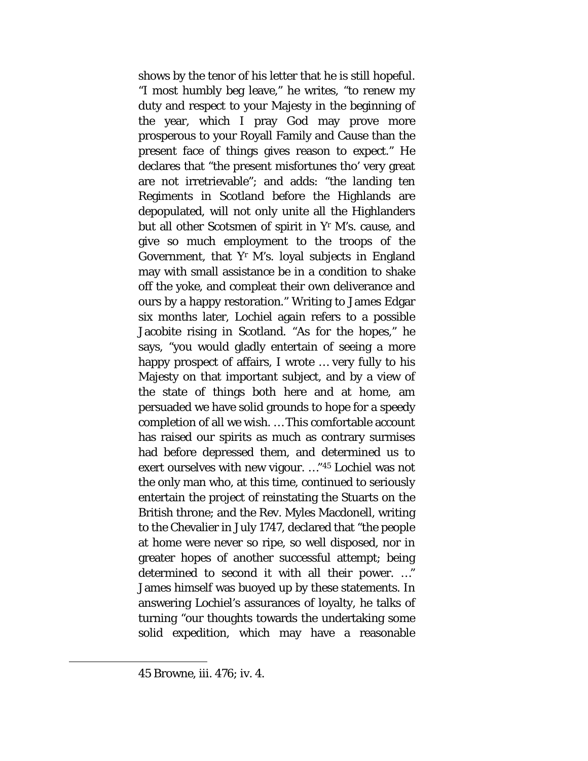shows by the tenor of his letter that he is still hopeful. "I most humbly beg leave," he writes, "to renew my duty and respect to your Majesty in the beginning of the year, which I pray God may prove more prosperous to your Royall Family and Cause than the present face of things gives reason to expect." He declares that "the present misfortunes tho' very great are not irretrievable"; and adds: "the landing ten Regiments in Scotland before the Highlands are depopulated, will not only unite all the Highlanders but all other Scotsmen of spirit in Yr M's. cause, and give so much employment to the troops of the Government, that  $Y<sup>r</sup>$  M's. loyal subjects in England may with small assistance be in a condition to shake off the yoke, and compleat their own deliverance and ours by a happy restoration." Writing to James Edgar six months later, Lochiel again refers to a possible Jacobite rising in Scotland. "As for the hopes," he says, "you would gladly entertain of seeing a more happy prospect of affairs, I wrote … very fully to his Majesty on that important subject, and by a view of the state of things both here and at home, am persuaded we have solid grounds to hope for a speedy completion of all we wish. … This comfortable account has raised our spirits as much as contrary surmises had before depressed them, and determined us to exert ourselves with new vigour. …"[45](#page-127-0) Lochiel was not the only man who, at this time, continued to seriously entertain the project of reinstating the Stuarts on the British throne; and the Rev. Myles Macdonell, writing to the Chevalier in July 1747, declared that "the people at home were never so ripe, so well disposed, nor in greater hopes of another successful attempt; being determined to second it with all their power. …" James himself was buoyed up by these statements. In answering Lochiel's assurances of loyalty, he talks of turning "our thoughts towards the undertaking some solid expedition, which may have a reasonable

<span id="page-127-0"></span><sup>45</sup> Browne, iii. 476; iv. 4.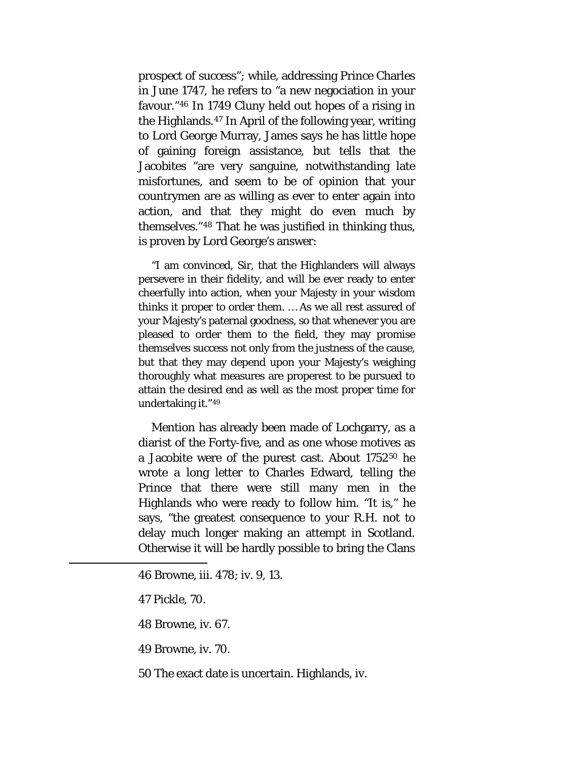prospect of success"; while, addressing Prince Charles in June 1747, he refers to "a new negociation in your favour."[46](#page-128-0) In 1749 Cluny held out hopes of a rising in the Highlands.[47](#page-128-1) In April of the following year, writing to Lord George Murray, James says he has little hope of gaining foreign assistance, but tells that the Jacobites "are very sanguine, notwithstanding late misfortunes, and seem to be of opinion that your countrymen are as willing as ever to enter again into action, and that they might do even much by themselves."[48](#page-128-2) That he was justified in thinking thus, is proven by Lord George's answer:

"I am convinced, Sir, that the Highlanders will always persevere in their fidelity, and will be ever ready to enter cheerfully into action, when your Majesty in your wisdom thinks it proper to order them. … As we all rest assured of your Majesty's paternal goodness, so that whenever you are pleased to order them to the field, they may promise themselves success not only from the justness of the cause, but that they may depend upon your Majesty's weighing thoroughly what measures are properest to be pursued to attain the desired end as well as the most proper time for undertaking it."[49](#page-128-3)

Mention has already been made of Lochgarry, as a diarist of the Forty-five, and as one whose motives as a Jacobite were of the purest cast. About 1752[50](#page-128-4) he wrote a long letter to Charles Edward, telling the Prince that there were still many men in the Highlands who were ready to follow him. "It is," he says, "the greatest consequence to your R.H. not to delay much longer making an attempt in Scotland. Otherwise it will be hardly possible to bring the Clans

<span id="page-128-4"></span><span id="page-128-3"></span><span id="page-128-2"></span><span id="page-128-1"></span><span id="page-128-0"></span>l

48 Browne, iv. 67.

49 Browne, iv. 70.

50 The exact date is uncertain. Highlands, iv.

<sup>46</sup> Browne, iii. 478; iv. 9, 13.

<sup>47</sup> Pickle, 70.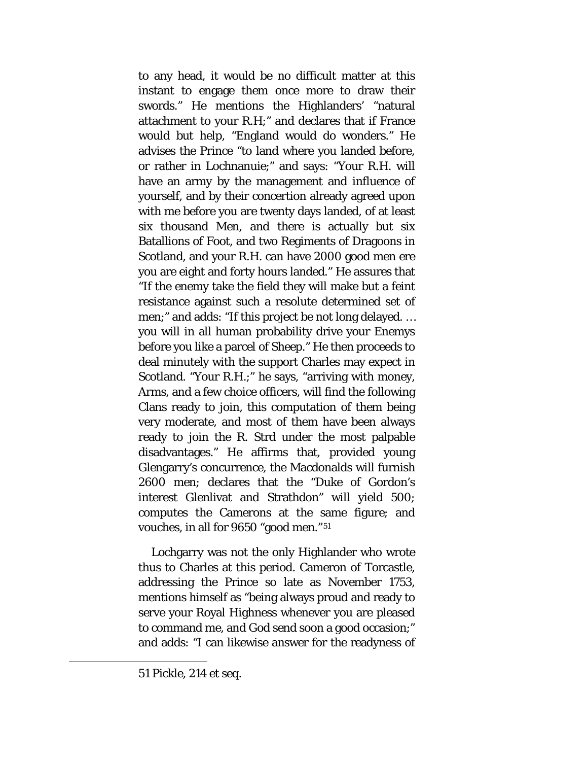to any head, it would be no difficult matter at this instant to engage them once more to draw their swords." He mentions the Highlanders' "natural attachment to your R.H;" and declares that if France would but help, "England would do wonders." He advises the Prince "to land where you landed before, or rather in Lochnanuie;" and says: "Your R.H. will have an army by the management and influence of yourself, and by their concertion already agreed upon with me before you are twenty days landed, of at least six thousand Men, and there is actually but six Batallions of Foot, and two Regiments of Dragoons in Scotland, and your R.H. can have 2000 good men ere you are eight and forty hours landed." He assures that "If the enemy take the field they will make but a feint resistance against such a resolute determined set of men;" and adds: "If this project be not long delayed. … you will in all human probability drive your Enemys before you like a parcel of Sheep." He then proceeds to deal minutely with the support Charles may expect in Scotland. "Your R.H.;" he says, "arriving with money, Arms, and a few choice officers, will find the following Clans ready to join, this computation of them being very moderate, and most of them have been always ready to join the R. Strd under the most palpable disadvantages." He affirms that, provided young Glengarry's concurrence, the Macdonalds will furnish 2600 men; declares that the "Duke of Gordon's interest Glenlivat and Strathdon" will yield 500; computes the Camerons at the same figure; and vouches, in all for 9650 "good men."[51](#page-129-0)

Lochgarry was not the only Highlander who wrote thus to Charles at this period. Cameron of Torcastle, addressing the Prince so late as November 1753, mentions himself as "being always proud and ready to serve your Royal Highness whenever you are pleased to command me, and God send soon a good occasion;" and adds: "I can likewise answer for the readyness of

<span id="page-129-0"></span><sup>51</sup> Pickle, 214 et seq.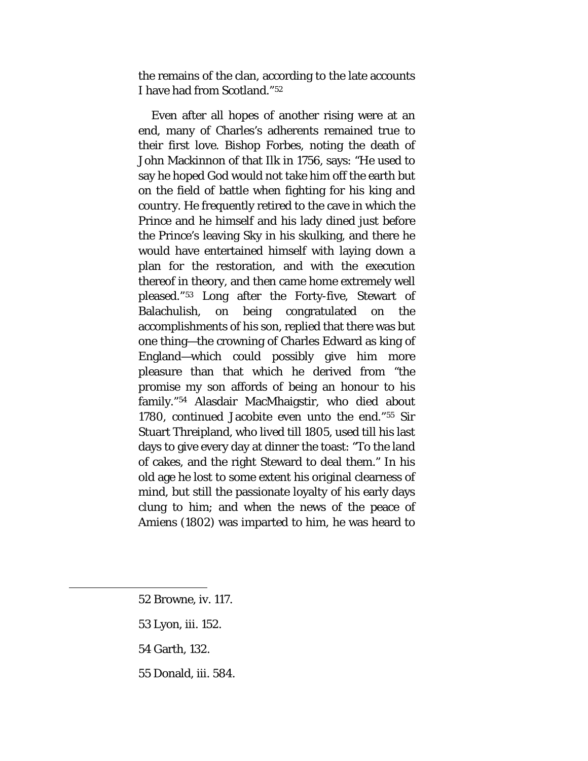the remains of the clan, according to the late accounts I have had from Scotland."[52](#page-130-0)

Even after all hopes of another rising were at an end, many of Charles's adherents remained true to their first love. Bishop Forbes, noting the death of John Mackinnon of that Ilk in 1756, says: "He used to say he hoped God would not take him off the earth but on the field of battle when fighting for his king and country. He frequently retired to the cave in which the Prince and he himself and his lady dined just before the Prince's leaving Sky in his skulking, and there he would have entertained himself with laying down a plan for the restoration, and with the execution thereof in theory, and then came home extremely well pleased."[53](#page-130-1) Long after the Forty-five, Stewart of Balachulish, on being congratulated on the accomplishments of his son, replied that there was but one thing—the crowning of Charles Edward as king of England—which could possibly give him more pleasure than that which he derived from "the promise my son affords of being an honour to his family."[54](#page-130-2) Alasdair MacMhaigstir, who died about 1780, continued Jacobite even unto the end."[55](#page-130-3) Sir Stuart Threipland, who lived till 1805, used till his last days to give every day at dinner the toast: "To the land of cakes, and the right Steward to deal them." In his old age he lost to some extent his original clearness of mind, but still the passionate loyalty of his early days clung to him; and when the news of the peace of Amiens (1802) was imparted to him, he was heard to

- 53 Lyon, iii. 152.
- 54 Garth, 132.

<span id="page-130-3"></span><span id="page-130-2"></span><span id="page-130-1"></span><span id="page-130-0"></span> $\overline{\phantom{a}}$ 

55 Donald, iii. 584.

<sup>52</sup> Browne, iv. 117.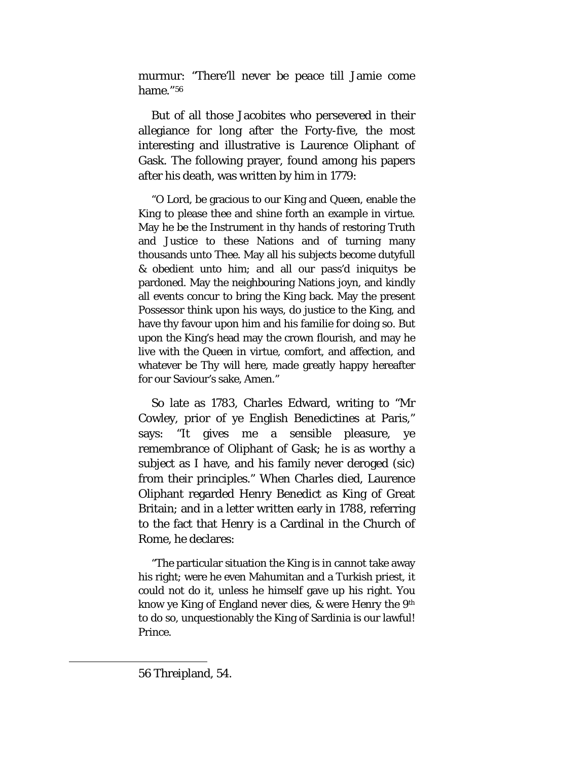murmur: "There'll never be peace till Jamie come hame."[56](#page-131-0)

But of all those Jacobites who persevered in their allegiance for long after the Forty-five, the most interesting and illustrative is Laurence Oliphant of Gask. The following prayer, found among his papers after his death, was written by him in 1779:

"O Lord, be gracious to our King and Queen, enable the King to please thee and shine forth an example in virtue. May he be the Instrument in thy hands of restoring Truth and Justice to these Nations and of turning many thousands unto Thee. May all his subjects become dutyfull & obedient unto him; and all our pass'd iniquitys be pardoned. May the neighbouring Nations joyn, and kindly all events concur to bring the King back. May the present Possessor think upon his ways, do justice to the King, and have thy favour upon him and his familie for doing so. But upon the King's head may the crown flourish, and may he live with the Queen in virtue, comfort, and affection, and whatever be Thy will here, made greatly happy hereafter for our Saviour's sake, Amen."

So late as 1783, Charles Edward, writing to "Mr Cowley, prior of ye English Benedictines at Paris," says: "It gives me a sensible pleasure, ye remembrance of Oliphant of Gask; he is as worthy a subject as I have, and his family never deroged (sic) from their principles." When Charles died, Laurence Oliphant regarded Henry Benedict as King of Great Britain; and in a letter written early in 1788, referring to the fact that Henry is a Cardinal in the Church of Rome, he declares:

<span id="page-131-0"></span>"The particular situation the King is in cannot take away his right; were he even Mahumitan and a Turkish priest, it could not do it, unless he himself gave up his right. You know ye King of England never dies, & were Henry the 9th to do so, unquestionably the King of Sardinia is our lawful! Prince.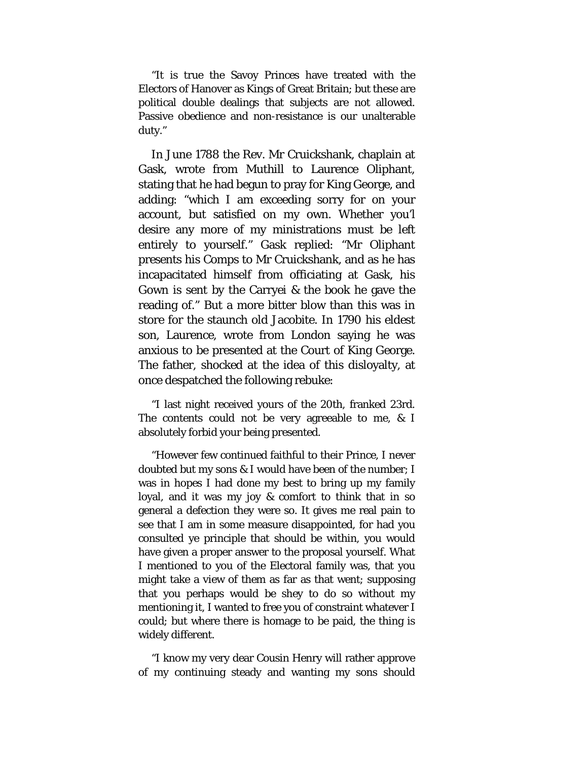"It is true the Savoy Princes have treated with the Electors of Hanover as Kings of Great Britain; but these are political double dealings that subjects are not allowed. Passive obedience and non-resistance is our unalterable duty."

In June 1788 the Rev. Mr Cruickshank, chaplain at Gask, wrote from Muthill to Laurence Oliphant, stating that he had begun to pray for King George, and adding: "which I am exceeding sorry for on your account, but satisfied on my own. Whether you'l desire any more of my ministrations must be left entirely to yourself." Gask replied: "Mr Oliphant presents his Comps to Mr Cruickshank, and as he has incapacitated himself from officiating at Gask, his Gown is sent by the Carryei & the book he gave the reading of." But a more bitter blow than this was in store for the staunch old Jacobite. In 1790 his eldest son, Laurence, wrote from London saying he was anxious to be presented at the Court of King George. The father, shocked at the idea of this disloyalty, at once despatched the following rebuke:

"I last night received yours of the 20th, franked 23rd. The contents could not be very agreeable to me, & I absolutely forbid your being presented.

"However few continued faithful to their Prince, I never doubted but my sons & I would have been of the number; I was in hopes I had done my best to bring up my family loyal, and it was my joy & comfort to think that in so general a defection they were so. It gives me real pain to see that I am in some measure disappointed, for had you consulted ye principle that should be within, you would have given a proper answer to the proposal yourself. What I mentioned to you of the Electoral family was, that you might take a view of them as far as that went; supposing that you perhaps would be shey to do so without my mentioning it, I wanted to free you of constraint whatever I could; but where there is homage to be paid, the thing is widely different.

"I know my very dear Cousin Henry will rather approve of my continuing steady and wanting my sons should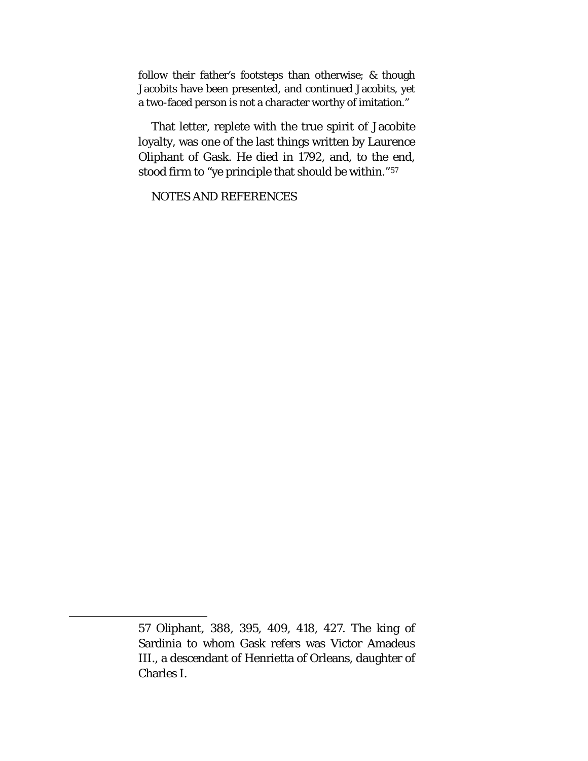follow their father's footsteps than otherwise; & though Jacobits have been presented, and continued Jacobits, yet a two-faced person is not a character worthy of imitation."

That letter, replete with the true spirit of Jacobite loyalty, was one of the last things written by Laurence Oliphant of Gask. He died in 1792, and, to the end, stood firm to "ye principle that should be within."[57](#page-133-0)

NOTES AND REFERENCES

<span id="page-133-0"></span><sup>57</sup> Oliphant, 388, 395, 409, 418, 427. The king of Sardinia to whom Gask refers was Victor Amadeus III., a descendant of Henrietta of Orleans, daughter of Charles I.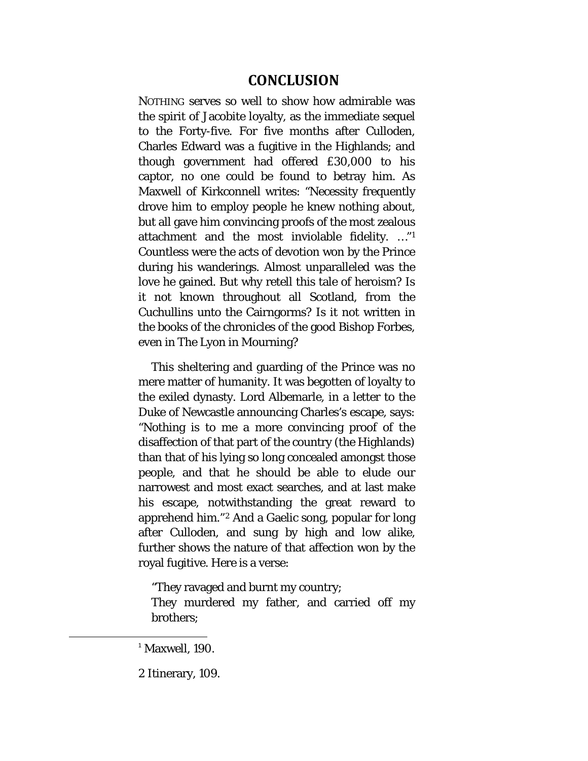# **CONCLUSION**

NOTHING serves so well to show how admirable was the spirit of Jacobite loyalty, as the immediate sequel to the Forty-five. For five months after Culloden, Charles Edward was a fugitive in the Highlands; and though government had offered £30,000 to his captor, no one could be found to betray him. As Maxwell of Kirkconnell writes: "Necessity frequently drove him to employ people he knew nothing about, but all gave him convincing proofs of the most zealous attachment and the most inviolable fidelity. …"[1](#page-134-0) Countless were the acts of devotion won by the Prince during his wanderings. Almost unparalleled was the love he gained. But why retell this tale of heroism? Is it not known throughout all Scotland, from the Cuchullins unto the Cairngorms? Is it not written in the books of the chronicles of the good Bishop Forbes, even in The Lyon in Mourning?

This sheltering and guarding of the Prince was no mere matter of humanity. It was begotten of loyalty to the exiled dynasty. Lord Albemarle, in a letter to the Duke of Newcastle announcing Charles's escape, says: "Nothing is to me a more convincing proof of the disaffection of that part of the country (the Highlands) than that of his lying so long concealed amongst those people, and that he should be able to elude our narrowest and most exact searches, and at last make his escape, notwithstanding the great reward to apprehend him."[2](#page-134-1) And a Gaelic song, popular for long after Culloden, and sung by high and low alike, further shows the nature of that affection won by the royal fugitive. Here is a verse:

"They ravaged and burnt my country;

They murdered my father, and carried off my brothers;

<span id="page-134-1"></span>2 Itinerary, 109.

<span id="page-134-0"></span> $1$ <sup>1</sup> Maxwell, 190.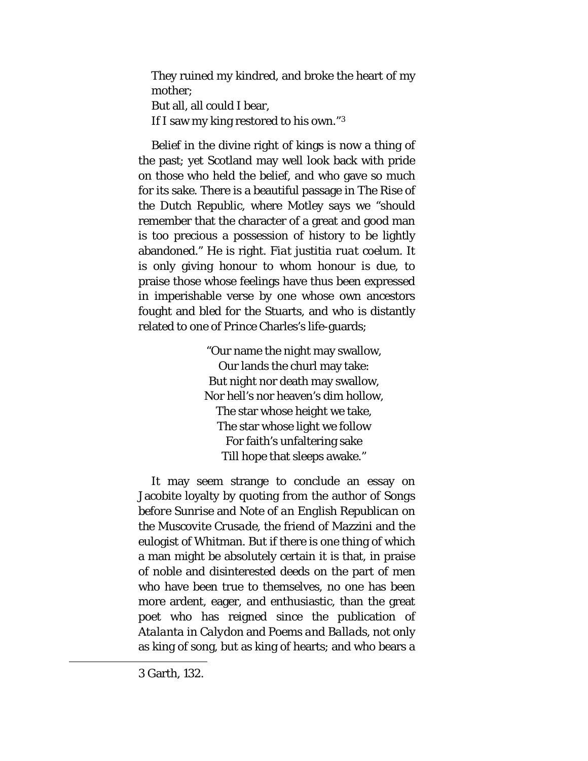They ruined my kindred, and broke the heart of my mother; But all, all could I bear, If I saw my king restored to his own."[3](#page-135-0)

Belief in the divine right of kings is now a thing of the past; yet Scotland may well look back with pride on those who held the belief, and who gave so much for its sake. There is a beautiful passage in *The Rise of the Dutch Republic*, where Motley says we "should remember that the character of a great and good man is too precious a possession of history to be lightly abandoned." He is right. *Fiat justitia ruat coelum*. It is only giving honour to whom honour is due, to praise those whose feelings have thus been expressed in imperishable verse by one whose own ancestors fought and bled for the Stuarts, and who is distantly related to one of Prince Charles's life-guards;

> "Our name the night may swallow, Our lands the churl may take: But night nor death may swallow, Nor hell's nor heaven's dim hollow, The star whose height we take, The star whose light we follow For faith's unfaltering sake Till hope that sleeps awake."

<span id="page-135-0"></span>It may seem strange to conclude an essay on Jacobite loyalty by quoting from the author of *Songs before Sunrise* and *Note of an English Republican on the Muscovite Crusade,* the friend of Mazzini and the eulogist of Whitman. But if there is one thing of which a man might be absolutely certain it is that, in praise of noble and disinterested deeds on the part of men who have been true to themselves, no one has been more ardent, eager, and enthusiastic, than the great poet who has reigned since the publication of *Atalanta in Calydon* and *Poems and Ballads*, not only as king of song, but as king of hearts; and who bears a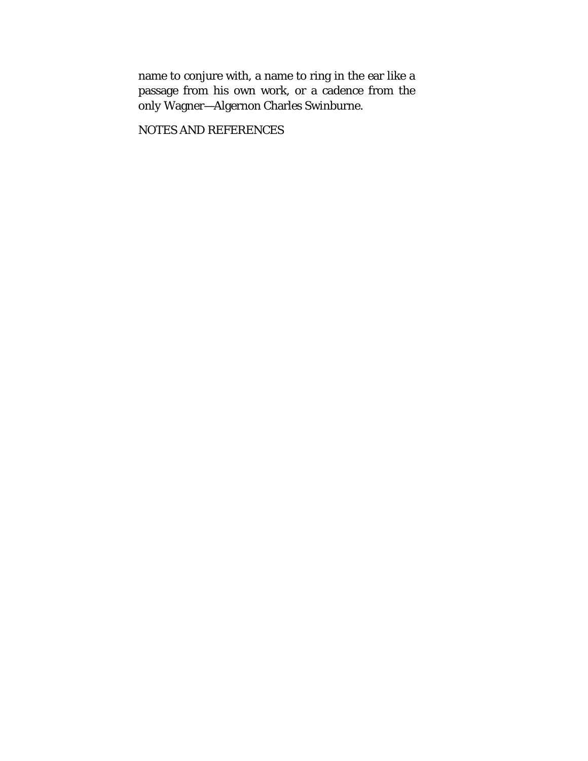name to conjure with, a name to ring in the ear like a passage from his own work, or a cadence from the *only* Wagner—Algernon Charles Swinburne.

NOTES AND REFERENCES